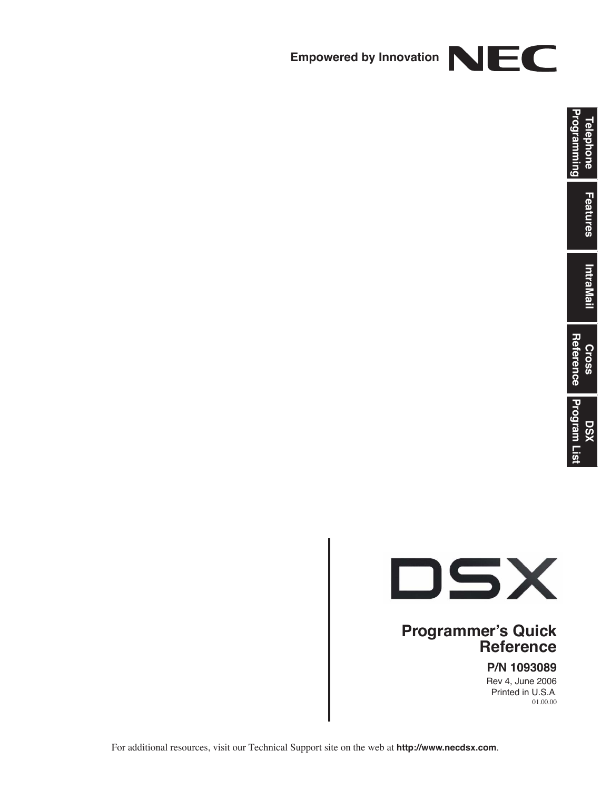



#### **Programmer's Quick Reference**

**P/N 1093089**

Rev 4, June 2006 Printed in U.S.A. 01.00.00

For additional resources, visit our Technical Support site on the web at **http://www.necdsx.com**.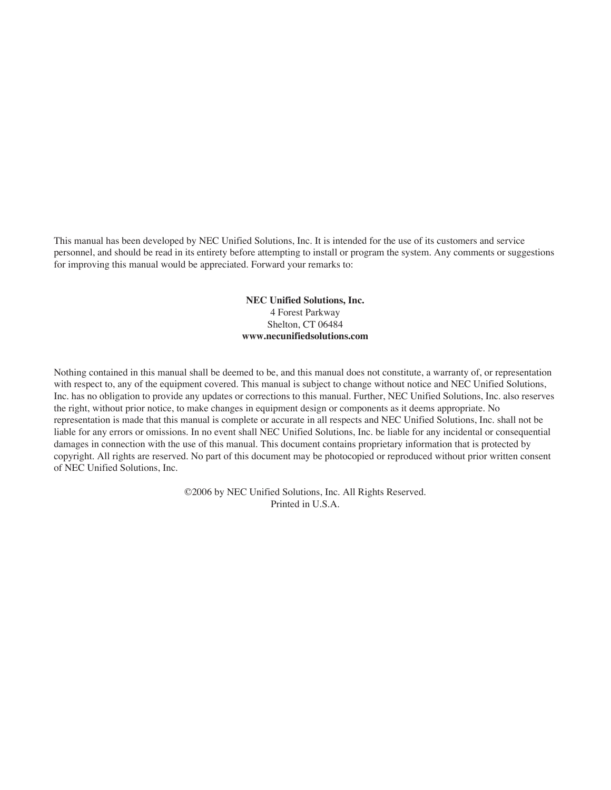This manual has been developed by NEC Unified Solutions, Inc. It is intended for the use of its customers and service personnel, and should be read in its entirety before attempting to install or program the system. Any comments or suggestions for improving this manual would be appreciated. Forward your remarks to:

> **NEC Unified Solutions, Inc.** 4 Forest Parkway Shelton, CT 06484 **www.necunifiedsolutions.com**

Nothing contained in this manual shall be deemed to be, and this manual does not constitute, a warranty of, or representation with respect to, any of the equipment covered. This manual is subject to change without notice and NEC Unified Solutions, Inc. has no obligation to provide any updates or corrections to this manual. Further, NEC Unified Solutions, Inc. also reserves the right, without prior notice, to make changes in equipment design or components as it deems appropriate. No representation is made that this manual is complete or accurate in all respects and NEC Unified Solutions, Inc. shall not be liable for any errors or omissions. In no event shall NEC Unified Solutions, Inc. be liable for any incidental or consequential damages in connection with the use of this manual. This document contains proprietary information that is protected by copyright. All rights are reserved. No part of this document may be photocopied or reproduced without prior written consent of NEC Unified Solutions, Inc.

> ©2006 by NEC Unified Solutions, Inc. All Rights Reserved. Printed in U.S.A.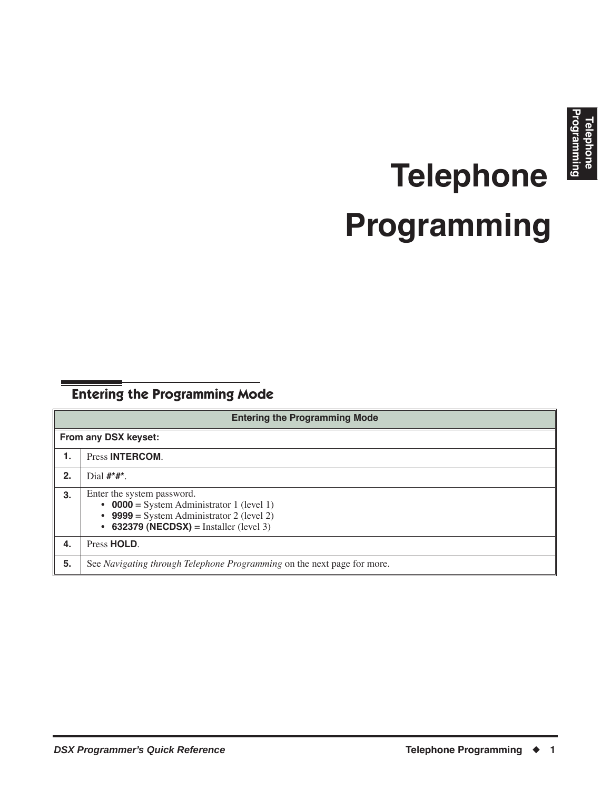# **Telephone Programming**

### <span id="page-4-1"></span><span id="page-4-0"></span>**Entering the Programming Mode**

|                      | <b>Entering the Programming Mode</b>                                                                                                                            |  |  |
|----------------------|-----------------------------------------------------------------------------------------------------------------------------------------------------------------|--|--|
| From any DSX keyset: |                                                                                                                                                                 |  |  |
| 1.                   | Press <b>INTERCOM</b> .                                                                                                                                         |  |  |
| 2.                   | Dial $\#^*\#^*$ .                                                                                                                                               |  |  |
| 3.                   | Enter the system password.<br>• 0000 = System Administrator 1 (level 1)<br>• 9999 = System Administrator 2 (level 2)<br>• 632379 (NECDSX) = Installer (level 3) |  |  |
| 4.                   | Press HOLD.                                                                                                                                                     |  |  |
| 5.                   | See Navigating through Telephone Programming on the next page for more.                                                                                         |  |  |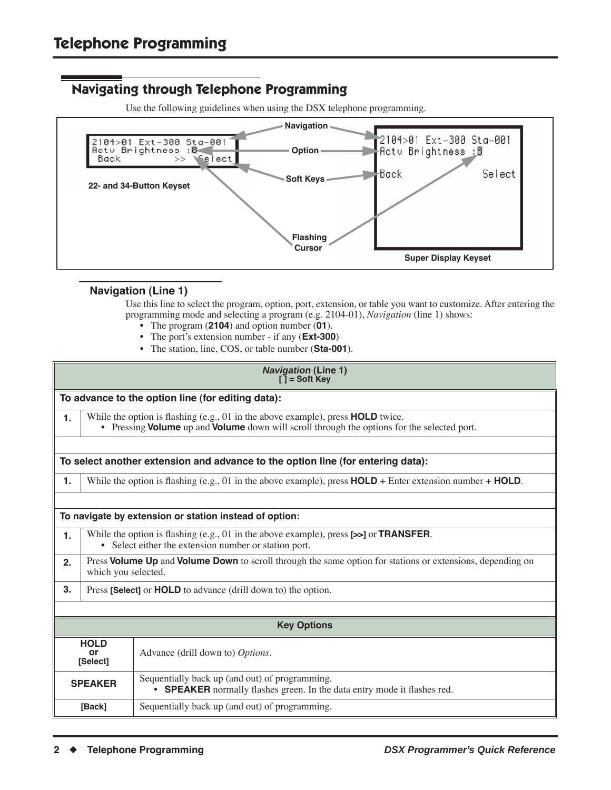#### <span id="page-5-0"></span>**Navigating through Telephone Programming**

Use the following guidelines when using the DSX telephone programming.



#### **Navigation (Line 1)**

Use this line to select the program, option, port, extension, or table you want to customize. After entering the programming mode and selecting a program (e.g. 2104-01), *Navigation* (line 1) shows:

- The program (**2104**) and option number (**01**).
- The port's extension number if any (**Ext-300**)
- The station, line, COS, or table number (**Sta-001**).

|                               | <b>Navigation (Line 1)</b><br>$\tilde{I}$ = Soft Key                                                                                                                               |                                                                                                                                 |  |  |
|-------------------------------|------------------------------------------------------------------------------------------------------------------------------------------------------------------------------------|---------------------------------------------------------------------------------------------------------------------------------|--|--|
|                               |                                                                                                                                                                                    | To advance to the option line (for editing data):                                                                               |  |  |
| 1.                            | While the option is flashing $(e.g., 01$ in the above example), press $HOLD$ twice.<br>• Pressing Volume up and Volume down will scroll through the options for the selected port. |                                                                                                                                 |  |  |
|                               |                                                                                                                                                                                    | To select another extension and advance to the option line (for entering data):                                                 |  |  |
| 1.                            |                                                                                                                                                                                    | While the option is flashing (e.g., 01 in the above example), press $HOLD +$ Enter extension number + $HOLD$ .                  |  |  |
|                               |                                                                                                                                                                                    |                                                                                                                                 |  |  |
|                               |                                                                                                                                                                                    | To navigate by extension or station instead of option:                                                                          |  |  |
| 1.                            | While the option is flashing (e.g., 01 in the above example), press [>>] or TRANSFER.<br>• Select either the extension number or station port.                                     |                                                                                                                                 |  |  |
| 2.                            | Press Volume Up and Volume Down to scroll through the same option for stations or extensions, depending on<br>which you selected.                                                  |                                                                                                                                 |  |  |
| 3.                            | Press [Select] or <b>HOLD</b> to advance (drill down to) the option.                                                                                                               |                                                                                                                                 |  |  |
|                               |                                                                                                                                                                                    |                                                                                                                                 |  |  |
| <b>Key Options</b>            |                                                                                                                                                                                    |                                                                                                                                 |  |  |
| <b>HOLD</b><br>o۳<br>[Select] |                                                                                                                                                                                    | Advance (drill down to) Options.                                                                                                |  |  |
|                               | <b>SPEAKER</b>                                                                                                                                                                     | Sequentially back up (and out) of programming.<br><b>SPEAKER</b> normally flashes green. In the data entry mode it flashes red. |  |  |
| [Back]                        |                                                                                                                                                                                    | Sequentially back up (and out) of programming.                                                                                  |  |  |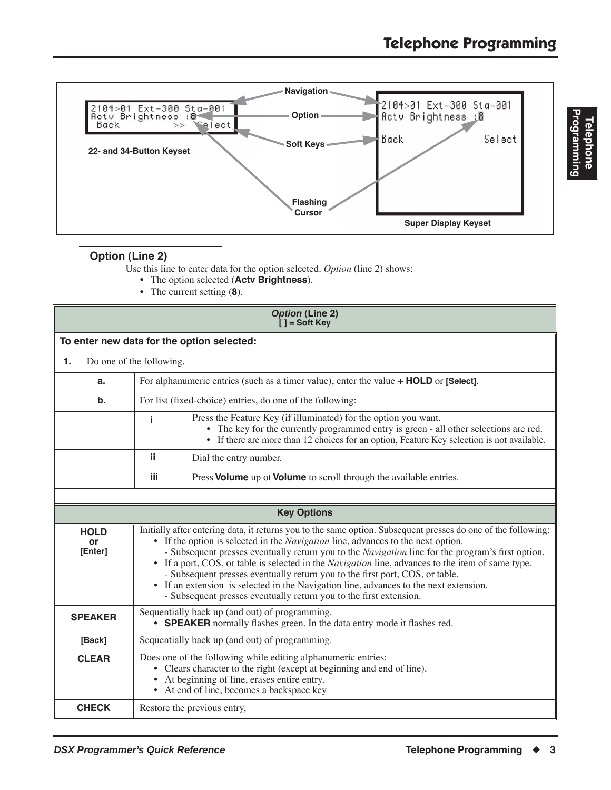

#### **Option (Line 2)**

Use this line to enter data for the option selected. *Option* (line 2) shows:

- The option selected (**Actv Brightness**).
- The current setting (**8**).

|                              | <b>Option (Line 2)</b><br>$[ ] =$ Soft Key |                                                                                                                                                                                                                                                             |                                                                                                                                                                                                                                                                                                                                                                                                                                                                                                                                                                                                                                                                          |  |
|------------------------------|--------------------------------------------|-------------------------------------------------------------------------------------------------------------------------------------------------------------------------------------------------------------------------------------------------------------|--------------------------------------------------------------------------------------------------------------------------------------------------------------------------------------------------------------------------------------------------------------------------------------------------------------------------------------------------------------------------------------------------------------------------------------------------------------------------------------------------------------------------------------------------------------------------------------------------------------------------------------------------------------------------|--|
|                              |                                            |                                                                                                                                                                                                                                                             | To enter new data for the option selected:                                                                                                                                                                                                                                                                                                                                                                                                                                                                                                                                                                                                                               |  |
| $\mathbf{1}$ .               |                                            | Do one of the following.                                                                                                                                                                                                                                    |                                                                                                                                                                                                                                                                                                                                                                                                                                                                                                                                                                                                                                                                          |  |
|                              | a.                                         |                                                                                                                                                                                                                                                             | For alphanumeric entries (such as a timer value), enter the value + <b>HOLD</b> or [Select].                                                                                                                                                                                                                                                                                                                                                                                                                                                                                                                                                                             |  |
|                              | $\mathbf b$ .                              |                                                                                                                                                                                                                                                             | For list (fixed-choice) entries, do one of the following:                                                                                                                                                                                                                                                                                                                                                                                                                                                                                                                                                                                                                |  |
|                              |                                            | Press the Feature Key (if illuminated) for the option you want.<br>j<br>• The key for the currently programmed entry is green - all other selections are red.<br>• If there are more than 12 choices for an option, Feature Key selection is not available. |                                                                                                                                                                                                                                                                                                                                                                                                                                                                                                                                                                                                                                                                          |  |
|                              |                                            | ji.                                                                                                                                                                                                                                                         | Dial the entry number.                                                                                                                                                                                                                                                                                                                                                                                                                                                                                                                                                                                                                                                   |  |
|                              |                                            | iii.                                                                                                                                                                                                                                                        | Press Volume up ot Volume to scroll through the available entries.                                                                                                                                                                                                                                                                                                                                                                                                                                                                                                                                                                                                       |  |
|                              |                                            |                                                                                                                                                                                                                                                             |                                                                                                                                                                                                                                                                                                                                                                                                                                                                                                                                                                                                                                                                          |  |
|                              |                                            |                                                                                                                                                                                                                                                             | <b>Key Options</b>                                                                                                                                                                                                                                                                                                                                                                                                                                                                                                                                                                                                                                                       |  |
| <b>HOLD</b><br>or<br>[Enter] |                                            |                                                                                                                                                                                                                                                             | Initially after entering data, it returns you to the same option. Subsequent presses do one of the following:<br>• If the option is selected in the <i>Navigation</i> line, advances to the next option.<br>- Subsequent presses eventually return you to the Navigation line for the program's first option.<br>• If a port, COS, or table is selected in the <i>Navigation</i> line, advances to the item of same type.<br>- Subsequent presses eventually return you to the first port, COS, or table.<br>• If an extension is selected in the Navigation line, advances to the next extension.<br>- Subsequent presses eventually return you to the first extension. |  |
|                              | <b>SPEAKER</b>                             | Sequentially back up (and out) of programming.<br>• SPEAKER normally flashes green. In the data entry mode it flashes red.                                                                                                                                  |                                                                                                                                                                                                                                                                                                                                                                                                                                                                                                                                                                                                                                                                          |  |
|                              | [Back]                                     | Sequentially back up (and out) of programming.                                                                                                                                                                                                              |                                                                                                                                                                                                                                                                                                                                                                                                                                                                                                                                                                                                                                                                          |  |
|                              | <b>CLEAR</b>                               | Does one of the following while editing alphanumeric entries:<br>• Clears character to the right (except at beginning and end of line).<br>• At beginning of line, erases entire entry.<br>• At end of line, becomes a backspace key                        |                                                                                                                                                                                                                                                                                                                                                                                                                                                                                                                                                                                                                                                                          |  |
|                              | <b>CHECK</b>                               |                                                                                                                                                                                                                                                             | Restore the previous entry,                                                                                                                                                                                                                                                                                                                                                                                                                                                                                                                                                                                                                                              |  |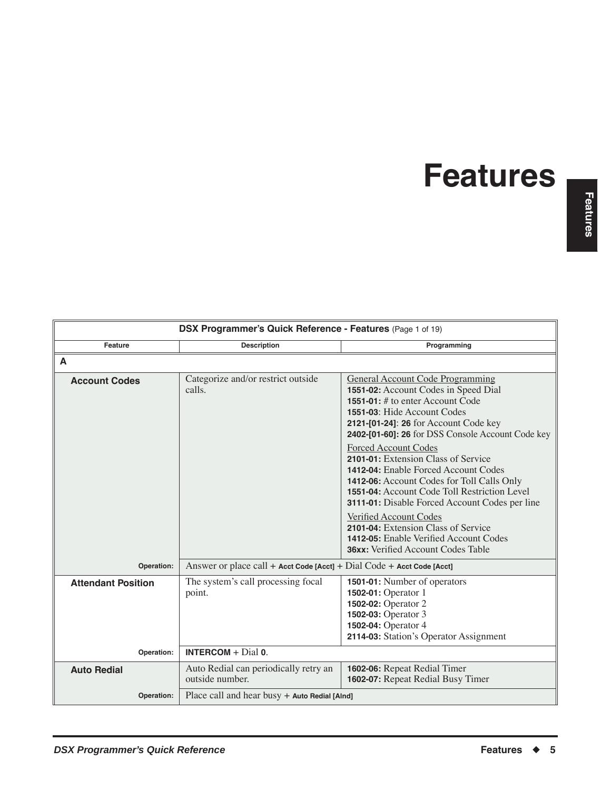<span id="page-8-0"></span>

| DSX Programmer's Quick Reference - Features (Page 1 of 19) |                                                                        |                                                                                                                                                                                                                                                                   |
|------------------------------------------------------------|------------------------------------------------------------------------|-------------------------------------------------------------------------------------------------------------------------------------------------------------------------------------------------------------------------------------------------------------------|
| <b>Feature</b>                                             | <b>Description</b>                                                     | Programming                                                                                                                                                                                                                                                       |
| A                                                          |                                                                        |                                                                                                                                                                                                                                                                   |
| <b>Account Codes</b>                                       | Categorize and/or restrict outside<br>calls.                           | <b>General Account Code Programming</b><br>1551-02: Account Codes in Speed Dial<br>1551-01: # to enter Account Code<br>1551-03: Hide Account Codes<br>2121-[01-24]: 26 for Account Code key<br>2402-[01-60]: 26 for DSS Console Account Code key                  |
|                                                            |                                                                        | <b>Forced Account Codes</b><br>2101-01: Extension Class of Service<br><b>1412-04:</b> Enable Forced Account Codes<br>1412-06: Account Codes for Toll Calls Only<br>1551-04: Account Code Toll Restriction Level<br>3111-01: Disable Forced Account Codes per line |
|                                                            |                                                                        | Verified Account Codes<br>2101-04: Extension Class of Service<br><b>1412-05:</b> Enable Verified Account Codes<br><b>36xx:</b> Verified Account Codes Table                                                                                                       |
| Operation:                                                 | Answer or place call + Acct Code [Acct] + Dial Code + Acct Code [Acct] |                                                                                                                                                                                                                                                                   |
| <b>Attendant Position</b>                                  | The system's call processing focal<br>point.                           | <b>1501-01:</b> Number of operators<br>1502-01: Operator 1<br>1502-02: Operator 2<br>1502-03: Operator 3<br>1502-04: Operator 4<br>2114-03: Station's Operator Assignment                                                                                         |
| Operation:                                                 | <b>INTERCOM</b> + $Dial$ 0.                                            |                                                                                                                                                                                                                                                                   |
| <b>Auto Redial</b>                                         | Auto Redial can periodically retry an<br>outside number.               | 1602-06: Repeat Redial Timer<br>1602-07: Repeat Redial Busy Timer                                                                                                                                                                                                 |
| Operation:                                                 | Place call and hear busy $+$ Auto Redial [Alnd]                        |                                                                                                                                                                                                                                                                   |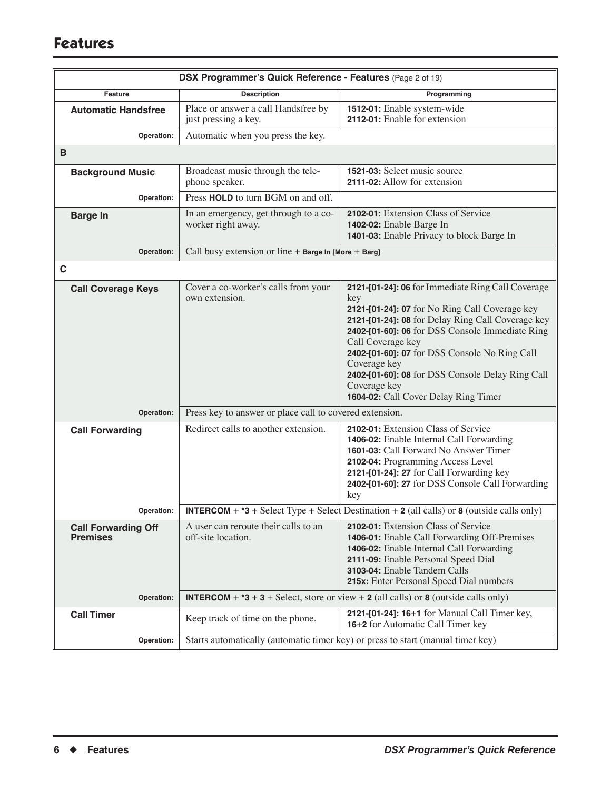| DSX Programmer's Quick Reference - Features (Page 2 of 19) |                                                             |                                                                                                                                                                                                                                                                                                                                                                                                                      |
|------------------------------------------------------------|-------------------------------------------------------------|----------------------------------------------------------------------------------------------------------------------------------------------------------------------------------------------------------------------------------------------------------------------------------------------------------------------------------------------------------------------------------------------------------------------|
| Feature                                                    | <b>Description</b>                                          | Programming                                                                                                                                                                                                                                                                                                                                                                                                          |
| <b>Automatic Handsfree</b>                                 | Place or answer a call Handsfree by<br>just pressing a key. | 1512-01: Enable system-wide<br>2112-01: Enable for extension                                                                                                                                                                                                                                                                                                                                                         |
| Operation:                                                 | Automatic when you press the key.                           |                                                                                                                                                                                                                                                                                                                                                                                                                      |
| B                                                          |                                                             |                                                                                                                                                                                                                                                                                                                                                                                                                      |
| <b>Background Music</b>                                    | Broadcast music through the tele-<br>phone speaker.         | 1521-03: Select music source<br>2111-02: Allow for extension                                                                                                                                                                                                                                                                                                                                                         |
| Operation:                                                 | Press HOLD to turn BGM on and off.                          |                                                                                                                                                                                                                                                                                                                                                                                                                      |
| <b>Barge In</b>                                            | In an emergency, get through to a co-<br>worker right away. | 2102-01: Extension Class of Service<br>1402-02: Enable Barge In<br>1401-03: Enable Privacy to block Barge In                                                                                                                                                                                                                                                                                                         |
| Operation:                                                 | Call busy extension or line + Barge In [More + Barg]        |                                                                                                                                                                                                                                                                                                                                                                                                                      |
| C                                                          |                                                             |                                                                                                                                                                                                                                                                                                                                                                                                                      |
| <b>Call Coverage Keys</b>                                  | Cover a co-worker's calls from your<br>own extension.       | 2121-[01-24]: 06 for Immediate Ring Call Coverage<br>key<br>2121-[01-24]: 07 for No Ring Call Coverage key<br>2121-[01-24]: 08 for Delay Ring Call Coverage key<br>2402-[01-60]: 06 for DSS Console Immediate Ring<br>Call Coverage key<br>2402-[01-60]: 07 for DSS Console No Ring Call<br>Coverage key<br>2402-[01-60]: 08 for DSS Console Delay Ring Call<br>Coverage key<br>1604-02: Call Cover Delay Ring Timer |
| Operation:                                                 | Press key to answer or place call to covered extension.     |                                                                                                                                                                                                                                                                                                                                                                                                                      |
| <b>Call Forwarding</b>                                     | Redirect calls to another extension.                        | 2102-01: Extension Class of Service<br>1406-02: Enable Internal Call Forwarding<br>1601-03: Call Forward No Answer Timer<br>2102-04: Programming Access Level<br>2121-[01-24]: 27 for Call Forwarding key<br>2402-[01-60]: 27 for DSS Console Call Forwarding<br>key                                                                                                                                                 |
| Operation:                                                 |                                                             | <b>INTERCOM</b> + $*3$ + Select Type + Select Destination + 2 (all calls) or 8 (outside calls only)                                                                                                                                                                                                                                                                                                                  |
| <b>Call Forwarding Off</b><br><b>Premises</b>              | A user can reroute their calls to an<br>off-site location.  | 2102-01: Extension Class of Service<br>1406-01: Enable Call Forwarding Off-Premises<br>1406-02: Enable Internal Call Forwarding<br>2111-09: Enable Personal Speed Dial<br>3103-04: Enable Tandem Calls<br>215x: Enter Personal Speed Dial numbers                                                                                                                                                                    |
| Operation:                                                 |                                                             | <b>INTERCOM</b> + $*3 + 3 +$ Select, store or view + 2 (all calls) or 8 (outside calls only)                                                                                                                                                                                                                                                                                                                         |
| <b>Call Timer</b>                                          | Keep track of time on the phone.                            | 2121-[01-24]: 16+1 for Manual Call Timer key,<br>16+2 for Automatic Call Timer key                                                                                                                                                                                                                                                                                                                                   |
| Operation:                                                 |                                                             | Starts automatically (automatic timer key) or press to start (manual timer key)                                                                                                                                                                                                                                                                                                                                      |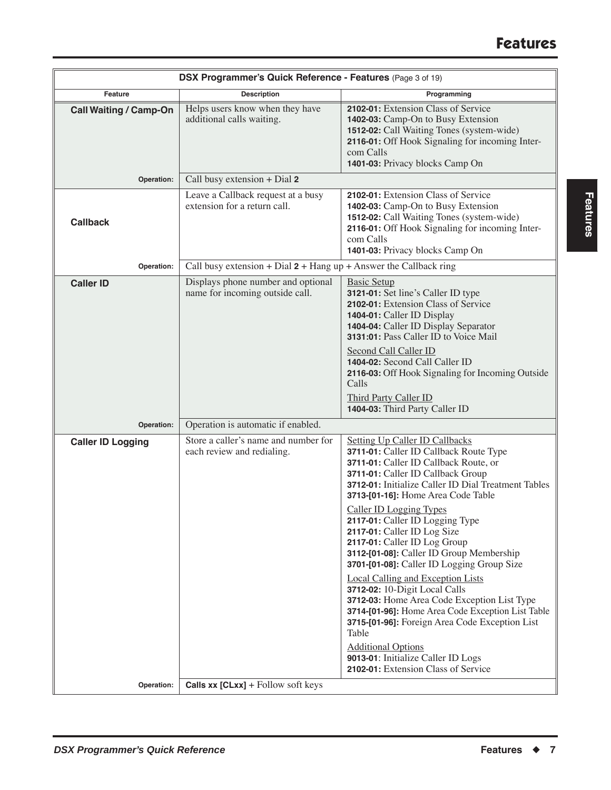| DSX Programmer's Quick Reference - Features (Page 3 of 19) |                                                                       |                                                                                                                                                                                                                                                                                                                                                                                                                                                                                                                                                                                                                                                                                                                                                                                                                                                       |
|------------------------------------------------------------|-----------------------------------------------------------------------|-------------------------------------------------------------------------------------------------------------------------------------------------------------------------------------------------------------------------------------------------------------------------------------------------------------------------------------------------------------------------------------------------------------------------------------------------------------------------------------------------------------------------------------------------------------------------------------------------------------------------------------------------------------------------------------------------------------------------------------------------------------------------------------------------------------------------------------------------------|
| Feature                                                    | <b>Description</b>                                                    | Programming                                                                                                                                                                                                                                                                                                                                                                                                                                                                                                                                                                                                                                                                                                                                                                                                                                           |
| <b>Call Waiting / Camp-On</b>                              | Helps users know when they have<br>additional calls waiting.          | 2102-01: Extension Class of Service<br>1402-03: Camp-On to Busy Extension<br>1512-02: Call Waiting Tones (system-wide)<br>2116-01: Off Hook Signaling for incoming Inter-<br>com Calls<br>1401-03: Privacy blocks Camp On                                                                                                                                                                                                                                                                                                                                                                                                                                                                                                                                                                                                                             |
| Operation:                                                 | Call busy extension + Dial 2                                          |                                                                                                                                                                                                                                                                                                                                                                                                                                                                                                                                                                                                                                                                                                                                                                                                                                                       |
| <b>Callback</b>                                            | Leave a Callback request at a busy<br>extension for a return call.    | 2102-01: Extension Class of Service<br>1402-03: Camp-On to Busy Extension<br>1512-02: Call Waiting Tones (system-wide)<br>2116-01: Off Hook Signaling for incoming Inter-<br>com Calls<br>1401-03: Privacy blocks Camp On                                                                                                                                                                                                                                                                                                                                                                                                                                                                                                                                                                                                                             |
| Operation:                                                 | Call busy extension + Dial $2 +$ Hang up + Answer the Callback ring   |                                                                                                                                                                                                                                                                                                                                                                                                                                                                                                                                                                                                                                                                                                                                                                                                                                                       |
| <b>Caller ID</b>                                           | Displays phone number and optional<br>name for incoming outside call. | <b>Basic Setup</b><br>3121-01: Set line's Caller ID type<br>2102-01: Extension Class of Service<br>1404-01: Caller ID Display<br>1404-04: Caller ID Display Separator<br>3131:01: Pass Caller ID to Voice Mail<br>Second Call Caller ID<br>1404-02: Second Call Caller ID<br>2116-03: Off Hook Signaling for Incoming Outside<br>Calls<br>Third Party Caller ID<br>1404-03: Third Party Caller ID                                                                                                                                                                                                                                                                                                                                                                                                                                                     |
| Operation:                                                 | Operation is automatic if enabled.                                    |                                                                                                                                                                                                                                                                                                                                                                                                                                                                                                                                                                                                                                                                                                                                                                                                                                                       |
| <b>Caller ID Logging</b>                                   | Store a caller's name and number for<br>each review and redialing.    | <b>Setting Up Caller ID Callbacks</b><br>3711-01: Caller ID Callback Route Type<br>3711-01: Caller ID Callback Route, or<br>3711-01: Caller ID Callback Group<br>3712-01: Initialize Caller ID Dial Treatment Tables<br>3713-[01-16]: Home Area Code Table<br><b>Caller ID Logging Types</b><br><b>2117-01:</b> Caller ID Logging Type<br>2117-01: Caller ID Log Size<br>2117-01: Caller ID Log Group<br>3112-[01-08]: Caller ID Group Membership<br>3701-[01-08]: Caller ID Logging Group Size<br><b>Local Calling and Exception Lists</b><br>3712-02: 10-Digit Local Calls<br>3712-03: Home Area Code Exception List Type<br>3714-[01-96]: Home Area Code Exception List Table<br>3715-[01-96]: Foreign Area Code Exception List<br>Table<br><b>Additional Options</b><br>9013-01: Initialize Caller ID Logs<br>2102-01: Extension Class of Service |
| Operation:                                                 | <b>Calls xx [CLxx]</b> + Follow soft keys                             |                                                                                                                                                                                                                                                                                                                                                                                                                                                                                                                                                                                                                                                                                                                                                                                                                                                       |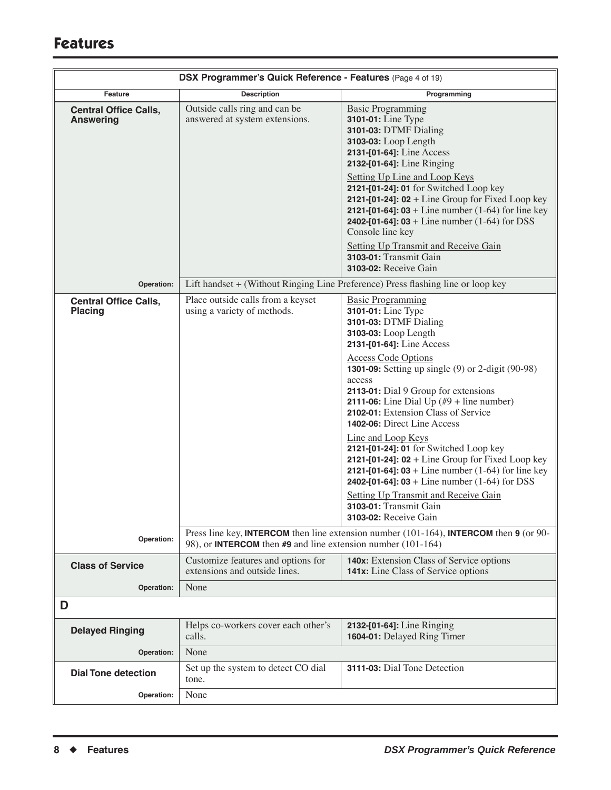| DSX Programmer's Quick Reference - Features (Page 4 of 19) |                                                                     |                                                                                                                                                                                                                                                                                                                                                                                                                                                                                                                                                                                                                                                                                                                                                       |
|------------------------------------------------------------|---------------------------------------------------------------------|-------------------------------------------------------------------------------------------------------------------------------------------------------------------------------------------------------------------------------------------------------------------------------------------------------------------------------------------------------------------------------------------------------------------------------------------------------------------------------------------------------------------------------------------------------------------------------------------------------------------------------------------------------------------------------------------------------------------------------------------------------|
| Feature                                                    | <b>Description</b>                                                  | Programming                                                                                                                                                                                                                                                                                                                                                                                                                                                                                                                                                                                                                                                                                                                                           |
| <b>Central Office Calls,</b><br><b>Answering</b>           | Outside calls ring and can be<br>answered at system extensions.     | <b>Basic Programming</b><br>3101-01: Line Type<br>3101-03: DTMF Dialing<br>3103-03: Loop Length<br>2131-[01-64]: Line Access<br>2132-[01-64]: Line Ringing<br>Setting Up Line and Loop Keys<br>2121-[01-24]: 01 for Switched Loop key<br>2121-[01-24]: $02 +$ Line Group for Fixed Loop key<br><b>2121-[01-64]: 03</b> + Line number $(1-64)$ for line key<br><b>2402-[01-64]: 03</b> + Line number $(1-64)$ for DSS<br>Console line key<br><b>Setting Up Transmit and Receive Gain</b><br>3103-01: Transmit Gain<br>3103-02: Receive Gain                                                                                                                                                                                                            |
| Operation:                                                 |                                                                     | Lift handset + (Without Ringing Line Preference) Press flashing line or loop key                                                                                                                                                                                                                                                                                                                                                                                                                                                                                                                                                                                                                                                                      |
| <b>Central Office Calls,</b><br><b>Placing</b>             | Place outside calls from a keyset<br>using a variety of methods.    | <b>Basic Programming</b><br>3101-01: Line Type<br>3101-03: DTMF Dialing<br>3103-03: Loop Length<br>2131-[01-64]: Line Access<br><b>Access Code Options</b><br><b>1301-09:</b> Setting up single (9) or 2-digit (90-98)<br>access<br>2113-01: Dial 9 Group for extensions<br>2111-06: Line Dial Up $(\#9 + \text{line number})$<br>2102-01: Extension Class of Service<br>1402-06: Direct Line Access<br>Line and Loop Keys<br>2121-[01-24]: 01 for Switched Loop key<br>2121-[01-24]: $02 +$ Line Group for Fixed Loop key<br><b>2121-[01-64]: 03</b> + Line number $(1-64)$ for line key<br><b>2402-[01-64]: 03</b> + Line number $(1-64)$ for DSS<br><b>Setting Up Transmit and Receive Gain</b><br>3103-01: Transmit Gain<br>3103-02: Receive Gain |
| Operation:                                                 | 98), or <b>INTERCOM</b> then #9 and line extension number (101-164) | Press line key, INTERCOM then line extension number $(101-164)$ , INTERCOM then 9 (or 90-                                                                                                                                                                                                                                                                                                                                                                                                                                                                                                                                                                                                                                                             |
| <b>Class of Service</b>                                    | Customize features and options for<br>extensions and outside lines. | <b>140x:</b> Extension Class of Service options<br><b>141x:</b> Line Class of Service options                                                                                                                                                                                                                                                                                                                                                                                                                                                                                                                                                                                                                                                         |
| Operation:                                                 | None                                                                |                                                                                                                                                                                                                                                                                                                                                                                                                                                                                                                                                                                                                                                                                                                                                       |
| D                                                          |                                                                     |                                                                                                                                                                                                                                                                                                                                                                                                                                                                                                                                                                                                                                                                                                                                                       |
| <b>Delayed Ringing</b>                                     | Helps co-workers cover each other's<br>calls.                       | 2132-[01-64]: Line Ringing<br>1604-01: Delayed Ring Timer                                                                                                                                                                                                                                                                                                                                                                                                                                                                                                                                                                                                                                                                                             |
| Operation:                                                 | None                                                                |                                                                                                                                                                                                                                                                                                                                                                                                                                                                                                                                                                                                                                                                                                                                                       |
| <b>Dial Tone detection</b>                                 | Set up the system to detect CO dial<br>tone.                        | 3111-03: Dial Tone Detection                                                                                                                                                                                                                                                                                                                                                                                                                                                                                                                                                                                                                                                                                                                          |
| Operation:                                                 | None                                                                |                                                                                                                                                                                                                                                                                                                                                                                                                                                                                                                                                                                                                                                                                                                                                       |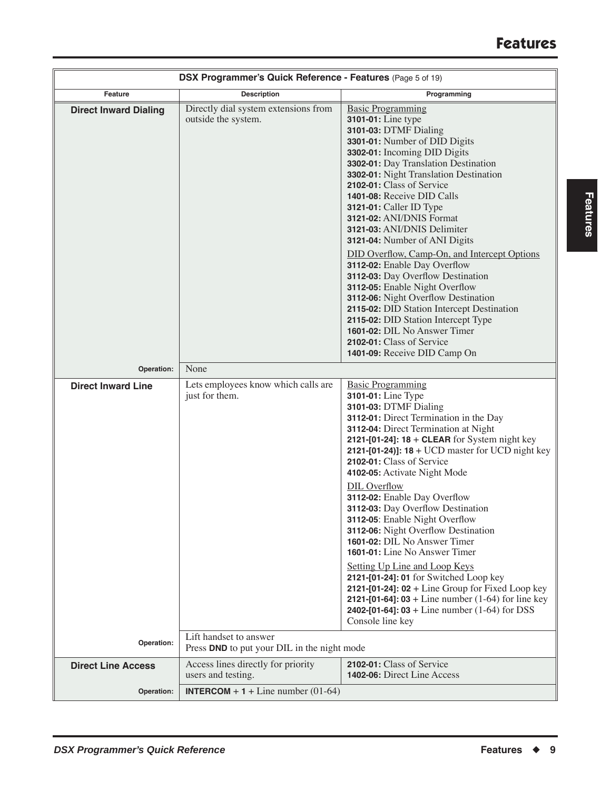| DSX Programmer's Quick Reference - Features (Page 5 of 19) |                                                                       |                                                                                                                                                                                                                                                                                                                                                                                                                                                                                                                                                                                                                                                                                                                                                                                                                              |
|------------------------------------------------------------|-----------------------------------------------------------------------|------------------------------------------------------------------------------------------------------------------------------------------------------------------------------------------------------------------------------------------------------------------------------------------------------------------------------------------------------------------------------------------------------------------------------------------------------------------------------------------------------------------------------------------------------------------------------------------------------------------------------------------------------------------------------------------------------------------------------------------------------------------------------------------------------------------------------|
| Feature                                                    | <b>Description</b>                                                    | Programming                                                                                                                                                                                                                                                                                                                                                                                                                                                                                                                                                                                                                                                                                                                                                                                                                  |
| <b>Direct Inward Dialing</b>                               | Directly dial system extensions from<br>outside the system.           | <b>Basic Programming</b><br>3101-01: Line type<br>3101-03: DTMF Dialing<br>3301-01: Number of DID Digits<br>3302-01: Incoming DID Digits<br>3302-01: Day Translation Destination<br>3302-01: Night Translation Destination<br>2102-01: Class of Service<br>1401-08: Receive DID Calls<br><b>3121-01:</b> Caller ID Type<br>3121-02: ANI/DNIS Format<br>3121-03: ANI/DNIS Delimiter<br>3121-04: Number of ANI Digits<br>DID Overflow, Camp-On, and Intercept Options<br>3112-02: Enable Day Overflow<br>3112-03: Day Overflow Destination<br>3112-05: Enable Night Overflow<br>3112-06: Night Overflow Destination<br>2115-02: DID Station Intercept Destination<br>2115-02: DID Station Intercept Type<br>1601-02: DIL No Answer Timer<br>2102-01: Class of Service<br>1401-09: Receive DID Camp On                          |
| Operation:                                                 | None                                                                  |                                                                                                                                                                                                                                                                                                                                                                                                                                                                                                                                                                                                                                                                                                                                                                                                                              |
| <b>Direct Inward Line</b>                                  | Lets employees know which calls are                                   | <b>Basic Programming</b>                                                                                                                                                                                                                                                                                                                                                                                                                                                                                                                                                                                                                                                                                                                                                                                                     |
|                                                            | just for them.                                                        | 3101-01: Line Type<br>3101-03: DTMF Dialing<br>3112-01: Direct Termination in the Day<br>3112-04: Direct Termination at Night<br>2121-[01-24]: $18 + CLEAR$ for System night key<br><b>2121-[01-24]]: 18</b> + UCD master for UCD night key<br>2102-01: Class of Service<br>4102-05: Activate Night Mode<br><b>DIL Overflow</b><br>3112-02: Enable Day Overflow<br>3112-03: Day Overflow Destination<br>3112-05: Enable Night Overflow<br>3112-06: Night Overflow Destination<br>1601-02: DIL No Answer Timer<br>1601-01: Line No Answer Timer<br>Setting Up Line and Loop Keys<br>2121-[01-24]: 01 for Switched Loop key<br>2121-[01-24]: $02 +$ Line Group for Fixed Loop key<br><b>2121-[01-64]: 03</b> + Line number $(1-64)$ for line key<br><b>2402-[01-64]: 03</b> + Line number $(1-64)$ for DSS<br>Console line key |
| Operation:                                                 | Lift handset to answer<br>Press DND to put your DIL in the night mode |                                                                                                                                                                                                                                                                                                                                                                                                                                                                                                                                                                                                                                                                                                                                                                                                                              |
| <b>Direct Line Access</b>                                  | Access lines directly for priority<br>users and testing.              | 2102-01: Class of Service<br><b>1402-06:</b> Direct Line Access                                                                                                                                                                                                                                                                                                                                                                                                                                                                                                                                                                                                                                                                                                                                                              |
| Operation:                                                 | <b>INTERCOM</b> + $1 +$ Line number (01-64)                           |                                                                                                                                                                                                                                                                                                                                                                                                                                                                                                                                                                                                                                                                                                                                                                                                                              |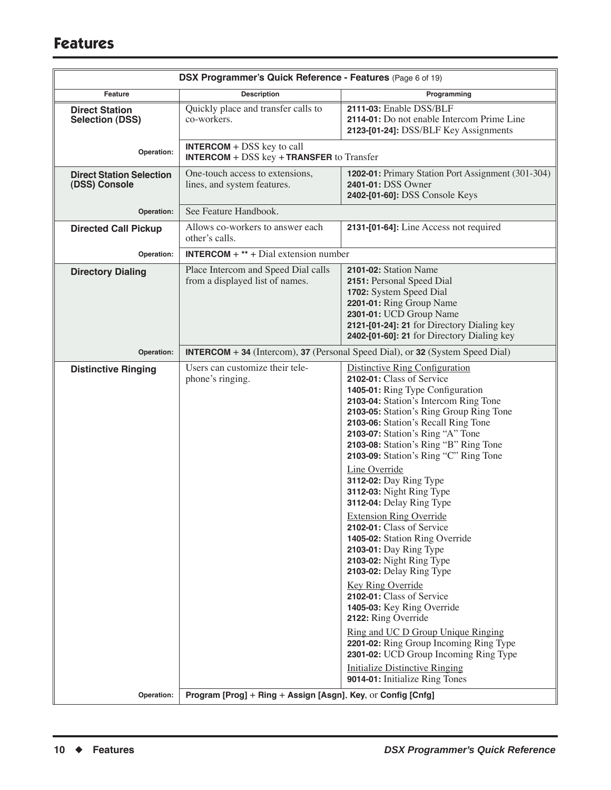| DSX Programmer's Quick Reference - Features (Page 6 of 19)                 |                                                                                                  |                                                                                                                                                                                                                                                                                                                                                                                                                                                                                                                                                                                                                                                                                                                                                                                                                               |
|----------------------------------------------------------------------------|--------------------------------------------------------------------------------------------------|-------------------------------------------------------------------------------------------------------------------------------------------------------------------------------------------------------------------------------------------------------------------------------------------------------------------------------------------------------------------------------------------------------------------------------------------------------------------------------------------------------------------------------------------------------------------------------------------------------------------------------------------------------------------------------------------------------------------------------------------------------------------------------------------------------------------------------|
| Feature                                                                    | <b>Description</b>                                                                               | Programming                                                                                                                                                                                                                                                                                                                                                                                                                                                                                                                                                                                                                                                                                                                                                                                                                   |
| <b>Direct Station</b><br><b>Selection (DSS)</b>                            | Quickly place and transfer calls to<br>co-workers.                                               | 2111-03: Enable DSS/BLF<br>2114-01: Do not enable Intercom Prime Line<br>2123-[01-24]: DSS/BLF Key Assignments                                                                                                                                                                                                                                                                                                                                                                                                                                                                                                                                                                                                                                                                                                                |
| Operation:                                                                 | <b>INTERCOM</b> + $DSS$ key to call<br><b>INTERCOM</b> + $DSS$ key + <b>TRANSFER</b> to Transfer |                                                                                                                                                                                                                                                                                                                                                                                                                                                                                                                                                                                                                                                                                                                                                                                                                               |
| <b>Direct Station Selection</b><br>(DSS) Console                           | One-touch access to extensions,<br>lines, and system features.                                   | 1202-01: Primary Station Port Assignment (301-304)<br>2401-01: DSS Owner<br>2402-[01-60]: DSS Console Keys                                                                                                                                                                                                                                                                                                                                                                                                                                                                                                                                                                                                                                                                                                                    |
| Operation:                                                                 | See Feature Handbook.                                                                            |                                                                                                                                                                                                                                                                                                                                                                                                                                                                                                                                                                                                                                                                                                                                                                                                                               |
| <b>Directed Call Pickup</b>                                                | Allows co-workers to answer each<br>other's calls.                                               | 2131-[01-64]: Line Access not required                                                                                                                                                                                                                                                                                                                                                                                                                                                                                                                                                                                                                                                                                                                                                                                        |
| Operation:                                                                 | <b>INTERCOM</b> + ** + Dial extension number                                                     |                                                                                                                                                                                                                                                                                                                                                                                                                                                                                                                                                                                                                                                                                                                                                                                                                               |
| <b>Directory Dialing</b>                                                   | Place Intercom and Speed Dial calls<br>from a displayed list of names.                           | 2101-02: Station Name<br>2151: Personal Speed Dial<br>1702: System Speed Dial<br>2201-01: Ring Group Name<br>2301-01: UCD Group Name<br>2121-[01-24]: 21 for Directory Dialing key<br>2402-[01-60]: 21 for Directory Dialing key                                                                                                                                                                                                                                                                                                                                                                                                                                                                                                                                                                                              |
| Operation:                                                                 |                                                                                                  | <b>INTERCOM</b> + 34 (Intercom), 37 (Personal Speed Dial), or 32 (System Speed Dial)                                                                                                                                                                                                                                                                                                                                                                                                                                                                                                                                                                                                                                                                                                                                          |
| <b>Distinctive Ringing</b>                                                 | Users can customize their tele-<br>phone's ringing.                                              | Distinctive Ring Configuration<br>2102-01: Class of Service<br>1405-01: Ring Type Configuration<br>2103-04: Station's Intercom Ring Tone<br>2103-05: Station's Ring Group Ring Tone<br>2103-06: Station's Recall Ring Tone<br>2103-07: Station's Ring "A" Tone<br>2103-08: Station's Ring "B" Ring Tone<br>2103-09: Station's Ring "C" Ring Tone<br>Line Override<br>3112-02: Day Ring Type<br>3112-03: Night Ring Type<br>3112-04: Delay Ring Type<br><b>Extension Ring Override</b><br>2102-01: Class of Service<br>1405-02: Station Ring Override<br>2103-01: Day Ring Type<br>2103-02: Night Ring Type<br>2103-02: Delay Ring Type<br>Key Ring Override<br>2102-01: Class of Service<br>1405-03: Key Ring Override<br>2122: Ring Override<br>Ring and UC D Group Unique Ringing<br>2201-02: Ring Group Incoming Ring Type |
|                                                                            |                                                                                                  | 2301-02: UCD Group Incoming Ring Type<br><b>Initialize Distinctive Ringing</b><br>9014-01: Initialize Ring Tones                                                                                                                                                                                                                                                                                                                                                                                                                                                                                                                                                                                                                                                                                                              |
| Operation:<br>Program [Prog] + Ring + Assign [Asgn], Key, or Config [Cnfg] |                                                                                                  |                                                                                                                                                                                                                                                                                                                                                                                                                                                                                                                                                                                                                                                                                                                                                                                                                               |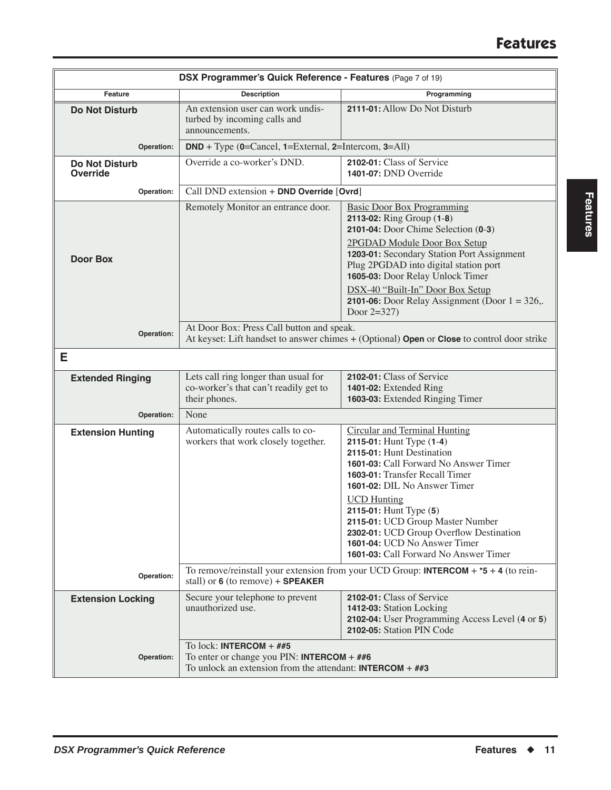| DSX Programmer's Quick Reference - Features (Page 7 of 19) |                                                                                                                                                                   |                                                                                                                                                                                                                                                                                                                                                                                                                  |  |
|------------------------------------------------------------|-------------------------------------------------------------------------------------------------------------------------------------------------------------------|------------------------------------------------------------------------------------------------------------------------------------------------------------------------------------------------------------------------------------------------------------------------------------------------------------------------------------------------------------------------------------------------------------------|--|
| Feature                                                    | <b>Description</b>                                                                                                                                                | Programming                                                                                                                                                                                                                                                                                                                                                                                                      |  |
| <b>Do Not Disturb</b>                                      | An extension user can work undis-<br>turbed by incoming calls and<br>announcements.                                                                               | 2111-01: Allow Do Not Disturb                                                                                                                                                                                                                                                                                                                                                                                    |  |
| Operation:                                                 | $DND + Type (0=Cancel, 1=External, 2=Intercom, 3=All)$                                                                                                            |                                                                                                                                                                                                                                                                                                                                                                                                                  |  |
| <b>Do Not Disturb</b><br><b>Override</b>                   | Override a co-worker's DND.                                                                                                                                       | 2102-01: Class of Service<br>1401-07: DND Override                                                                                                                                                                                                                                                                                                                                                               |  |
| Operation:                                                 | Call DND extension + DND Override [Ovrd]                                                                                                                          |                                                                                                                                                                                                                                                                                                                                                                                                                  |  |
| <b>Door Box</b>                                            | Remotely Monitor an entrance door.                                                                                                                                | <b>Basic Door Box Programming</b><br>2113-02: Ring Group (1-8)<br>2101-04: Door Chime Selection (0-3)<br>2PGDAD Module Door Box Setup<br>1203-01: Secondary Station Port Assignment<br>Plug 2PGDAD into digital station port<br>1605-03: Door Relay Unlock Timer<br>DSX-40 "Built-In" Door Box Setup                                                                                                             |  |
|                                                            |                                                                                                                                                                   | <b>2101-06:</b> Door Relay Assignment (Door $1 = 326$ ,.<br>Door $2=327$ )                                                                                                                                                                                                                                                                                                                                       |  |
| Operation:                                                 | At Door Box: Press Call button and speak.<br>At keyset: Lift handset to answer chimes + (Optional) Open or Close to control door strike                           |                                                                                                                                                                                                                                                                                                                                                                                                                  |  |
| Е                                                          |                                                                                                                                                                   |                                                                                                                                                                                                                                                                                                                                                                                                                  |  |
| <b>Extended Ringing</b>                                    | Lets call ring longer than usual for<br>co-worker's that can't readily get to<br>their phones.                                                                    | 2102-01: Class of Service<br>1401-02: Extended Ring<br>1603-03: Extended Ringing Timer                                                                                                                                                                                                                                                                                                                           |  |
| Operation:                                                 | None                                                                                                                                                              |                                                                                                                                                                                                                                                                                                                                                                                                                  |  |
| <b>Extension Hunting</b>                                   | Automatically routes calls to co-<br>workers that work closely together.                                                                                          | <b>Circular and Terminal Hunting</b><br>2115-01: Hunt Type (1-4)<br>2115-01: Hunt Destination<br>1601-03: Call Forward No Answer Timer<br>1603-01: Transfer Recall Timer<br>1601-02: DIL No Answer Timer<br><b>UCD Hunting</b><br>2115-01: Hunt Type (5)<br>2115-01: UCD Group Master Number<br>2302-01: UCD Group Overflow Destination<br>1601-04: UCD No Answer Timer<br>1601-03: Call Forward No Answer Timer |  |
| Operation:                                                 | stall) or $6$ (to remove) + SPEAKER                                                                                                                               | To remove/reinstall your extension from your UCD Group: <b>INTERCOM</b> + $*$ <b>5</b> + <b>4</b> (to rein-                                                                                                                                                                                                                                                                                                      |  |
| <b>Extension Locking</b>                                   | Secure your telephone to prevent<br>unauthorized use.                                                                                                             | 2102-01: Class of Service<br>1412-03: Station Locking<br>2102-04: User Programming Access Level (4 or 5)<br>2102-05: Station PIN Code                                                                                                                                                                                                                                                                            |  |
| Operation:                                                 | To lock: <b>INTERCOM</b> + $\#$ #5<br>To enter or change you PIN: <b>INTERCOM</b> + $\#$ #6<br>To unlock an extension from the attendant: <b>INTERCOM</b> + $#43$ |                                                                                                                                                                                                                                                                                                                                                                                                                  |  |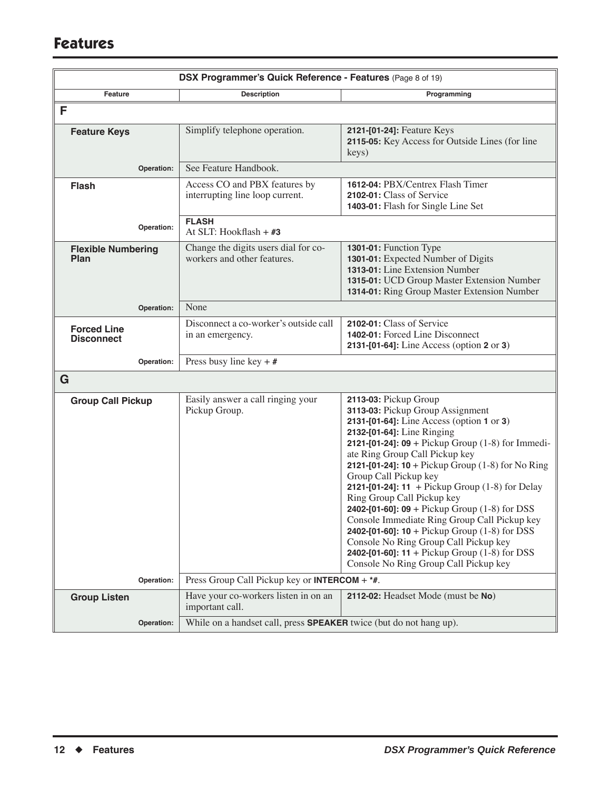| DSX Programmer's Quick Reference - Features (Page 8 of 19) |                                                                           |                                                                                                                                                                                                                                                                                                                                                                                                                                                                                                                                                                                                                                                                                                     |
|------------------------------------------------------------|---------------------------------------------------------------------------|-----------------------------------------------------------------------------------------------------------------------------------------------------------------------------------------------------------------------------------------------------------------------------------------------------------------------------------------------------------------------------------------------------------------------------------------------------------------------------------------------------------------------------------------------------------------------------------------------------------------------------------------------------------------------------------------------------|
| Feature                                                    | <b>Description</b>                                                        | Programming                                                                                                                                                                                                                                                                                                                                                                                                                                                                                                                                                                                                                                                                                         |
| F                                                          |                                                                           |                                                                                                                                                                                                                                                                                                                                                                                                                                                                                                                                                                                                                                                                                                     |
| <b>Feature Keys</b>                                        | Simplify telephone operation.                                             | 2121-[01-24]: Feature Keys<br>2115-05: Key Access for Outside Lines (for line<br>keys)                                                                                                                                                                                                                                                                                                                                                                                                                                                                                                                                                                                                              |
| Operation:                                                 | See Feature Handbook.                                                     |                                                                                                                                                                                                                                                                                                                                                                                                                                                                                                                                                                                                                                                                                                     |
| <b>Flash</b>                                               | Access CO and PBX features by<br>interrupting line loop current.          | 1612-04: PBX/Centrex Flash Timer<br>2102-01: Class of Service<br>1403-01: Flash for Single Line Set                                                                                                                                                                                                                                                                                                                                                                                                                                                                                                                                                                                                 |
| Operation:                                                 | <b>FLASH</b><br>At SLT: Hookflash + #3                                    |                                                                                                                                                                                                                                                                                                                                                                                                                                                                                                                                                                                                                                                                                                     |
| <b>Flexible Numbering</b><br>Plan                          | Change the digits users dial for co-<br>workers and other features.       | 1301-01: Function Type<br>1301-01: Expected Number of Digits<br>1313-01: Line Extension Number<br>1315-01: UCD Group Master Extension Number<br>1314-01: Ring Group Master Extension Number                                                                                                                                                                                                                                                                                                                                                                                                                                                                                                         |
| Operation:                                                 | None                                                                      |                                                                                                                                                                                                                                                                                                                                                                                                                                                                                                                                                                                                                                                                                                     |
| <b>Forced Line</b><br><b>Disconnect</b>                    | Disconnect a co-worker's outside call<br>in an emergency.                 | 2102-01: Class of Service<br>1402-01: Forced Line Disconnect<br>2131-[01-64]: Line Access (option 2 or 3)                                                                                                                                                                                                                                                                                                                                                                                                                                                                                                                                                                                           |
| Operation:                                                 | Press busy line key + $#$                                                 |                                                                                                                                                                                                                                                                                                                                                                                                                                                                                                                                                                                                                                                                                                     |
| G                                                          |                                                                           |                                                                                                                                                                                                                                                                                                                                                                                                                                                                                                                                                                                                                                                                                                     |
| <b>Group Call Pickup</b>                                   | Easily answer a call ringing your<br>Pickup Group.                        | 2113-03: Pickup Group<br>3113-03: Pickup Group Assignment<br>2131-[01-64]: Line Access (option 1 or 3)<br>2132-[01-64]: Line Ringing<br>2121-[01-24]: 09 + Pickup Group $(1-8)$ for Immedi-<br>ate Ring Group Call Pickup key<br>2121-[01-24]: $10 +$ Pickup Group (1-8) for No Ring<br>Group Call Pickup key<br>2121-[01-24]: 11 + Pickup Group $(1-8)$ for Delay<br>Ring Group Call Pickup key<br>2402-[01-60]: 09 + Pickup Group $(1-8)$ for DSS<br>Console Immediate Ring Group Call Pickup key<br>2402-[01-60]: $10 + \text{Pickup Group } (1-8)$ for DSS<br>Console No Ring Group Call Pickup key<br>2402-[01-60]: $11 +$ Pickup Group (1-8) for DSS<br>Console No Ring Group Call Pickup key |
| Operation:                                                 | Press Group Call Pickup key or <b>INTERCOM</b> + $*$ #.                   |                                                                                                                                                                                                                                                                                                                                                                                                                                                                                                                                                                                                                                                                                                     |
| <b>Group Listen</b>                                        | Have your co-workers listen in on an<br>important call.                   | 2112-02: Headset Mode (must be No)                                                                                                                                                                                                                                                                                                                                                                                                                                                                                                                                                                                                                                                                  |
| Operation:                                                 | While on a handset call, press <b>SPEAKER</b> twice (but do not hang up). |                                                                                                                                                                                                                                                                                                                                                                                                                                                                                                                                                                                                                                                                                                     |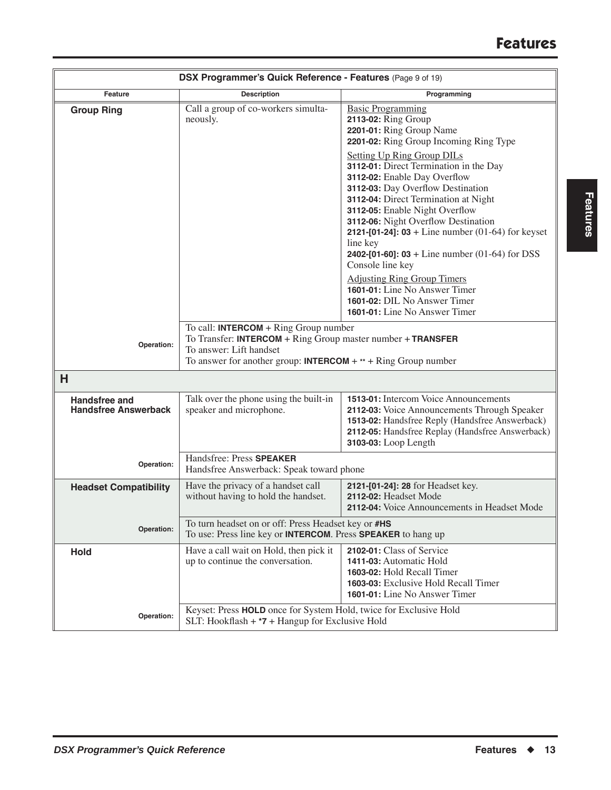| DSX Programmer's Quick Reference - Features (Page 9 of 19) |                                                                                                                                                                                                                |                                                                                                                                                                                                                                                                                                                                                                                                                                                                                                                                                   |  |
|------------------------------------------------------------|----------------------------------------------------------------------------------------------------------------------------------------------------------------------------------------------------------------|---------------------------------------------------------------------------------------------------------------------------------------------------------------------------------------------------------------------------------------------------------------------------------------------------------------------------------------------------------------------------------------------------------------------------------------------------------------------------------------------------------------------------------------------------|--|
| Feature                                                    | <b>Description</b>                                                                                                                                                                                             | Programming                                                                                                                                                                                                                                                                                                                                                                                                                                                                                                                                       |  |
| <b>Group Ring</b>                                          | Call a group of co-workers simulta-<br>neously.                                                                                                                                                                | <b>Basic Programming</b><br>2113-02: Ring Group<br>2201-01: Ring Group Name<br>2201-02: Ring Group Incoming Ring Type<br><b>Setting Up Ring Group DILs</b><br>3112-01: Direct Termination in the Day<br>3112-02: Enable Day Overflow<br>3112-03: Day Overflow Destination<br>3112-04: Direct Termination at Night<br>3112-05: Enable Night Overflow<br>3112-06: Night Overflow Destination<br><b>2121-[01-24]: 03</b> + Line number $(01-64)$ for keyset<br>line key<br><b>2402-[01-60]: 03</b> + Line number (01-64) for DSS<br>Console line key |  |
|                                                            |                                                                                                                                                                                                                | <b>Adjusting Ring Group Timers</b><br>1601-01: Line No Answer Timer<br>1601-02: DIL No Answer Timer<br>1601-01: Line No Answer Timer                                                                                                                                                                                                                                                                                                                                                                                                              |  |
| Operation:                                                 | To call: INTERCOM $+$ Ring Group number<br>To Transfer: INTERCOM $+$ Ring Group master number $+$ TRANSFER<br>To answer: Lift handset<br>To answer for another group: <b>INTERCOM</b> + ** + Ring Group number |                                                                                                                                                                                                                                                                                                                                                                                                                                                                                                                                                   |  |
| H                                                          |                                                                                                                                                                                                                |                                                                                                                                                                                                                                                                                                                                                                                                                                                                                                                                                   |  |
| Handsfree and<br><b>Handsfree Answerback</b>               | Talk over the phone using the built-in<br>speaker and microphone.                                                                                                                                              | 1513-01: Intercom Voice Announcements<br>2112-03: Voice Announcements Through Speaker<br>1513-02: Handsfree Reply (Handsfree Answerback)<br>2112-05: Handsfree Replay (Handsfree Answerback)<br>3103-03: Loop Length                                                                                                                                                                                                                                                                                                                              |  |
| Operation:                                                 | Handsfree: Press SPEAKER<br>Handsfree Answerback: Speak toward phone                                                                                                                                           |                                                                                                                                                                                                                                                                                                                                                                                                                                                                                                                                                   |  |
| <b>Headset Compatibility</b>                               | Have the privacy of a handset call<br>without having to hold the handset.                                                                                                                                      | 2121-[01-24]: 28 for Headset key.<br>2112-02: Headset Mode<br>2112-04: Voice Announcements in Headset Mode                                                                                                                                                                                                                                                                                                                                                                                                                                        |  |
| Operation:                                                 | To turn headset on or off: Press Headset key or #HS<br>To use: Press line key or INTERCOM. Press SPEAKER to hang up                                                                                            |                                                                                                                                                                                                                                                                                                                                                                                                                                                                                                                                                   |  |
| <b>Hold</b>                                                | Have a call wait on Hold, then pick it<br>up to continue the conversation.                                                                                                                                     | 2102-01: Class of Service<br>1411-03: Automatic Hold<br>1603-02: Hold Recall Timer<br><b>1603-03:</b> Exclusive Hold Recall Timer<br><b>1601-01:</b> Line No Answer Timer                                                                                                                                                                                                                                                                                                                                                                         |  |
| Operation:                                                 | Keyset: Press HOLD once for System Hold, twice for Exclusive Hold<br>SLT: Hookflash $+7$ + Hangup for Exclusive Hold                                                                                           |                                                                                                                                                                                                                                                                                                                                                                                                                                                                                                                                                   |  |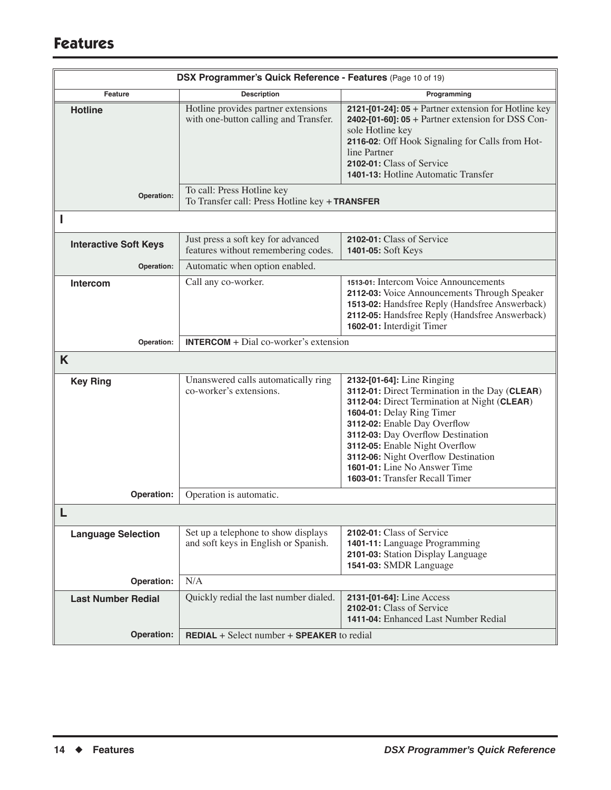|                              | DSX Programmer's Quick Reference - Features (Page 10 of 19)                  |                                                                                                                                                                                                                                                                                                                                                                           |
|------------------------------|------------------------------------------------------------------------------|---------------------------------------------------------------------------------------------------------------------------------------------------------------------------------------------------------------------------------------------------------------------------------------------------------------------------------------------------------------------------|
| Feature                      | <b>Description</b>                                                           | Programming                                                                                                                                                                                                                                                                                                                                                               |
| <b>Hotline</b>               | Hotline provides partner extensions<br>with one-button calling and Transfer. | 2121-[01-24]: $05 +$ Partner extension for Hotline key<br>2402-[01-60]: $05 +$ Partner extension for DSS Con-<br>sole Hotline key<br>2116-02: Off Hook Signaling for Calls from Hot-<br>line Partner<br>2102-01: Class of Service<br>1401-13: Hotline Automatic Transfer                                                                                                  |
| Operation:                   | To call: Press Hotline key<br>To Transfer call: Press Hotline key + TRANSFER |                                                                                                                                                                                                                                                                                                                                                                           |
|                              |                                                                              |                                                                                                                                                                                                                                                                                                                                                                           |
| <b>Interactive Soft Keys</b> | Just press a soft key for advanced<br>features without remembering codes.    | 2102-01: Class of Service<br>1401-05: Soft Keys                                                                                                                                                                                                                                                                                                                           |
| Operation:                   | Automatic when option enabled.                                               |                                                                                                                                                                                                                                                                                                                                                                           |
| Intercom                     | Call any co-worker.                                                          | 1513-01: Intercom Voice Announcements<br>2112-03: Voice Announcements Through Speaker<br>1513-02: Handsfree Reply (Handsfree Answerback)<br>2112-05: Handsfree Reply (Handsfree Answerback)<br>1602-01: Interdigit Timer                                                                                                                                                  |
| Operation:                   | <b>INTERCOM</b> + $Dial co-worder's extension$                               |                                                                                                                                                                                                                                                                                                                                                                           |
| K                            |                                                                              |                                                                                                                                                                                                                                                                                                                                                                           |
| <b>Key Ring</b>              | Unanswered calls automatically ring<br>co-worker's extensions.               | 2132-[01-64]: Line Ringing<br>3112-01: Direct Termination in the Day (CLEAR)<br>3112-04: Direct Termination at Night (CLEAR)<br>1604-01: Delay Ring Timer<br>3112-02: Enable Day Overflow<br>3112-03: Day Overflow Destination<br>3112-05: Enable Night Overflow<br>3112-06: Night Overflow Destination<br>1601-01: Line No Answer Time<br>1603-01: Transfer Recall Timer |
| Operation:                   | Operation is automatic.                                                      |                                                                                                                                                                                                                                                                                                                                                                           |
|                              |                                                                              |                                                                                                                                                                                                                                                                                                                                                                           |
| <b>Language Selection</b>    | Set up a telephone to show displays<br>and soft keys in English or Spanish.  | 2102-01: Class of Service<br>1401-11: Language Programming<br>2101-03: Station Display Language<br>1541-03: SMDR Language                                                                                                                                                                                                                                                 |
| Operation:                   | N/A                                                                          |                                                                                                                                                                                                                                                                                                                                                                           |
| <b>Last Number Redial</b>    | Quickly redial the last number dialed.                                       | 2131-[01-64]: Line Access<br>2102-01: Class of Service<br>1411-04: Enhanced Last Number Redial                                                                                                                                                                                                                                                                            |
| Operation:                   | <b>REDIAL</b> + Select number $+$ <b>SPEAKER</b> to redial                   |                                                                                                                                                                                                                                                                                                                                                                           |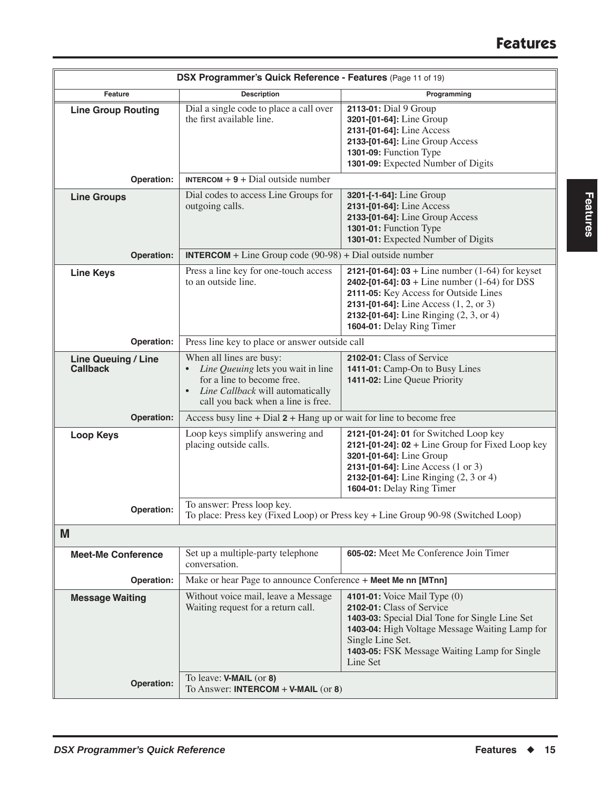| DSX Programmer's Quick Reference - Features (Page 11 of 19) |                                                                                                                                                                        |                                                                                                                                                                                                                                                                                                 |
|-------------------------------------------------------------|------------------------------------------------------------------------------------------------------------------------------------------------------------------------|-------------------------------------------------------------------------------------------------------------------------------------------------------------------------------------------------------------------------------------------------------------------------------------------------|
| Feature                                                     | <b>Description</b>                                                                                                                                                     | Programming                                                                                                                                                                                                                                                                                     |
| <b>Line Group Routing</b>                                   | Dial a single code to place a call over<br>the first available line.                                                                                                   | 2113-01: Dial 9 Group<br>3201-[01-64]: Line Group<br>2131-[01-64]: Line Access<br>2133-[01-64]: Line Group Access<br>1301-09: Function Type<br>1301-09: Expected Number of Digits                                                                                                               |
| Operation:                                                  | <b>INTERCOM</b> + $9$ + Dial outside number                                                                                                                            |                                                                                                                                                                                                                                                                                                 |
| <b>Line Groups</b>                                          | Dial codes to access Line Groups for<br>outgoing calls.                                                                                                                | 3201-[-1-64]: Line Group<br>2131-[01-64]: Line Access<br>2133-[01-64]: Line Group Access<br>1301-01: Function Type<br>1301-01: Expected Number of Digits                                                                                                                                        |
| Operation:                                                  | <b>INTERCOM</b> + Line Group code $(90-98)$ + Dial outside number                                                                                                      |                                                                                                                                                                                                                                                                                                 |
| <b>Line Keys</b>                                            | Press a line key for one-touch access<br>to an outside line.                                                                                                           | <b>2121-[01-64]: 03</b> + Line number $(1-64)$ for keyset<br><b>2402-[01-64]: 03</b> + Line number $(1-64)$ for DSS<br>2111-05: Key Access for Outside Lines<br><b>2131-[01-64]:</b> Line Access $(1, 2, \text{or } 3)$<br>2132-[01-64]: Line Ringing (2, 3, or 4)<br>1604-01: Delay Ring Timer |
| Operation:                                                  | Press line key to place or answer outside call                                                                                                                         |                                                                                                                                                                                                                                                                                                 |
| <b>Line Queuing / Line</b><br><b>Callback</b>               | When all lines are busy:<br>Line Queuing lets you wait in line<br>for a line to become free.<br>Line Callback will automatically<br>call you back when a line is free. | 2102-01: Class of Service<br>1411-01: Camp-On to Busy Lines<br>1411-02: Line Queue Priority                                                                                                                                                                                                     |
| Operation:                                                  | Access busy line $+$ Dial $2 +$ Hang up or wait for line to become free                                                                                                |                                                                                                                                                                                                                                                                                                 |
| <b>Loop Keys</b>                                            | Loop keys simplify answering and<br>placing outside calls.                                                                                                             | 2121-[01-24]: 01 for Switched Loop key<br>2121-[01-24]: $02 +$ Line Group for Fixed Loop key<br>3201-[01-64]: Line Group<br>2131-[01-64]: Line Access (1 or 3)<br><b>2132-[01-64]:</b> Line Ringing $(2, 3 \text{ or } 4)$<br>1604-01: Delay Ring Timer                                         |
| Operation:                                                  | To answer: Press loop key.                                                                                                                                             | To place: Press key (Fixed Loop) or Press key + Line Group 90-98 (Switched Loop)                                                                                                                                                                                                                |
| M                                                           |                                                                                                                                                                        |                                                                                                                                                                                                                                                                                                 |
| <b>Meet-Me Conference</b>                                   | Set up a multiple-party telephone<br>conversation.                                                                                                                     | 605-02: Meet Me Conference Join Timer                                                                                                                                                                                                                                                           |
| Operation:                                                  | Make or hear Page to announce Conference + Meet Me nn [MTnn]                                                                                                           |                                                                                                                                                                                                                                                                                                 |
| <b>Message Waiting</b>                                      | Without voice mail, leave a Message<br>Waiting request for a return call.                                                                                              | 4101-01: Voice Mail Type (0)<br>2102-01: Class of Service<br>1403-03: Special Dial Tone for Single Line Set<br>1403-04: High Voltage Message Waiting Lamp for<br>Single Line Set.<br>1403-05: FSK Message Waiting Lamp for Single<br>Line Set                                                   |
| Operation:                                                  | To leave: <b>V-MAIL</b> (or 8)<br>To Answer: INTERCOM $+$ V-MAIL (or 8)                                                                                                |                                                                                                                                                                                                                                                                                                 |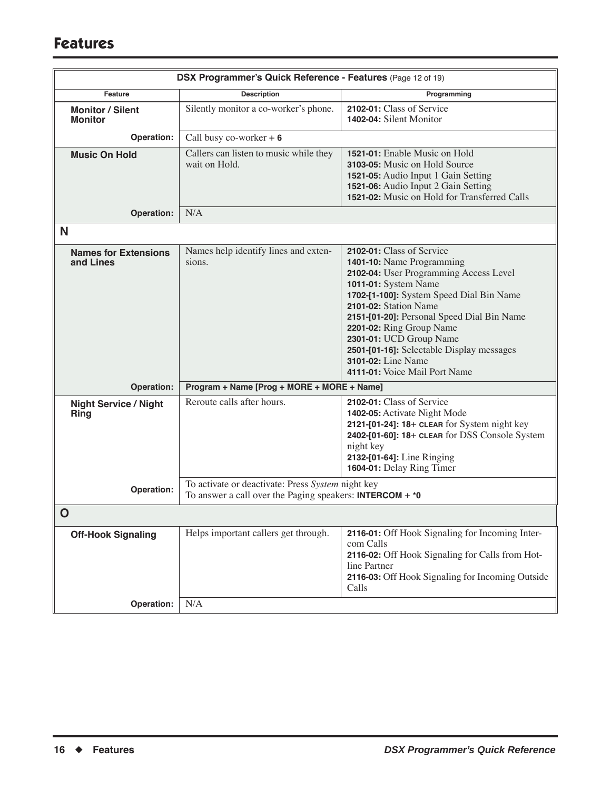| DSX Programmer's Quick Reference - Features (Page 12 of 19) |                                                                                                                                |                                                                                                                                                                                                                                                                                                                                                                                                        |
|-------------------------------------------------------------|--------------------------------------------------------------------------------------------------------------------------------|--------------------------------------------------------------------------------------------------------------------------------------------------------------------------------------------------------------------------------------------------------------------------------------------------------------------------------------------------------------------------------------------------------|
| Feature                                                     | <b>Description</b>                                                                                                             | Programming                                                                                                                                                                                                                                                                                                                                                                                            |
| <b>Monitor / Silent</b><br><b>Monitor</b>                   | Silently monitor a co-worker's phone.                                                                                          | 2102-01: Class of Service<br>1402-04: Silent Monitor                                                                                                                                                                                                                                                                                                                                                   |
| Operation:                                                  | Call busy co-worker $+ 6$                                                                                                      |                                                                                                                                                                                                                                                                                                                                                                                                        |
| <b>Music On Hold</b>                                        | Callers can listen to music while they<br>wait on Hold.                                                                        | 1521-01: Enable Music on Hold<br>3103-05: Music on Hold Source<br>1521-05: Audio Input 1 Gain Setting<br>1521-06: Audio Input 2 Gain Setting<br>1521-02: Music on Hold for Transferred Calls                                                                                                                                                                                                           |
| Operation:                                                  | N/A                                                                                                                            |                                                                                                                                                                                                                                                                                                                                                                                                        |
| N                                                           |                                                                                                                                |                                                                                                                                                                                                                                                                                                                                                                                                        |
| <b>Names for Extensions</b><br>and Lines                    | Names help identify lines and exten-<br>sions.                                                                                 | 2102-01: Class of Service<br>1401-10: Name Programming<br>2102-04: User Programming Access Level<br>1011-01: System Name<br>1702-[1-100]: System Speed Dial Bin Name<br>2101-02: Station Name<br>2151-[01-20]: Personal Speed Dial Bin Name<br>2201-02: Ring Group Name<br>2301-01: UCD Group Name<br>2501-[01-16]: Selectable Display messages<br>3101-02: Line Name<br>4111-01: Voice Mail Port Name |
| Operation:                                                  | Program + Name [Prog + MORE + MORE + Name]                                                                                     |                                                                                                                                                                                                                                                                                                                                                                                                        |
| <b>Night Service / Night</b><br>Ring                        | Reroute calls after hours.                                                                                                     | 2102-01: Class of Service<br>1402-05: Activate Night Mode<br>2121-[01-24]: 18+ CLEAR for System night key<br>2402-[01-60]: 18+ CLEAR for DSS Console System<br>night key<br>2132-[01-64]: Line Ringing<br>1604-01: Delay Ring Timer                                                                                                                                                                    |
| Operation:                                                  | To activate or deactivate: Press System night key<br>To answer a call over the Paging speakers: <b>INTERCOM</b> + $*$ <b>0</b> |                                                                                                                                                                                                                                                                                                                                                                                                        |
| O                                                           |                                                                                                                                |                                                                                                                                                                                                                                                                                                                                                                                                        |
| <b>Off-Hook Signaling</b>                                   | Helps important callers get through.                                                                                           | 2116-01: Off Hook Signaling for Incoming Inter-<br>com Calls<br>2116-02: Off Hook Signaling for Calls from Hot-<br>line Partner<br>2116-03: Off Hook Signaling for Incoming Outside<br>Calls                                                                                                                                                                                                           |
| Operation:                                                  | N/A                                                                                                                            |                                                                                                                                                                                                                                                                                                                                                                                                        |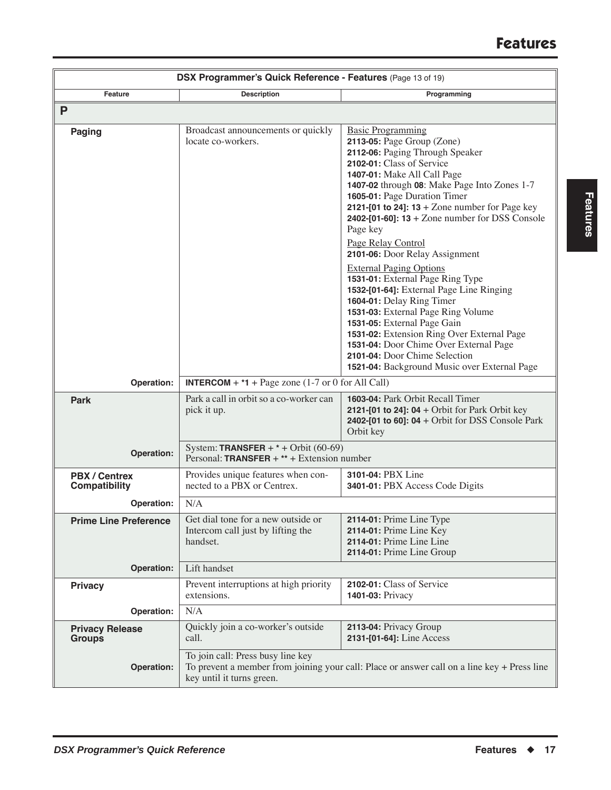| DSX Programmer's Quick Reference - Features (Page 13 of 19) |                                                                                        |                                                                                                                                                                                                                                                                                                                                                                                                                                                   |
|-------------------------------------------------------------|----------------------------------------------------------------------------------------|---------------------------------------------------------------------------------------------------------------------------------------------------------------------------------------------------------------------------------------------------------------------------------------------------------------------------------------------------------------------------------------------------------------------------------------------------|
| Feature                                                     | <b>Description</b>                                                                     | Programming                                                                                                                                                                                                                                                                                                                                                                                                                                       |
| P                                                           |                                                                                        |                                                                                                                                                                                                                                                                                                                                                                                                                                                   |
| <b>Paging</b>                                               | Broadcast announcements or quickly<br>locate co-workers.                               | <b>Basic Programming</b><br>2113-05: Page Group (Zone)<br>2112-06: Paging Through Speaker<br>2102-01: Class of Service<br>1407-01: Make All Call Page<br>1407-02 through 08: Make Page Into Zones 1-7<br>1605-01: Page Duration Timer<br>2121-[01 to 24]: $13 +$ Zone number for Page key<br>2402-[01-60]: $13 +$ Zone number for DSS Console<br>Page key                                                                                         |
|                                                             |                                                                                        | Page Relay Control<br>2101-06: Door Relay Assignment<br><b>External Paging Options</b><br>1531-01: External Page Ring Type<br>1532-[01-64]: External Page Line Ringing<br>1604-01: Delay Ring Timer<br>1531-03: External Page Ring Volume<br>1531-05: External Page Gain<br>1531-02: Extension Ring Over External Page<br>1531-04: Door Chime Over External Page<br>2101-04: Door Chime Selection<br>1521-04: Background Music over External Page |
| Operation:                                                  | <b>INTERCOM</b> + $*$ <b>1</b> + Page zone (1-7 or 0 for All Call)                     |                                                                                                                                                                                                                                                                                                                                                                                                                                                   |
| <b>Park</b>                                                 | Park a call in orbit so a co-worker can<br>pick it up.                                 | 1603-04: Park Orbit Recall Timer<br>2121-[01 to 24]: 04 + Orbit for Park Orbit key<br>2402-[01 to 60]: $04 +$ Orbit for DSS Console Park<br>Orbit key                                                                                                                                                                                                                                                                                             |
| Operation:                                                  | System: TRANSFER + $*$ + Orbit (60-69)<br>Personal: TRANSFER + $**$ + Extension number |                                                                                                                                                                                                                                                                                                                                                                                                                                                   |
| <b>PBX / Centrex</b><br><b>Compatibility</b>                | Provides unique features when con-<br>nected to a PBX or Centrex.                      | 3101-04: PBX Line<br>3401-01: PBX Access Code Digits                                                                                                                                                                                                                                                                                                                                                                                              |
| Operation:                                                  | N/A                                                                                    |                                                                                                                                                                                                                                                                                                                                                                                                                                                   |
| <b>Prime Line Preference</b>                                | Get dial tone for a new outside or<br>Intercom call just by lifting the<br>handset.    | 2114-01: Prime Line Type<br>2114-01: Prime Line Key<br>2114-01: Prime Line Line<br>2114-01: Prime Line Group                                                                                                                                                                                                                                                                                                                                      |
| <b>Operation:</b>                                           | Lift handset                                                                           |                                                                                                                                                                                                                                                                                                                                                                                                                                                   |
| <b>Privacy</b>                                              | Prevent interruptions at high priority<br>extensions.                                  | 2102-01: Class of Service<br>1401-03: Privacy                                                                                                                                                                                                                                                                                                                                                                                                     |
| Operation:                                                  | N/A                                                                                    |                                                                                                                                                                                                                                                                                                                                                                                                                                                   |
| <b>Privacy Release</b><br><b>Groups</b>                     | Quickly join a co-worker's outside<br>call.                                            | 2113-04: Privacy Group<br>2131-[01-64]: Line Access                                                                                                                                                                                                                                                                                                                                                                                               |
| Operation:                                                  | To join call: Press busy line key<br>key until it turns green.                         | To prevent a member from joining your call: Place or answer call on a line key + Press line                                                                                                                                                                                                                                                                                                                                                       |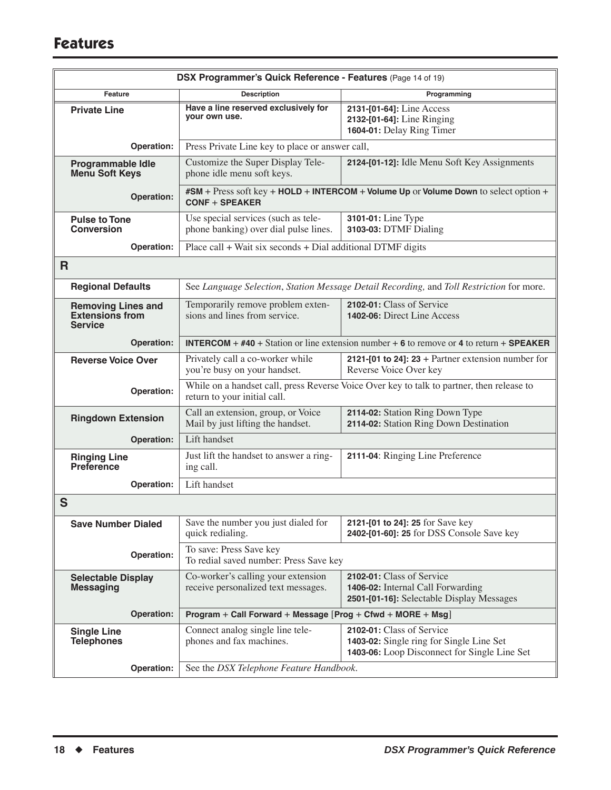| DSX Programmer's Quick Reference - Features (Page 14 of 19)           |                                                                                                    |                                                                                                                       |
|-----------------------------------------------------------------------|----------------------------------------------------------------------------------------------------|-----------------------------------------------------------------------------------------------------------------------|
| Feature                                                               | <b>Description</b>                                                                                 | Programming                                                                                                           |
| <b>Private Line</b>                                                   | Have a line reserved exclusively for<br>your own use.                                              | 2131-[01-64]: Line Access<br>2132-[01-64]: Line Ringing<br>1604-01: Delay Ring Timer                                  |
| Operation:                                                            | Press Private Line key to place or answer call,                                                    |                                                                                                                       |
| <b>Programmable Idle</b><br><b>Menu Soft Keys</b>                     | Customize the Super Display Tele-<br>phone idle menu soft keys.                                    | 2124-[01-12]: Idle Menu Soft Key Assignments                                                                          |
| <b>Operation:</b>                                                     | $CONF + SPEAKER$                                                                                   | #SM + Press soft key + HOLD + INTERCOM + Volume Up or Volume Down to select option +                                  |
| <b>Pulse to Tone</b><br><b>Conversion</b>                             | Use special services (such as tele-<br>phone banking) over dial pulse lines.                       | 3101-01: Line Type<br>3103-03: DTMF Dialing                                                                           |
| Operation:                                                            | Place call + Wait six seconds + Dial additional DTMF digits                                        |                                                                                                                       |
| $\mathsf{R}$                                                          |                                                                                                    |                                                                                                                       |
| <b>Regional Defaults</b>                                              |                                                                                                    | See Language Selection, Station Message Detail Recording, and Toll Restriction for more.                              |
| <b>Removing Lines and</b><br><b>Extensions from</b><br><b>Service</b> | Temporarily remove problem exten-<br>sions and lines from service.                                 | 2102-01: Class of Service<br>1402-06: Direct Line Access                                                              |
| Operation:                                                            | <b>INTERCOM</b> + $\#40$ + Station or line extension number + 6 to remove or 4 to return + SPEAKER |                                                                                                                       |
| <b>Reverse Voice Over</b>                                             | Privately call a co-worker while<br>you're busy on your handset.                                   | 2121-[01 to 24]: $23 +$ Partner extension number for<br>Reverse Voice Over key                                        |
| Operation:                                                            | return to your initial call.                                                                       | While on a handset call, press Reverse Voice Over key to talk to partner, then release to                             |
| <b>Ringdown Extension</b>                                             | Call an extension, group, or Voice<br>Mail by just lifting the handset.                            | 2114-02: Station Ring Down Type<br>2114-02: Station Ring Down Destination                                             |
| <b>Operation:</b>                                                     | Lift handset                                                                                       |                                                                                                                       |
| <b>Ringing Line</b><br><b>Preference</b>                              | Just lift the handset to answer a ring-<br>ing call.                                               | 2111-04: Ringing Line Preference                                                                                      |
| Operation:                                                            | Lift handset                                                                                       |                                                                                                                       |
| S                                                                     |                                                                                                    |                                                                                                                       |
| <b>Save Number Dialed</b>                                             | Save the number you just dialed for<br>quick redialing.                                            | 2121-[01 to 24]: 25 for Save key<br>2402-[01-60]: 25 for DSS Console Save key                                         |
| Operation:                                                            | To save: Press Save key<br>To redial saved number: Press Save key                                  |                                                                                                                       |
| <b>Selectable Display</b><br><b>Messaging</b>                         | Co-worker's calling your extension<br>receive personalized text messages.                          | 2102-01: Class of Service<br>1406-02: Internal Call Forwarding<br>2501-[01-16]: Selectable Display Messages           |
| <b>Operation:</b>                                                     | Program + Call Forward + Message [Prog + Cfwd + MORE + Msg]                                        |                                                                                                                       |
| <b>Single Line</b><br><b>Telephones</b>                               | Connect analog single line tele-<br>phones and fax machines.                                       | 2102-01: Class of Service<br>1403-02: Single ring for Single Line Set<br>1403-06: Loop Disconnect for Single Line Set |
| Operation:                                                            | See the DSX Telephone Feature Handbook.                                                            |                                                                                                                       |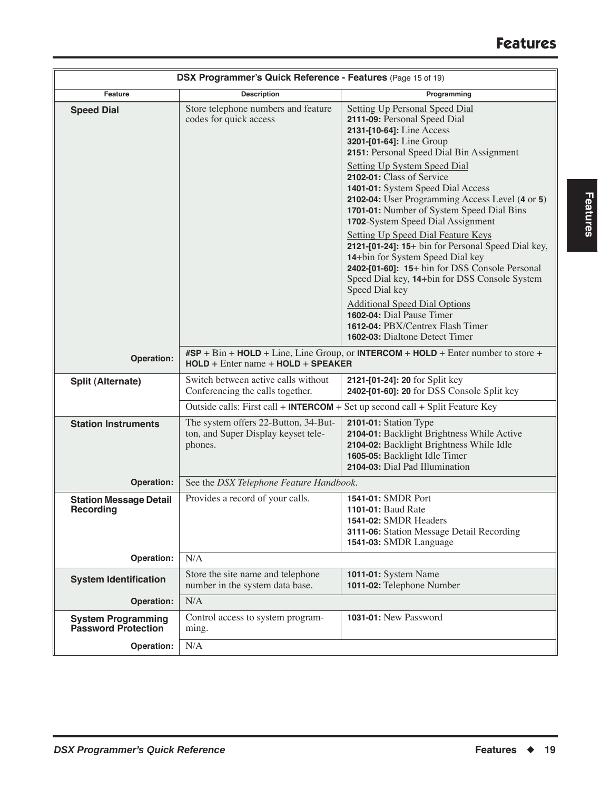| DSX Programmer's Quick Reference - Features (Page 15 of 19) |                                                                                        |                                                                                                                                                                                                                                                                                                                                                                                                                                                                                                 |
|-------------------------------------------------------------|----------------------------------------------------------------------------------------|-------------------------------------------------------------------------------------------------------------------------------------------------------------------------------------------------------------------------------------------------------------------------------------------------------------------------------------------------------------------------------------------------------------------------------------------------------------------------------------------------|
| Feature                                                     | <b>Description</b>                                                                     | Programming                                                                                                                                                                                                                                                                                                                                                                                                                                                                                     |
| <b>Speed Dial</b>                                           | Store telephone numbers and feature<br>codes for quick access                          | <b>Setting Up Personal Speed Dial</b><br>2111-09: Personal Speed Dial<br>2131-[10-64]: Line Access<br>3201-[01-64]: Line Group<br>2151: Personal Speed Dial Bin Assignment                                                                                                                                                                                                                                                                                                                      |
|                                                             |                                                                                        | Setting Up System Speed Dial<br>2102-01: Class of Service<br>1401-01: System Speed Dial Access<br>2102-04: User Programming Access Level (4 or 5)<br>1701-01: Number of System Speed Dial Bins<br>1702-System Speed Dial Assignment<br><b>Setting Up Speed Dial Feature Keys</b><br>2121-[01-24]: 15+ bin for Personal Speed Dial key,<br>14+bin for System Speed Dial key<br>2402-[01-60]: 15+ bin for DSS Console Personal<br>Speed Dial key, 14+bin for DSS Console System<br>Speed Dial key |
|                                                             |                                                                                        | <b>Additional Speed Dial Options</b><br>1602-04: Dial Pause Timer<br>1612-04: PBX/Centrex Flash Timer<br><b>1602-03:</b> Dialtone Detect Timer                                                                                                                                                                                                                                                                                                                                                  |
| Operation:                                                  | $HOLD + Enter name + HOLD + SPEAKER$                                                   | $\#SP + Bin + HOLD + Line$ , Line Group, or INTERCOM + HOLD + Enter number to store +                                                                                                                                                                                                                                                                                                                                                                                                           |
| <b>Split (Alternate)</b>                                    | Switch between active calls without<br>Conferencing the calls together.                | 2121-[01-24]: 20 for Split key<br>2402-[01-60]: 20 for DSS Console Split key                                                                                                                                                                                                                                                                                                                                                                                                                    |
|                                                             |                                                                                        | Outside calls: First call + INTERCOM + Set up second call + Split Feature Key                                                                                                                                                                                                                                                                                                                                                                                                                   |
| <b>Station Instruments</b>                                  | The system offers 22-Button, 34-But-<br>ton, and Super Display keyset tele-<br>phones. | 2101-01: Station Type<br>2104-01: Backlight Brightness While Active<br>2104-02: Backlight Brightness While Idle<br>1605-05: Backlight Idle Timer<br>2104-03: Dial Pad Illumination                                                                                                                                                                                                                                                                                                              |
| Operation:                                                  | See the DSX Telephone Feature Handbook.                                                |                                                                                                                                                                                                                                                                                                                                                                                                                                                                                                 |
| <b>Station Message Detail</b><br><b>Recording</b>           | Provides a record of your calls.                                                       | 1541-01: SMDR Port<br>1101-01: Baud Rate<br><b>1541-02:</b> SMDR Headers<br>3111-06: Station Message Detail Recording<br>1541-03: SMDR Language                                                                                                                                                                                                                                                                                                                                                 |
| Operation:                                                  | N/A                                                                                    |                                                                                                                                                                                                                                                                                                                                                                                                                                                                                                 |
| <b>System Identification</b>                                | Store the site name and telephone<br>number in the system data base.                   | <b>1011-01:</b> System Name<br>1011-02: Telephone Number                                                                                                                                                                                                                                                                                                                                                                                                                                        |
| Operation:                                                  | N/A                                                                                    |                                                                                                                                                                                                                                                                                                                                                                                                                                                                                                 |
| <b>System Programming</b><br>Password Protection            | Control access to system program-<br>ming.                                             | 1031-01: New Password                                                                                                                                                                                                                                                                                                                                                                                                                                                                           |
| Operation:                                                  | N/A                                                                                    |                                                                                                                                                                                                                                                                                                                                                                                                                                                                                                 |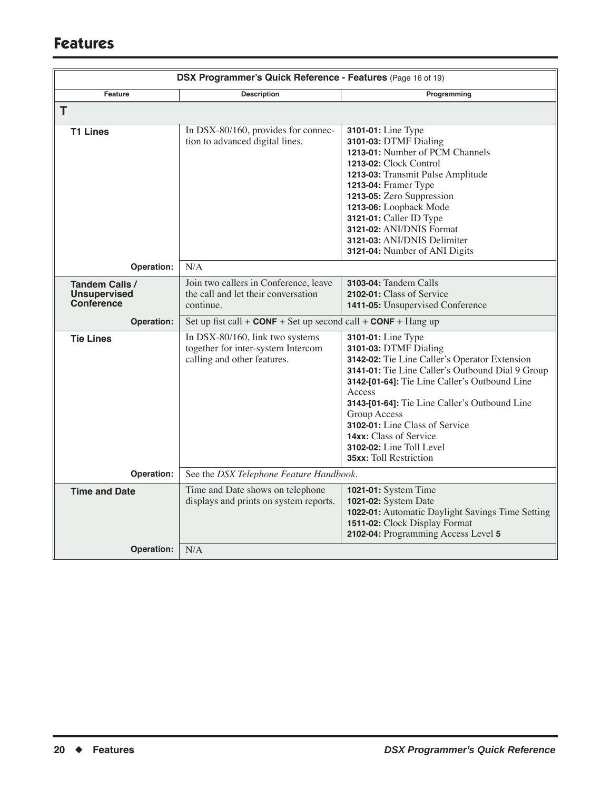| DSX Programmer's Quick Reference - Features (Page 16 of 19) |                                                                                                      |                                                                                                                                                                                                                                                                                                                                                                                                       |
|-------------------------------------------------------------|------------------------------------------------------------------------------------------------------|-------------------------------------------------------------------------------------------------------------------------------------------------------------------------------------------------------------------------------------------------------------------------------------------------------------------------------------------------------------------------------------------------------|
| Feature                                                     | <b>Description</b>                                                                                   | Programming                                                                                                                                                                                                                                                                                                                                                                                           |
| T.                                                          |                                                                                                      |                                                                                                                                                                                                                                                                                                                                                                                                       |
| <b>T1 Lines</b>                                             | In DSX-80/160, provides for connec-<br>tion to advanced digital lines.                               | 3101-01: Line Type<br>3101-03: DTMF Dialing<br>1213-01: Number of PCM Channels<br><b>1213-02:</b> Clock Control<br>1213-03: Transmit Pulse Amplitude<br><b>1213-04: Framer Type</b><br>1213-05: Zero Suppression<br>1213-06: Loopback Mode<br>3121-01: Caller ID Type<br>3121-02: ANI/DNIS Format<br>3121-03: ANI/DNIS Delimiter<br>3121-04: Number of ANI Digits                                     |
| Operation:                                                  | N/A                                                                                                  |                                                                                                                                                                                                                                                                                                                                                                                                       |
| Tandem Calls /<br><b>Unsupervised</b><br><b>Conference</b>  | Join two callers in Conference, leave<br>the call and let their conversation<br>continue.            | 3103-04: Tandem Calls<br>2102-01: Class of Service<br>1411-05: Unsupervised Conference                                                                                                                                                                                                                                                                                                                |
| Operation:                                                  | Set up fist call + $CONF + Set$ up second call + $CONF + H$ Hang up                                  |                                                                                                                                                                                                                                                                                                                                                                                                       |
| <b>Tie Lines</b>                                            | In DSX-80/160, link two systems<br>together for inter-system Intercom<br>calling and other features. | 3101-01: Line Type<br>3101-03: DTMF Dialing<br>3142-02: Tie Line Caller's Operator Extension<br>3141-01: Tie Line Caller's Outbound Dial 9 Group<br>3142-[01-64]: Tie Line Caller's Outbound Line<br>Access<br>3143-[01-64]: Tie Line Caller's Outbound Line<br><b>Group Access</b><br>3102-01: Line Class of Service<br>14xx: Class of Service<br>3102-02: Line Toll Level<br>35xx: Toll Restriction |
| Operation:                                                  | See the DSX Telephone Feature Handbook.                                                              |                                                                                                                                                                                                                                                                                                                                                                                                       |
| <b>Time and Date</b>                                        | Time and Date shows on telephone<br>displays and prints on system reports.                           | 1021-01: System Time<br>1021-02: System Date<br>1022-01: Automatic Daylight Savings Time Setting<br>1511-02: Clock Display Format<br>2102-04: Programming Access Level 5                                                                                                                                                                                                                              |
| Operation:                                                  | N/A                                                                                                  |                                                                                                                                                                                                                                                                                                                                                                                                       |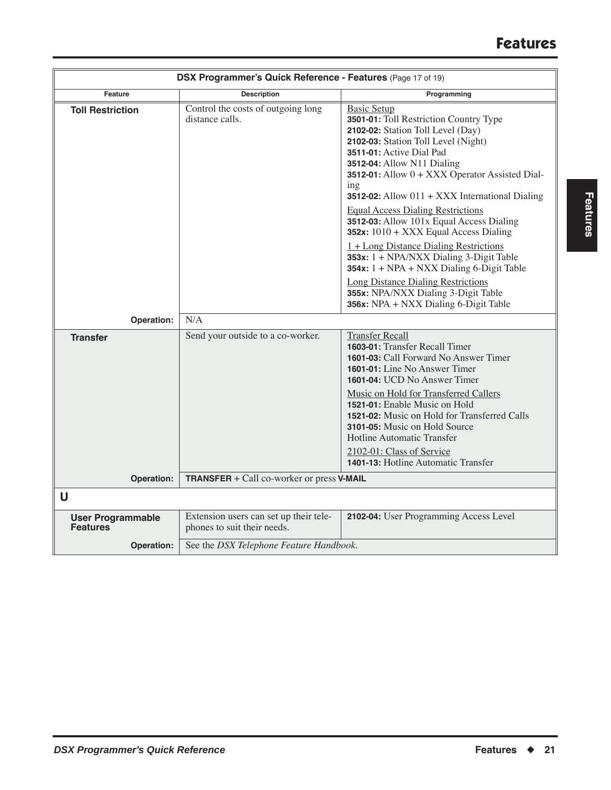| DSX Programmer's Quick Reference - Features (Page 17 of 19) |                                                                       |                                                                                                                                                                                                                                                                                                                          |
|-------------------------------------------------------------|-----------------------------------------------------------------------|--------------------------------------------------------------------------------------------------------------------------------------------------------------------------------------------------------------------------------------------------------------------------------------------------------------------------|
| Feature                                                     | <b>Description</b>                                                    | Programming                                                                                                                                                                                                                                                                                                              |
| <b>Toll Restriction</b>                                     | Control the costs of outgoing long<br>distance calls.                 | <b>Basic Setup</b><br>3501-01: Toll Restriction Country Type<br>2102-02: Station Toll Level (Day)<br>2102-03: Station Toll Level (Night)<br>3511-01: Active Dial Pad<br>3512-04: Allow N11 Dialing<br>3512-01: Allow $0 + XXX$ Operator Assisted Dial-<br>ing<br><b>3512-02:</b> Allow $011 + XXX$ International Dialing |
|                                                             |                                                                       | <b>Equal Access Dialing Restrictions</b><br>3512-03: Allow 101x Equal Access Dialing<br>352x: $1010 + XXX$ Equal Access Dialing                                                                                                                                                                                          |
|                                                             |                                                                       | $1 + Long Distance Dialing Restrictions$<br>353 $x: 1 + NPA/NXX$ Dialing 3-Digit Table<br>$354x: 1 + NPA + NXX Dialing 6-Digit Table$                                                                                                                                                                                    |
|                                                             |                                                                       | <b>Long Distance Dialing Restrictions</b><br>355x: NPA/NXX Dialing 3-Digit Table<br>356x: NPA + NXX Dialing 6-Digit Table                                                                                                                                                                                                |
| Operation:                                                  | N/A                                                                   |                                                                                                                                                                                                                                                                                                                          |
| <b>Transfer</b>                                             | Send your outside to a co-worker.                                     | <b>Transfer Recall</b><br>1603-01: Transfer Recall Timer<br>1601-03: Call Forward No Answer Timer<br><b>1601-01:</b> Line No Answer Timer<br><b>1601-04: UCD No Answer Timer</b>                                                                                                                                         |
|                                                             |                                                                       | Music on Hold for Transferred Callers<br>1521-01: Enable Music on Hold<br>1521-02: Music on Hold for Transferred Calls<br>3101-05: Music on Hold Source<br><b>Hotline Automatic Transfer</b>                                                                                                                             |
|                                                             |                                                                       | 2102-01: Class of Service<br>1401-13: Hotline Automatic Transfer                                                                                                                                                                                                                                                         |
| Operation:                                                  | TRANSFER + Call co-worker or press V-MAIL                             |                                                                                                                                                                                                                                                                                                                          |
| U                                                           |                                                                       |                                                                                                                                                                                                                                                                                                                          |
| <b>User Programmable</b><br><b>Features</b>                 | Extension users can set up their tele-<br>phones to suit their needs. | 2102-04: User Programming Access Level                                                                                                                                                                                                                                                                                   |
| Operation:                                                  | See the DSX Telephone Feature Handbook.                               |                                                                                                                                                                                                                                                                                                                          |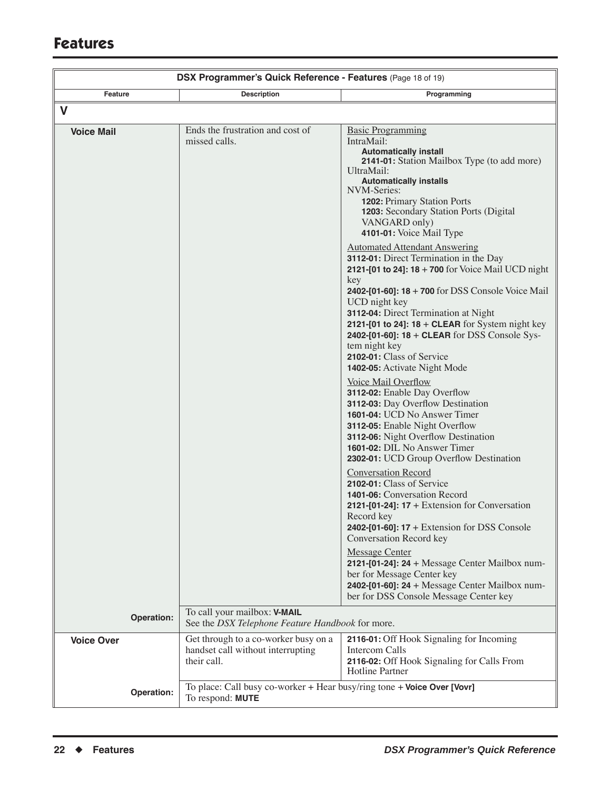| DSX Programmer's Quick Reference - Features (Page 18 of 19) |                                                                                             |                                                                                                                                                                                                                                                                                                                                                                                                                                                                                                                                                                                                                                                                                                                                                                                                                                                                                                                                                                                                                                                                                                                                                                                                                                                                                                                                                                                                                                    |
|-------------------------------------------------------------|---------------------------------------------------------------------------------------------|------------------------------------------------------------------------------------------------------------------------------------------------------------------------------------------------------------------------------------------------------------------------------------------------------------------------------------------------------------------------------------------------------------------------------------------------------------------------------------------------------------------------------------------------------------------------------------------------------------------------------------------------------------------------------------------------------------------------------------------------------------------------------------------------------------------------------------------------------------------------------------------------------------------------------------------------------------------------------------------------------------------------------------------------------------------------------------------------------------------------------------------------------------------------------------------------------------------------------------------------------------------------------------------------------------------------------------------------------------------------------------------------------------------------------------|
| Feature                                                     | <b>Description</b>                                                                          | Programming                                                                                                                                                                                                                                                                                                                                                                                                                                                                                                                                                                                                                                                                                                                                                                                                                                                                                                                                                                                                                                                                                                                                                                                                                                                                                                                                                                                                                        |
| V                                                           |                                                                                             |                                                                                                                                                                                                                                                                                                                                                                                                                                                                                                                                                                                                                                                                                                                                                                                                                                                                                                                                                                                                                                                                                                                                                                                                                                                                                                                                                                                                                                    |
| <b>Voice Mail</b>                                           | Ends the frustration and cost of<br>missed calls.                                           | <b>Basic Programming</b><br>IntraMail:<br><b>Automatically install</b><br><b>2141-01:</b> Station Mailbox Type (to add more)<br>UltraMail:<br><b>Automatically installs</b><br><b>NVM-Series:</b><br><b>1202: Primary Station Ports</b><br><b>1203:</b> Secondary Station Ports (Digital<br>VANGARD only)<br>4101-01: Voice Mail Type<br><b>Automated Attendant Answering</b><br>3112-01: Direct Termination in the Day<br>2121-[01 to 24]: $18 + 700$ for Voice Mail UCD night<br>key<br><b>2402-[01-60]: 18 + 700</b> for DSS Console Voice Mail<br>UCD night key<br>3112-04: Direct Termination at Night<br>2121-[01 to 24]: $18 +$ CLEAR for System night key<br>2402-[01-60]: 18 + CLEAR for DSS Console Sys-<br>tem night key<br>2102-01: Class of Service<br>1402-05: Activate Night Mode<br>Voice Mail Overflow<br>3112-02: Enable Day Overflow<br>3112-03: Day Overflow Destination<br>1601-04: UCD No Answer Timer<br>3112-05: Enable Night Overflow<br>3112-06: Night Overflow Destination<br>1601-02: DIL No Answer Timer<br>2302-01: UCD Group Overflow Destination<br><b>Conversation Record</b><br>2102-01: Class of Service<br>1401-06: Conversation Record<br>2121-[01-24]: $17 +$ Extension for Conversation<br>Record key<br>2402-[01-60]: 17 + Extension for DSS Console<br>Conversation Record key<br><b>Message Center</b><br>2121-[01-24]: $24 + Message Center Mailbox num-$<br>ber for Message Center key |
|                                                             |                                                                                             | 2402-[01-60]: $24 +$ Message Center Mailbox num-<br>ber for DSS Console Message Center key                                                                                                                                                                                                                                                                                                                                                                                                                                                                                                                                                                                                                                                                                                                                                                                                                                                                                                                                                                                                                                                                                                                                                                                                                                                                                                                                         |
| Operation:                                                  | To call your mailbox: V-MAIL<br>See the DSX Telephone Feature Handbook for more.            |                                                                                                                                                                                                                                                                                                                                                                                                                                                                                                                                                                                                                                                                                                                                                                                                                                                                                                                                                                                                                                                                                                                                                                                                                                                                                                                                                                                                                                    |
| <b>Voice Over</b>                                           | Get through to a co-worker busy on a<br>handset call without interrupting<br>their call.    | 2116-01: Off Hook Signaling for Incoming<br>Intercom Calls<br>2116-02: Off Hook Signaling for Calls From<br><b>Hotline Partner</b>                                                                                                                                                                                                                                                                                                                                                                                                                                                                                                                                                                                                                                                                                                                                                                                                                                                                                                                                                                                                                                                                                                                                                                                                                                                                                                 |
| Operation:                                                  | To place: Call busy co-worker + Hear busy/ring tone + Voice Over [Vovr]<br>To respond: MUTE |                                                                                                                                                                                                                                                                                                                                                                                                                                                                                                                                                                                                                                                                                                                                                                                                                                                                                                                                                                                                                                                                                                                                                                                                                                                                                                                                                                                                                                    |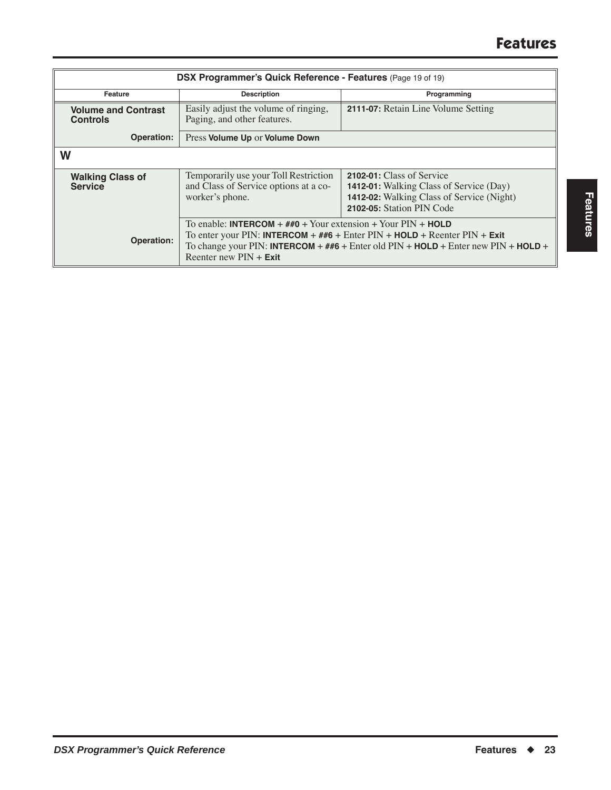| DSX Programmer's Quick Reference - Features (Page 19 of 19) |                                                                                                                                                                                                                                                                                                                     |                                                                                                                                                       |
|-------------------------------------------------------------|---------------------------------------------------------------------------------------------------------------------------------------------------------------------------------------------------------------------------------------------------------------------------------------------------------------------|-------------------------------------------------------------------------------------------------------------------------------------------------------|
| Feature                                                     | <b>Description</b>                                                                                                                                                                                                                                                                                                  | Programming                                                                                                                                           |
| <b>Volume and Contrast</b><br><b>Controls</b>               | Easily adjust the volume of ringing,<br>Paging, and other features.                                                                                                                                                                                                                                                 | 2111-07: Retain Line Volume Setting                                                                                                                   |
| Operation:                                                  | Press Volume Up or Volume Down                                                                                                                                                                                                                                                                                      |                                                                                                                                                       |
| W                                                           |                                                                                                                                                                                                                                                                                                                     |                                                                                                                                                       |
| <b>Walking Class of</b><br><b>Service</b>                   | Temporarily use your Toll Restriction<br>and Class of Service options at a co-<br>worker's phone.                                                                                                                                                                                                                   | 2102-01: Class of Service<br><b>1412-01:</b> Walking Class of Service (Day)<br>1412-02: Walking Class of Service (Night)<br>2102-05: Station PIN Code |
| Operation:                                                  | To enable: <b>INTERCOM</b> + $\#$ <b>#0</b> + Your extension + Your PIN + <b>HOLD</b><br>To enter your PIN: INTERCOM + $\#$ #6 + Enter PIN + HOLD + Reenter PIN + Exit<br>To change your PIN: <b>INTERCOM</b> + $\# \# 6$ + Enter old PIN + <b>HOLD</b> + Enter new PIN + <b>HOLD</b> +<br>Reenter new $PIN + Exit$ |                                                                                                                                                       |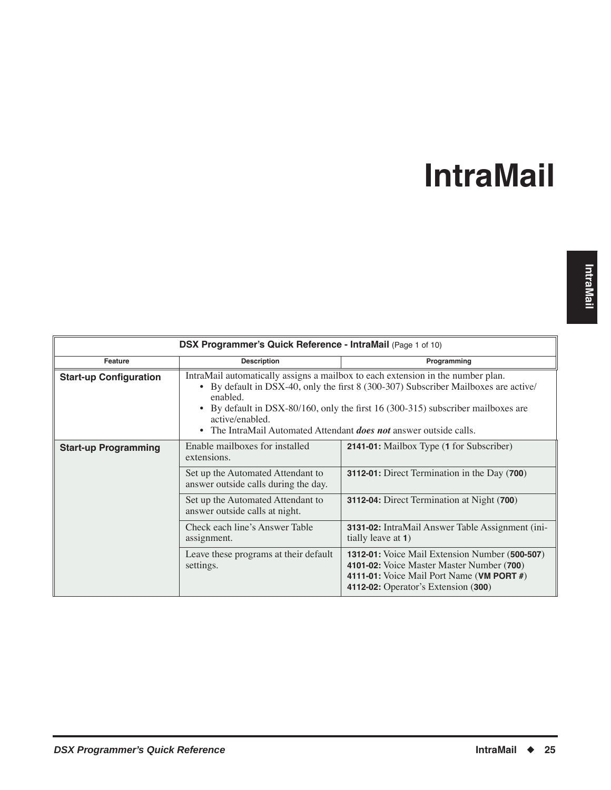<span id="page-28-0"></span>

| DSX Programmer's Quick Reference - IntraMail (Page 1 of 10) |                                                                                                          |                                                                                                                                                                                                                                                            |
|-------------------------------------------------------------|----------------------------------------------------------------------------------------------------------|------------------------------------------------------------------------------------------------------------------------------------------------------------------------------------------------------------------------------------------------------------|
| Feature                                                     | <b>Description</b>                                                                                       | Programming                                                                                                                                                                                                                                                |
| <b>Start-up Configuration</b>                               | enabled.<br>active/enabled.<br>• The IntraMail Automated Attendant <i>does not</i> answer outside calls. | IntraMail automatically assigns a mailbox to each extension in the number plan.<br>• By default in DSX-40, only the first 8 (300-307) Subscriber Mailboxes are active/<br>• By default in DSX-80/160, only the first 16 (300-315) subscriber mailboxes are |
| <b>Start-up Programming</b>                                 | Enable mailboxes for installed<br>extensions.                                                            | 2141-01: Mailbox Type (1 for Subscriber)                                                                                                                                                                                                                   |
|                                                             | Set up the Automated Attendant to<br>answer outside calls during the day.                                | <b>3112-01:</b> Direct Termination in the Day ( <b>700</b> )                                                                                                                                                                                               |
|                                                             | Set up the Automated Attendant to<br>answer outside calls at night.                                      | 3112-04: Direct Termination at Night (700)                                                                                                                                                                                                                 |
|                                                             | Check each line's Answer Table<br>assignment.                                                            | 3131-02: IntraMail Answer Table Assignment (ini-<br>tially leave at 1)                                                                                                                                                                                     |
|                                                             | Leave these programs at their default<br>settings.                                                       | 1312-01: Voice Mail Extension Number (500-507)<br>4101-02: Voice Master Master Number (700)<br>4111-01: Voice Mail Port Name (VM PORT $#$ )<br>4112-02: Operator's Extension (300)                                                                         |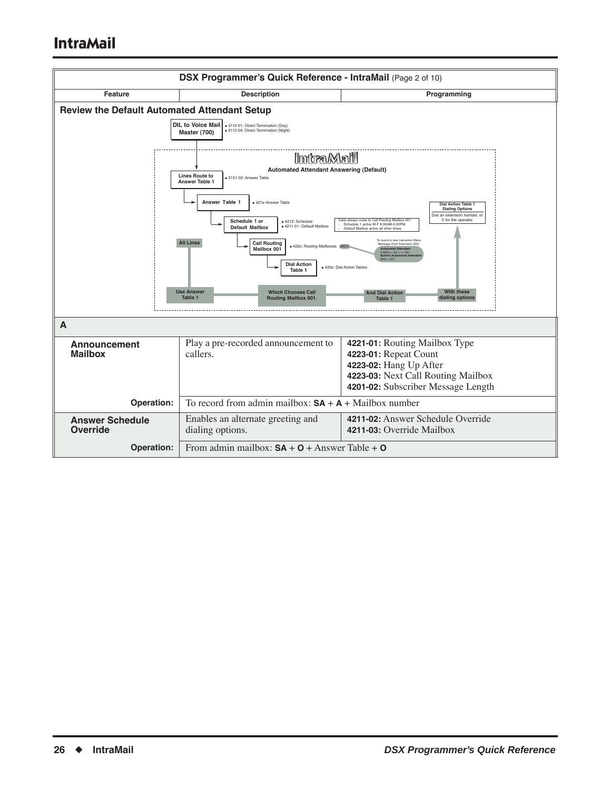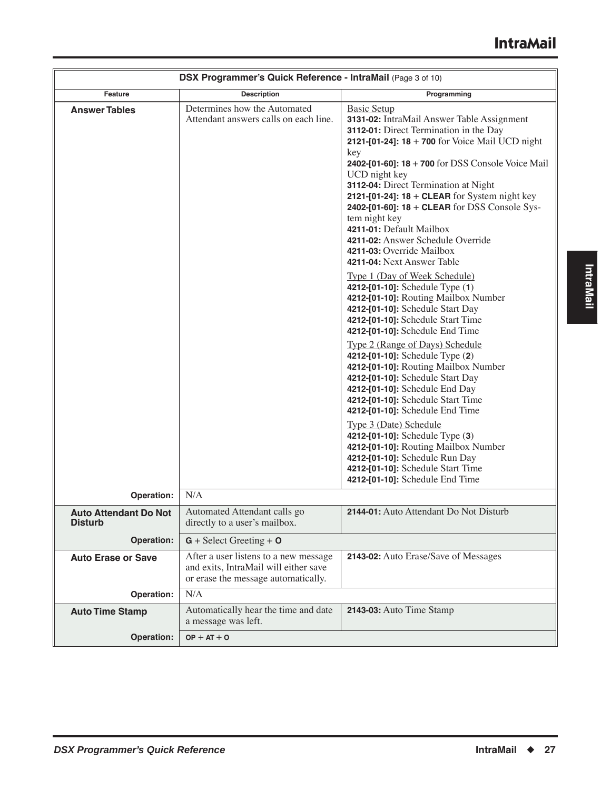|                                                | DSX Programmer's Quick Reference - IntraMail (Page 3 of 10)                                                           |                                                                                                                                                                                                                                                                                                                                                                                                                                                                                                                                                                                                                                                                                                                                                                                                                                                                                                                                                                                                                                                                                                                                                                                                       |
|------------------------------------------------|-----------------------------------------------------------------------------------------------------------------------|-------------------------------------------------------------------------------------------------------------------------------------------------------------------------------------------------------------------------------------------------------------------------------------------------------------------------------------------------------------------------------------------------------------------------------------------------------------------------------------------------------------------------------------------------------------------------------------------------------------------------------------------------------------------------------------------------------------------------------------------------------------------------------------------------------------------------------------------------------------------------------------------------------------------------------------------------------------------------------------------------------------------------------------------------------------------------------------------------------------------------------------------------------------------------------------------------------|
| Feature                                        | <b>Description</b>                                                                                                    | Programming                                                                                                                                                                                                                                                                                                                                                                                                                                                                                                                                                                                                                                                                                                                                                                                                                                                                                                                                                                                                                                                                                                                                                                                           |
| <b>Answer Tables</b>                           | Determines how the Automated<br>Attendant answers calls on each line.                                                 | <b>Basic Setup</b><br>3131-02: IntraMail Answer Table Assignment<br>3112-01: Direct Termination in the Day<br>2121-[01-24]: $18 + 700$ for Voice Mail UCD night<br>key<br>2402-[01-60]: 18 + 700 for DSS Console Voice Mail<br>UCD night key<br>3112-04: Direct Termination at Night<br>2121-[01-24]: $18 +$ CLEAR for System night key<br>2402-[01-60]: 18 + CLEAR for DSS Console Sys-<br>tem night key<br>4211-01: Default Mailbox<br>4211-02: Answer Schedule Override<br>4211-03: Override Mailbox<br>4211-04: Next Answer Table<br>Type 1 (Day of Week Schedule)<br>4212-[01-10]: Schedule Type (1)<br>4212-[01-10]: Routing Mailbox Number<br>4212-[01-10]: Schedule Start Day<br>4212-[01-10]: Schedule Start Time<br>4212-[01-10]: Schedule End Time<br>Type 2 (Range of Days) Schedule<br>4212-[01-10]: Schedule Type (2)<br>4212-[01-10]: Routing Mailbox Number<br>4212-[01-10]: Schedule Start Day<br>4212-[01-10]: Schedule End Day<br>4212-[01-10]: Schedule Start Time<br>4212-[01-10]: Schedule End Time<br>Type 3 (Date) Schedule<br>4212-[01-10]: Schedule Type (3)<br>4212-[01-10]: Routing Mailbox Number<br>4212-[01-10]: Schedule Run Day<br>4212-[01-10]: Schedule Start Time |
|                                                |                                                                                                                       | 4212-[01-10]: Schedule End Time                                                                                                                                                                                                                                                                                                                                                                                                                                                                                                                                                                                                                                                                                                                                                                                                                                                                                                                                                                                                                                                                                                                                                                       |
| Operation:                                     | N/A                                                                                                                   |                                                                                                                                                                                                                                                                                                                                                                                                                                                                                                                                                                                                                                                                                                                                                                                                                                                                                                                                                                                                                                                                                                                                                                                                       |
| <b>Auto Attendant Do Not</b><br><b>Disturb</b> | Automated Attendant calls go<br>directly to a user's mailbox.                                                         | 2144-01: Auto Attendant Do Not Disturb                                                                                                                                                                                                                                                                                                                                                                                                                                                                                                                                                                                                                                                                                                                                                                                                                                                                                                                                                                                                                                                                                                                                                                |
| Operation:                                     | $G + Select Greeting + O$                                                                                             |                                                                                                                                                                                                                                                                                                                                                                                                                                                                                                                                                                                                                                                                                                                                                                                                                                                                                                                                                                                                                                                                                                                                                                                                       |
| <b>Auto Erase or Save</b>                      | After a user listens to a new message<br>and exits, IntraMail will either save<br>or erase the message automatically. | 2143-02: Auto Erase/Save of Messages                                                                                                                                                                                                                                                                                                                                                                                                                                                                                                                                                                                                                                                                                                                                                                                                                                                                                                                                                                                                                                                                                                                                                                  |
| Operation:                                     | N/A                                                                                                                   |                                                                                                                                                                                                                                                                                                                                                                                                                                                                                                                                                                                                                                                                                                                                                                                                                                                                                                                                                                                                                                                                                                                                                                                                       |
| <b>Auto Time Stamp</b>                         | Automatically hear the time and date<br>a message was left.                                                           | 2143-03: Auto Time Stamp                                                                                                                                                                                                                                                                                                                                                                                                                                                                                                                                                                                                                                                                                                                                                                                                                                                                                                                                                                                                                                                                                                                                                                              |
| Operation:                                     | $OP + AT + O$                                                                                                         |                                                                                                                                                                                                                                                                                                                                                                                                                                                                                                                                                                                                                                                                                                                                                                                                                                                                                                                                                                                                                                                                                                                                                                                                       |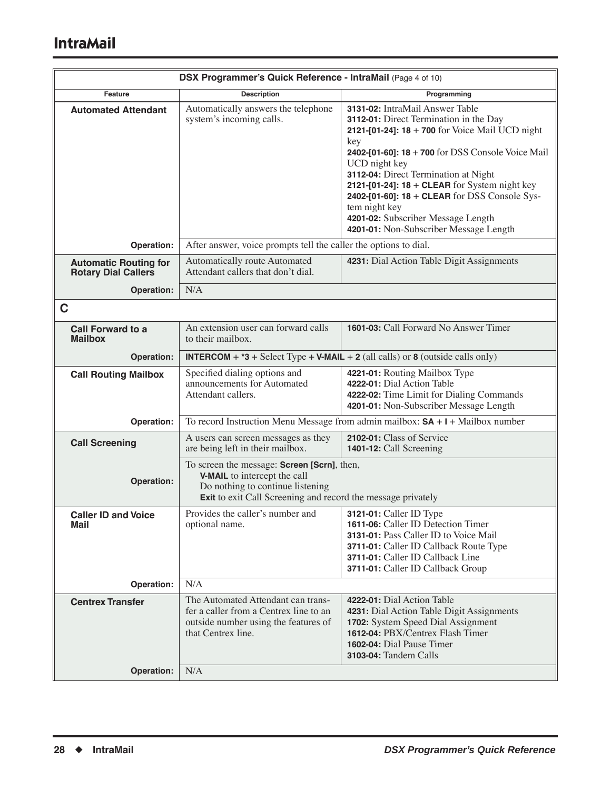|                                                            | DSX Programmer's Quick Reference - IntraMail (Page 4 of 10)                                                                                                                     |                                                                                                                                                                                                                                                                                                                                                                                                                                                          |
|------------------------------------------------------------|---------------------------------------------------------------------------------------------------------------------------------------------------------------------------------|----------------------------------------------------------------------------------------------------------------------------------------------------------------------------------------------------------------------------------------------------------------------------------------------------------------------------------------------------------------------------------------------------------------------------------------------------------|
| <b>Feature</b>                                             | <b>Description</b>                                                                                                                                                              | Programming                                                                                                                                                                                                                                                                                                                                                                                                                                              |
| <b>Automated Attendant</b>                                 | Automatically answers the telephone<br>system's incoming calls.                                                                                                                 | 3131-02: IntraMail Answer Table<br>3112-01: Direct Termination in the Day<br>2121-[01-24]: $18 + 700$ for Voice Mail UCD night<br>key<br>2402-[01-60]: 18 + 700 for DSS Console Voice Mail<br>UCD night key<br>3112-04: Direct Termination at Night<br>2121-[01-24]: $18 + CLEAR$ for System night key<br>2402-[01-60]: 18 + CLEAR for DSS Console Sys-<br>tem night key<br>4201-02: Subscriber Message Length<br>4201-01: Non-Subscriber Message Length |
| Operation:                                                 | After answer, voice prompts tell the caller the options to dial.                                                                                                                |                                                                                                                                                                                                                                                                                                                                                                                                                                                          |
| <b>Automatic Routing for</b><br><b>Rotary Dial Callers</b> | Automatically route Automated<br>Attendant callers that don't dial.                                                                                                             | 4231: Dial Action Table Digit Assignments                                                                                                                                                                                                                                                                                                                                                                                                                |
| Operation:                                                 | N/A                                                                                                                                                                             |                                                                                                                                                                                                                                                                                                                                                                                                                                                          |
| C                                                          |                                                                                                                                                                                 |                                                                                                                                                                                                                                                                                                                                                                                                                                                          |
| <b>Call Forward to a</b><br><b>Mailbox</b>                 | An extension user can forward calls<br>to their mailbox.                                                                                                                        | 1601-03: Call Forward No Answer Timer                                                                                                                                                                                                                                                                                                                                                                                                                    |
| Operation:                                                 |                                                                                                                                                                                 | <b>INTERCOM</b> + $*3$ + Select Type + V-MAIL + 2 (all calls) or 8 (outside calls only)                                                                                                                                                                                                                                                                                                                                                                  |
| <b>Call Routing Mailbox</b>                                | Specified dialing options and<br>announcements for Automated<br>Attendant callers.                                                                                              | 4221-01: Routing Mailbox Type<br>4222-01: Dial Action Table<br>4222-02: Time Limit for Dialing Commands<br>4201-01: Non-Subscriber Message Length                                                                                                                                                                                                                                                                                                        |
| Operation:                                                 |                                                                                                                                                                                 | To record Instruction Menu Message from admin mailbox: $SA + I + Mail$ box number                                                                                                                                                                                                                                                                                                                                                                        |
| <b>Call Screening</b>                                      | A users can screen messages as they<br>are being left in their mailbox.                                                                                                         | 2102-01: Class of Service<br>1401-12: Call Screening                                                                                                                                                                                                                                                                                                                                                                                                     |
| Operation:                                                 | To screen the message: Screen [Scrn], then,<br>V-MAIL to intercept the call<br>Do nothing to continue listening<br>Exit to exit Call Screening and record the message privately |                                                                                                                                                                                                                                                                                                                                                                                                                                                          |
| <b>Caller ID and Voice</b><br><b>Mail</b>                  | Provides the caller's number and<br>optional name.                                                                                                                              | 3121-01: Caller ID Type<br>1611-06: Caller ID Detection Timer<br>3131-01: Pass Caller ID to Voice Mail<br>3711-01: Caller ID Callback Route Type<br>3711-01: Caller ID Callback Line<br>3711-01: Caller ID Callback Group                                                                                                                                                                                                                                |
| Operation:                                                 | N/A                                                                                                                                                                             |                                                                                                                                                                                                                                                                                                                                                                                                                                                          |
| <b>Centrex Transfer</b><br>Operation:                      | The Automated Attendant can trans-<br>fer a caller from a Centrex line to an<br>outside number using the features of<br>that Centrex line.<br>N/A                               | 4222-01: Dial Action Table<br>4231: Dial Action Table Digit Assignments<br>1702: System Speed Dial Assignment<br><b>1612-04: PBX/Centrex Flash Timer</b><br>1602-04: Dial Pause Timer<br><b>3103-04:</b> Tandem Calls                                                                                                                                                                                                                                    |
|                                                            |                                                                                                                                                                                 |                                                                                                                                                                                                                                                                                                                                                                                                                                                          |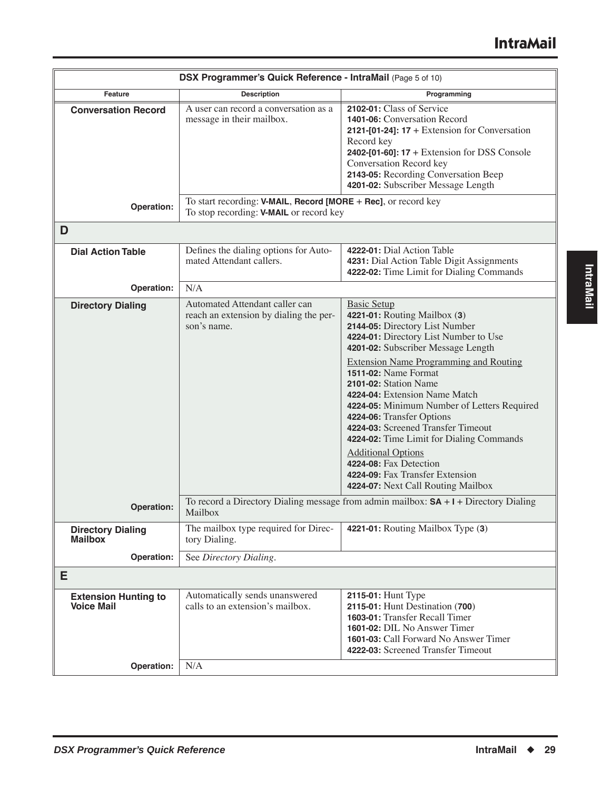| <b>Description</b><br>Programming<br>Feature<br>2102-01: Class of Service<br>A user can record a conversation as a<br><b>Conversation Record</b><br>1401-06: Conversation Record<br>message in their mailbox.<br>2121-[01-24]: $17 +$ Extension for Conversation<br>Record key<br>2402-[01-60]: 17 + Extension for DSS Console<br>Conversation Record key<br>2143-05: Recording Conversation Beep<br>4201-02: Subscriber Message Length<br>To start recording: V-MAIL, Record [MORE + Rec], or record key<br>Operation:<br>To stop recording: <b>V-MAIL</b> or record key<br>D<br>4222-01: Dial Action Table<br>Defines the dialing options for Auto-<br><b>Dial Action Table</b><br>mated Attendant callers.<br>4231: Dial Action Table Digit Assignments<br>4222-02: Time Limit for Dialing Commands<br>N/A<br>Operation:<br>Automated Attendant caller can<br><b>Basic Setup</b><br><b>Directory Dialing</b><br>reach an extension by dialing the per-<br>4221-01: Routing Mailbox (3)<br>2144-05: Directory List Number<br>son's name.<br>4224-01: Directory List Number to Use<br>4201-02: Subscriber Message Length<br><b>Extension Name Programming and Routing</b><br><b>1511-02: Name Format</b><br>2101-02: Station Name<br>4224-04: Extension Name Match<br>4224-06: Transfer Options<br>4224-03: Screened Transfer Timeout<br>4224-02: Time Limit for Dialing Commands<br><b>Additional Options</b><br>4224-08: Fax Detection<br>4224-09: Fax Transfer Extension<br>4224-07: Next Call Routing Mailbox<br>To record a Directory Dialing message from admin mailbox: $SA + I +$ Directory Dialing<br>Operation:<br>Mailbox<br>The mailbox type required for Direc-<br>4221-01: Routing Mailbox Type (3)<br><b>Directory Dialing</b><br><b>Mailbox</b><br>tory Dialing. | DSX Programmer's Quick Reference - IntraMail (Page 5 of 10) |                                             |
|-----------------------------------------------------------------------------------------------------------------------------------------------------------------------------------------------------------------------------------------------------------------------------------------------------------------------------------------------------------------------------------------------------------------------------------------------------------------------------------------------------------------------------------------------------------------------------------------------------------------------------------------------------------------------------------------------------------------------------------------------------------------------------------------------------------------------------------------------------------------------------------------------------------------------------------------------------------------------------------------------------------------------------------------------------------------------------------------------------------------------------------------------------------------------------------------------------------------------------------------------------------------------------------------------------------------------------------------------------------------------------------------------------------------------------------------------------------------------------------------------------------------------------------------------------------------------------------------------------------------------------------------------------------------------------------------------------------------------------------------------------------------------------------|-------------------------------------------------------------|---------------------------------------------|
|                                                                                                                                                                                                                                                                                                                                                                                                                                                                                                                                                                                                                                                                                                                                                                                                                                                                                                                                                                                                                                                                                                                                                                                                                                                                                                                                                                                                                                                                                                                                                                                                                                                                                                                                                                                   |                                                             |                                             |
|                                                                                                                                                                                                                                                                                                                                                                                                                                                                                                                                                                                                                                                                                                                                                                                                                                                                                                                                                                                                                                                                                                                                                                                                                                                                                                                                                                                                                                                                                                                                                                                                                                                                                                                                                                                   |                                                             |                                             |
|                                                                                                                                                                                                                                                                                                                                                                                                                                                                                                                                                                                                                                                                                                                                                                                                                                                                                                                                                                                                                                                                                                                                                                                                                                                                                                                                                                                                                                                                                                                                                                                                                                                                                                                                                                                   |                                                             |                                             |
|                                                                                                                                                                                                                                                                                                                                                                                                                                                                                                                                                                                                                                                                                                                                                                                                                                                                                                                                                                                                                                                                                                                                                                                                                                                                                                                                                                                                                                                                                                                                                                                                                                                                                                                                                                                   |                                                             |                                             |
|                                                                                                                                                                                                                                                                                                                                                                                                                                                                                                                                                                                                                                                                                                                                                                                                                                                                                                                                                                                                                                                                                                                                                                                                                                                                                                                                                                                                                                                                                                                                                                                                                                                                                                                                                                                   |                                                             |                                             |
|                                                                                                                                                                                                                                                                                                                                                                                                                                                                                                                                                                                                                                                                                                                                                                                                                                                                                                                                                                                                                                                                                                                                                                                                                                                                                                                                                                                                                                                                                                                                                                                                                                                                                                                                                                                   |                                                             |                                             |
|                                                                                                                                                                                                                                                                                                                                                                                                                                                                                                                                                                                                                                                                                                                                                                                                                                                                                                                                                                                                                                                                                                                                                                                                                                                                                                                                                                                                                                                                                                                                                                                                                                                                                                                                                                                   |                                                             | 4224-05: Minimum Number of Letters Required |
|                                                                                                                                                                                                                                                                                                                                                                                                                                                                                                                                                                                                                                                                                                                                                                                                                                                                                                                                                                                                                                                                                                                                                                                                                                                                                                                                                                                                                                                                                                                                                                                                                                                                                                                                                                                   |                                                             |                                             |
|                                                                                                                                                                                                                                                                                                                                                                                                                                                                                                                                                                                                                                                                                                                                                                                                                                                                                                                                                                                                                                                                                                                                                                                                                                                                                                                                                                                                                                                                                                                                                                                                                                                                                                                                                                                   |                                                             |                                             |
| See Directory Dialing.<br>Operation:                                                                                                                                                                                                                                                                                                                                                                                                                                                                                                                                                                                                                                                                                                                                                                                                                                                                                                                                                                                                                                                                                                                                                                                                                                                                                                                                                                                                                                                                                                                                                                                                                                                                                                                                              |                                                             |                                             |
| Е                                                                                                                                                                                                                                                                                                                                                                                                                                                                                                                                                                                                                                                                                                                                                                                                                                                                                                                                                                                                                                                                                                                                                                                                                                                                                                                                                                                                                                                                                                                                                                                                                                                                                                                                                                                 |                                                             |                                             |
| Automatically sends unanswered<br>2115-01: Hunt Type<br><b>Extension Hunting to</b><br>calls to an extension's mailbox.<br>2115-01: Hunt Destination (700)<br><b>Voice Mail</b><br>1603-01: Transfer Recall Timer<br>1601-02: DIL No Answer Timer<br>1601-03: Call Forward No Answer Timer<br>4222-03: Screened Transfer Timeout<br>N/A<br>Operation:                                                                                                                                                                                                                                                                                                                                                                                                                                                                                                                                                                                                                                                                                                                                                                                                                                                                                                                                                                                                                                                                                                                                                                                                                                                                                                                                                                                                                             |                                                             |                                             |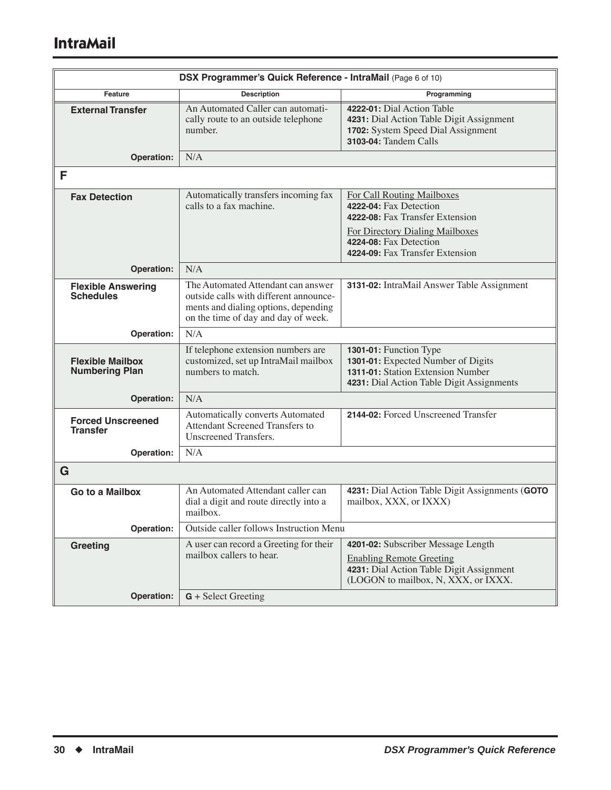| DSX Programmer's Quick Reference - IntraMail (Page 6 of 10) |                                                                                                                                                             |                                                                                                                                                             |
|-------------------------------------------------------------|-------------------------------------------------------------------------------------------------------------------------------------------------------------|-------------------------------------------------------------------------------------------------------------------------------------------------------------|
| Feature                                                     | <b>Description</b>                                                                                                                                          | Programming                                                                                                                                                 |
| <b>External Transfer</b>                                    | An Automated Caller can automati-<br>cally route to an outside telephone<br>number.                                                                         | 4222-01: Dial Action Table<br>4231: Dial Action Table Digit Assignment<br>1702: System Speed Dial Assignment<br>3103-04: Tandem Calls                       |
| <b>Operation:</b>                                           | N/A                                                                                                                                                         |                                                                                                                                                             |
| F                                                           |                                                                                                                                                             |                                                                                                                                                             |
| <b>Fax Detection</b>                                        | Automatically transfers incoming fax<br>calls to a fax machine.                                                                                             | <b>For Call Routing Mailboxes</b><br>4222-04: Fax Detection<br>4222-08: Fax Transfer Extension<br>For Directory Dialing Mailboxes<br>4224-08: Fax Detection |
|                                                             |                                                                                                                                                             | 4224-09: Fax Transfer Extension                                                                                                                             |
| Operation:                                                  | N/A                                                                                                                                                         |                                                                                                                                                             |
| <b>Flexible Answering</b><br><b>Schedules</b>               | The Automated Attendant can answer<br>outside calls with different announce-<br>ments and dialing options, depending<br>on the time of day and day of week. | 3131-02: IntraMail Answer Table Assignment                                                                                                                  |
| Operation:                                                  | N/A                                                                                                                                                         |                                                                                                                                                             |
| <b>Flexible Mailbox</b><br><b>Numbering Plan</b>            | If telephone extension numbers are<br>customized, set up IntraMail mailbox<br>numbers to match.                                                             | 1301-01: Function Type<br>1301-01: Expected Number of Digits<br>1311-01: Station Extension Number<br>4231: Dial Action Table Digit Assignments              |
| Operation:                                                  | N/A                                                                                                                                                         |                                                                                                                                                             |
| <b>Forced Unscreened</b><br><b>Transfer</b>                 | Automatically converts Automated<br>Attendant Screened Transfers to<br>Unscreened Transfers.                                                                | 2144-02: Forced Unscreened Transfer                                                                                                                         |
| Operation:                                                  | N/A                                                                                                                                                         |                                                                                                                                                             |
| G                                                           |                                                                                                                                                             |                                                                                                                                                             |
| Go to a Mailbox                                             | An Automated Attendant caller can<br>dial a digit and route directly into a<br>mailbox.                                                                     | 4231: Dial Action Table Digit Assignments (GOTO<br>mailbox, XXX, or IXXX)                                                                                   |
| Operation:                                                  | Outside caller follows Instruction Menu                                                                                                                     |                                                                                                                                                             |
| Greeting                                                    | A user can record a Greeting for their<br>mailbox callers to hear.                                                                                          | 4201-02: Subscriber Message Length<br><b>Enabling Remote Greeting</b><br>4231: Dial Action Table Digit Assignment<br>(LOGON to mailbox, N, XXX, or IXXX.    |
| <b>Operation:</b>                                           | $G + Select Greeting$                                                                                                                                       |                                                                                                                                                             |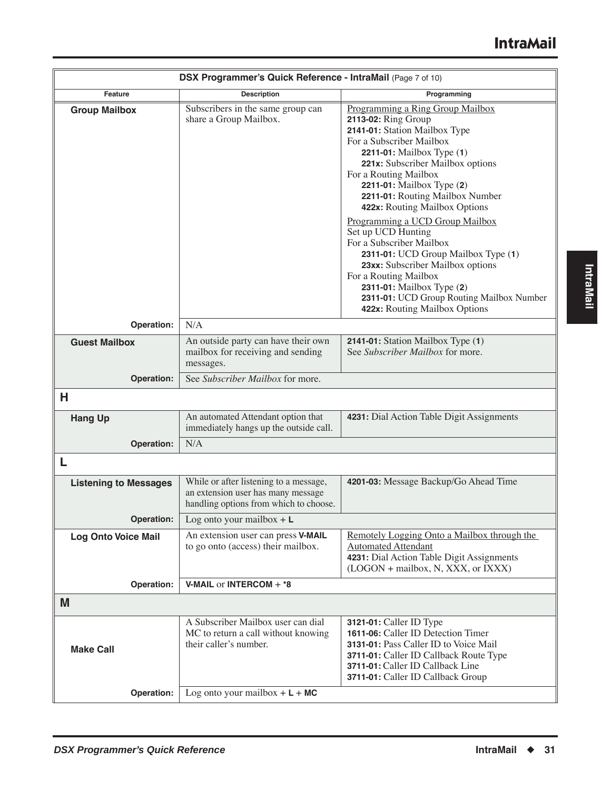|                              | DSX Programmer's Quick Reference - IntraMail (Page 7 of 10)                                                            |                                                                                                                                                                                                                                                                                                                 |
|------------------------------|------------------------------------------------------------------------------------------------------------------------|-----------------------------------------------------------------------------------------------------------------------------------------------------------------------------------------------------------------------------------------------------------------------------------------------------------------|
| <b>Feature</b>               | <b>Description</b>                                                                                                     | Programming                                                                                                                                                                                                                                                                                                     |
| <b>Group Mailbox</b>         | Subscribers in the same group can<br>share a Group Mailbox.                                                            | Programming a Ring Group Mailbox<br>2113-02: Ring Group<br>2141-01: Station Mailbox Type<br>For a Subscriber Mailbox<br>2211-01: Mailbox Type (1)<br>221x: Subscriber Mailbox options<br>For a Routing Mailbox<br>2211-01: Mailbox Type (2)<br>2211-01: Routing Mailbox Number<br>422x: Routing Mailbox Options |
|                              |                                                                                                                        | Programming a UCD Group Mailbox<br>Set up UCD Hunting<br>For a Subscriber Mailbox<br>2311-01: UCD Group Mailbox Type (1)<br>23xx: Subscriber Mailbox options<br>For a Routing Mailbox<br>2311-01: Mailbox Type (2)<br>2311-01: UCD Group Routing Mailbox Number<br>422x: Routing Mailbox Options                |
| Operation:                   | N/A                                                                                                                    |                                                                                                                                                                                                                                                                                                                 |
| <b>Guest Mailbox</b>         | An outside party can have their own<br>mailbox for receiving and sending<br>messages.                                  | 2141-01: Station Mailbox Type (1)<br>See Subscriber Mailbox for more.                                                                                                                                                                                                                                           |
| <b>Operation:</b>            | See Subscriber Mailbox for more.                                                                                       |                                                                                                                                                                                                                                                                                                                 |
| Н                            |                                                                                                                        |                                                                                                                                                                                                                                                                                                                 |
| <b>Hang Up</b>               | An automated Attendant option that<br>immediately hangs up the outside call.                                           | 4231: Dial Action Table Digit Assignments                                                                                                                                                                                                                                                                       |
| Operation:                   | N/A                                                                                                                    |                                                                                                                                                                                                                                                                                                                 |
| L                            |                                                                                                                        |                                                                                                                                                                                                                                                                                                                 |
| <b>Listening to Messages</b> | While or after listening to a message,<br>an extension user has many message<br>handling options from which to choose. | 4201-03: Message Backup/Go Ahead Time                                                                                                                                                                                                                                                                           |
| Operation:                   | Log onto your mailbox $+ L$                                                                                            |                                                                                                                                                                                                                                                                                                                 |
| <b>Log Onto Voice Mail</b>   | An extension user can press V-MAIL<br>to go onto (access) their mailbox.                                               | Remotely Logging Onto a Mailbox through the<br><b>Automated Attendant</b><br>4231: Dial Action Table Digit Assignments<br>(LOGON + mailbox, N, XXX, or IXXX)                                                                                                                                                    |
| Operation:                   | <b>V-MAIL or INTERCOM + <math>*8</math></b>                                                                            |                                                                                                                                                                                                                                                                                                                 |
| M                            |                                                                                                                        |                                                                                                                                                                                                                                                                                                                 |
| <b>Make Call</b>             | A Subscriber Mailbox user can dial<br>MC to return a call without knowing<br>their caller's number.                    | <b>3121-01:</b> Caller ID Type<br>1611-06: Caller ID Detection Timer<br>3131-01: Pass Caller ID to Voice Mail<br>3711-01: Caller ID Callback Route Type<br>3711-01: Caller ID Callback Line<br>3711-01: Caller ID Callback Group                                                                                |
| Operation:                   | Log onto your mailbox $+ L + MC$                                                                                       |                                                                                                                                                                                                                                                                                                                 |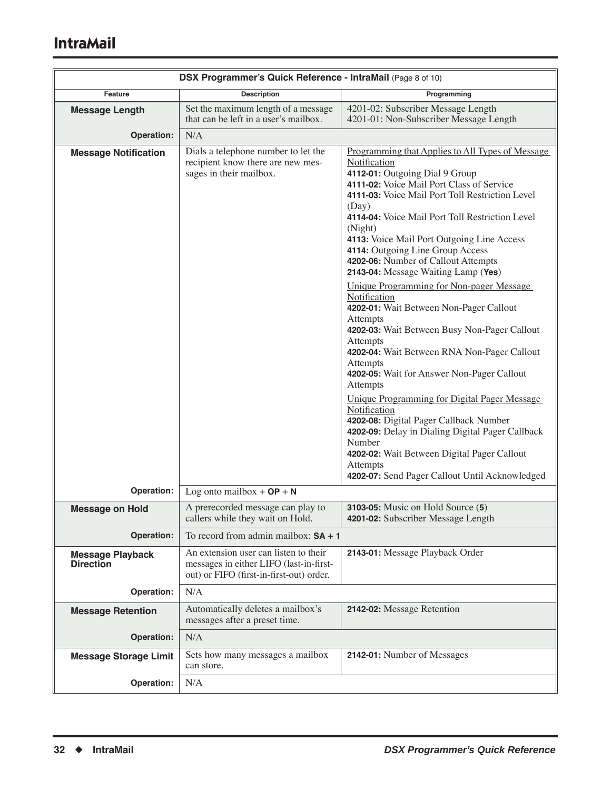|                                             | DSX Programmer's Quick Reference - IntraMail (Page 8 of 10)                                                                  |                                                                                                                                                                                                                                                                                                                                                                                                                                                                                                                                                                                                                                                                                                                                                                                                                                                                                                                                                                                                                                    |
|---------------------------------------------|------------------------------------------------------------------------------------------------------------------------------|------------------------------------------------------------------------------------------------------------------------------------------------------------------------------------------------------------------------------------------------------------------------------------------------------------------------------------------------------------------------------------------------------------------------------------------------------------------------------------------------------------------------------------------------------------------------------------------------------------------------------------------------------------------------------------------------------------------------------------------------------------------------------------------------------------------------------------------------------------------------------------------------------------------------------------------------------------------------------------------------------------------------------------|
| Feature                                     | <b>Description</b>                                                                                                           | Programming                                                                                                                                                                                                                                                                                                                                                                                                                                                                                                                                                                                                                                                                                                                                                                                                                                                                                                                                                                                                                        |
| <b>Message Length</b>                       | Set the maximum length of a message<br>that can be left in a user's mailbox.                                                 | 4201-02: Subscriber Message Length<br>4201-01: Non-Subscriber Message Length                                                                                                                                                                                                                                                                                                                                                                                                                                                                                                                                                                                                                                                                                                                                                                                                                                                                                                                                                       |
| <b>Operation:</b>                           | N/A                                                                                                                          |                                                                                                                                                                                                                                                                                                                                                                                                                                                                                                                                                                                                                                                                                                                                                                                                                                                                                                                                                                                                                                    |
| <b>Message Notification</b>                 | Dials a telephone number to let the<br>recipient know there are new mes-<br>sages in their mailbox.                          | Programming that Applies to All Types of Message<br>Notification<br>4112-01: Outgoing Dial 9 Group<br>4111-02: Voice Mail Port Class of Service<br>4111-03: Voice Mail Port Toll Restriction Level<br>(Day)<br>4114-04: Voice Mail Port Toll Restriction Level<br>(Night)<br>4113: Voice Mail Port Outgoing Line Access<br>4114: Outgoing Line Group Access<br>4202-06: Number of Callout Attempts<br>2143-04: Message Waiting Lamp (Yes)<br>Unique Programming for Non-pager Message<br>Notification<br>4202-01: Wait Between Non-Pager Callout<br>Attempts<br>4202-03: Wait Between Busy Non-Pager Callout<br>Attempts<br>4202-04: Wait Between RNA Non-Pager Callout<br>Attempts<br>4202-05: Wait for Answer Non-Pager Callout<br>Attempts<br>Unique Programming for Digital Pager Message<br>Notification<br>4202-08: Digital Pager Callback Number<br>4202-09: Delay in Dialing Digital Pager Callback<br>Number<br>4202-02: Wait Between Digital Pager Callout<br>Attempts<br>4202-07: Send Pager Callout Until Acknowledged |
| Operation:                                  | Log onto mailbox $+OP + N$                                                                                                   |                                                                                                                                                                                                                                                                                                                                                                                                                                                                                                                                                                                                                                                                                                                                                                                                                                                                                                                                                                                                                                    |
| <b>Message on Hold</b>                      | A prerecorded message can play to<br>callers while they wait on Hold.                                                        | 3103-05: Music on Hold Source (5)<br>4201-02: Subscriber Message Length                                                                                                                                                                                                                                                                                                                                                                                                                                                                                                                                                                                                                                                                                                                                                                                                                                                                                                                                                            |
| <b>Operation:</b>                           | To record from admin mailbox: $SA + 1$                                                                                       |                                                                                                                                                                                                                                                                                                                                                                                                                                                                                                                                                                                                                                                                                                                                                                                                                                                                                                                                                                                                                                    |
| <b>Message Playback</b><br><b>Direction</b> | An extension user can listen to their<br>messages in either LIFO (last-in-first-<br>out) or FIFO (first-in-first-out) order. | 2143-01: Message Playback Order                                                                                                                                                                                                                                                                                                                                                                                                                                                                                                                                                                                                                                                                                                                                                                                                                                                                                                                                                                                                    |
| Operation:                                  | N/A                                                                                                                          |                                                                                                                                                                                                                                                                                                                                                                                                                                                                                                                                                                                                                                                                                                                                                                                                                                                                                                                                                                                                                                    |
| <b>Message Retention</b>                    | Automatically deletes a mailbox's<br>messages after a preset time.                                                           | 2142-02: Message Retention                                                                                                                                                                                                                                                                                                                                                                                                                                                                                                                                                                                                                                                                                                                                                                                                                                                                                                                                                                                                         |
| Operation:                                  | N/A                                                                                                                          |                                                                                                                                                                                                                                                                                                                                                                                                                                                                                                                                                                                                                                                                                                                                                                                                                                                                                                                                                                                                                                    |
| <b>Message Storage Limit</b>                | Sets how many messages a mailbox<br>can store.                                                                               | 2142-01: Number of Messages                                                                                                                                                                                                                                                                                                                                                                                                                                                                                                                                                                                                                                                                                                                                                                                                                                                                                                                                                                                                        |
| Operation:                                  | N/A                                                                                                                          |                                                                                                                                                                                                                                                                                                                                                                                                                                                                                                                                                                                                                                                                                                                                                                                                                                                                                                                                                                                                                                    |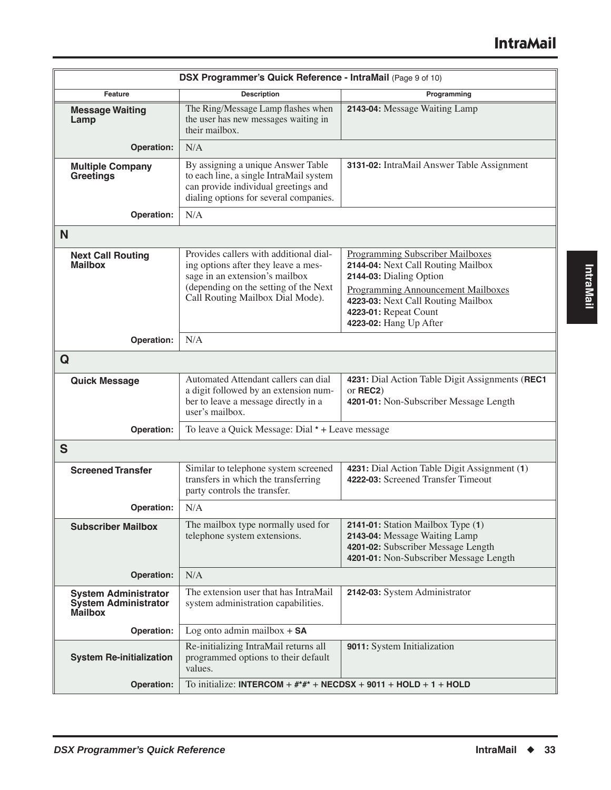| DSX Programmer's Quick Reference - IntraMail (Page 9 of 10)                  |                                                                                                                                                                                              |                                                                                                                                                                                                               |  |
|------------------------------------------------------------------------------|----------------------------------------------------------------------------------------------------------------------------------------------------------------------------------------------|---------------------------------------------------------------------------------------------------------------------------------------------------------------------------------------------------------------|--|
| Feature                                                                      | <b>Description</b>                                                                                                                                                                           | Programming                                                                                                                                                                                                   |  |
| <b>Message Waiting</b><br>Lamp                                               | The Ring/Message Lamp flashes when<br>the user has new messages waiting in<br>their mailbox.                                                                                                 | 2143-04: Message Waiting Lamp                                                                                                                                                                                 |  |
| Operation:                                                                   | N/A                                                                                                                                                                                          |                                                                                                                                                                                                               |  |
| <b>Multiple Company</b><br>Greetings                                         | By assigning a unique Answer Table<br>to each line, a single IntraMail system<br>can provide individual greetings and<br>dialing options for several companies.                              | 3131-02: IntraMail Answer Table Assignment                                                                                                                                                                    |  |
| Operation:                                                                   | N/A                                                                                                                                                                                          |                                                                                                                                                                                                               |  |
| N                                                                            |                                                                                                                                                                                              |                                                                                                                                                                                                               |  |
| <b>Next Call Routing</b><br><b>Mailbox</b>                                   | Provides callers with additional dial-<br>ing options after they leave a mes-<br>sage in an extension's mailbox<br>(depending on the setting of the Next<br>Call Routing Mailbox Dial Mode). | Programming Subscriber Mailboxes<br>2144-04: Next Call Routing Mailbox<br>2144-03: Dialing Option<br><b>Programming Announcement Mailboxes</b><br>4223-03: Next Call Routing Mailbox<br>4223-01: Repeat Count |  |
|                                                                              |                                                                                                                                                                                              | 4223-02: Hang Up After                                                                                                                                                                                        |  |
| Operation:                                                                   | N/A                                                                                                                                                                                          |                                                                                                                                                                                                               |  |
| Q                                                                            |                                                                                                                                                                                              |                                                                                                                                                                                                               |  |
| <b>Quick Message</b>                                                         | Automated Attendant callers can dial<br>a digit followed by an extension num-<br>ber to leave a message directly in a<br>user's mailbox.                                                     | 4231: Dial Action Table Digit Assignments (REC1<br>or REC2)<br>4201-01: Non-Subscriber Message Length                                                                                                         |  |
| Operation:                                                                   | To leave a Quick Message: Dial * + Leave message                                                                                                                                             |                                                                                                                                                                                                               |  |
| S                                                                            |                                                                                                                                                                                              |                                                                                                                                                                                                               |  |
| <b>Screened Transfer</b>                                                     | Similar to telephone system screened<br>transfers in which the transferring<br>party controls the transfer.                                                                                  | 4231: Dial Action Table Digit Assignment (1)<br>4222-03: Screened Transfer Timeout                                                                                                                            |  |
| Operation:                                                                   | N/A                                                                                                                                                                                          |                                                                                                                                                                                                               |  |
| <b>Subscriber Mailbox</b>                                                    | The mailbox type normally used for<br>telephone system extensions.                                                                                                                           | 2141-01: Station Mailbox Type (1)<br>2143-04: Message Waiting Lamp<br>4201-02: Subscriber Message Length<br>4201-01: Non-Subscriber Message Length                                                            |  |
| <b>Operation:</b>                                                            | N/A                                                                                                                                                                                          |                                                                                                                                                                                                               |  |
| <b>System Administrator</b><br><b>System Administrator</b><br><b>Mailbox</b> | The extension user that has IntraMail<br>system administration capabilities.                                                                                                                 | 2142-03: System Administrator                                                                                                                                                                                 |  |
| Operation:                                                                   | Log onto admin mailbox $+$ SA                                                                                                                                                                |                                                                                                                                                                                                               |  |
| <b>System Re-initialization</b>                                              | Re-initializing IntraMail returns all<br>programmed options to their default<br>values.                                                                                                      | 9011: System Initialization                                                                                                                                                                                   |  |
| Operation:                                                                   | To initialize: INTERCOM + $\#^* \#^*$ + NECDSX + 9011 + HOLD + 1 + HOLD                                                                                                                      |                                                                                                                                                                                                               |  |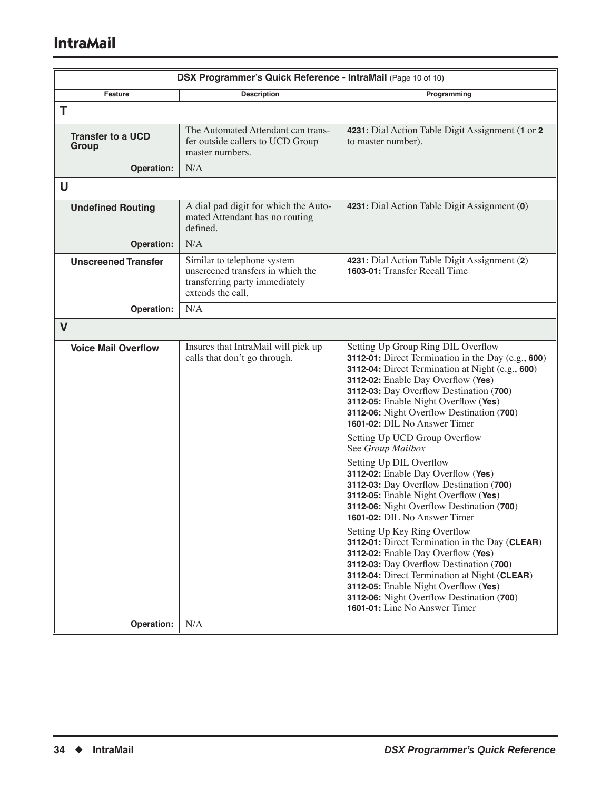# **IntraMail**

| DSX Programmer's Quick Reference - IntraMail (Page 10 of 10) |                                                                                                                         |                                                                                                                                                                                                                                                                                                                                                                                                                                                                                                                                                                                                                                                                                                                                                                                                                                                                                                                                                                                                                |
|--------------------------------------------------------------|-------------------------------------------------------------------------------------------------------------------------|----------------------------------------------------------------------------------------------------------------------------------------------------------------------------------------------------------------------------------------------------------------------------------------------------------------------------------------------------------------------------------------------------------------------------------------------------------------------------------------------------------------------------------------------------------------------------------------------------------------------------------------------------------------------------------------------------------------------------------------------------------------------------------------------------------------------------------------------------------------------------------------------------------------------------------------------------------------------------------------------------------------|
| Feature                                                      | <b>Description</b>                                                                                                      | Programming                                                                                                                                                                                                                                                                                                                                                                                                                                                                                                                                                                                                                                                                                                                                                                                                                                                                                                                                                                                                    |
| T                                                            |                                                                                                                         |                                                                                                                                                                                                                                                                                                                                                                                                                                                                                                                                                                                                                                                                                                                                                                                                                                                                                                                                                                                                                |
| <b>Transfer to a UCD</b><br>Group                            | The Automated Attendant can trans-<br>fer outside callers to UCD Group<br>master numbers.                               | 4231: Dial Action Table Digit Assignment (1 or 2<br>to master number).                                                                                                                                                                                                                                                                                                                                                                                                                                                                                                                                                                                                                                                                                                                                                                                                                                                                                                                                         |
| Operation:                                                   | N/A                                                                                                                     |                                                                                                                                                                                                                                                                                                                                                                                                                                                                                                                                                                                                                                                                                                                                                                                                                                                                                                                                                                                                                |
| U                                                            |                                                                                                                         |                                                                                                                                                                                                                                                                                                                                                                                                                                                                                                                                                                                                                                                                                                                                                                                                                                                                                                                                                                                                                |
| <b>Undefined Routing</b>                                     | A dial pad digit for which the Auto-<br>mated Attendant has no routing<br>defined.                                      | 4231: Dial Action Table Digit Assignment (0)                                                                                                                                                                                                                                                                                                                                                                                                                                                                                                                                                                                                                                                                                                                                                                                                                                                                                                                                                                   |
| Operation:                                                   | N/A                                                                                                                     |                                                                                                                                                                                                                                                                                                                                                                                                                                                                                                                                                                                                                                                                                                                                                                                                                                                                                                                                                                                                                |
| <b>Unscreened Transfer</b>                                   | Similar to telephone system<br>unscreened transfers in which the<br>transferring party immediately<br>extends the call. | 4231: Dial Action Table Digit Assignment (2)<br>1603-01: Transfer Recall Time                                                                                                                                                                                                                                                                                                                                                                                                                                                                                                                                                                                                                                                                                                                                                                                                                                                                                                                                  |
| Operation:                                                   | N/A                                                                                                                     |                                                                                                                                                                                                                                                                                                                                                                                                                                                                                                                                                                                                                                                                                                                                                                                                                                                                                                                                                                                                                |
| $\mathbf V$                                                  |                                                                                                                         |                                                                                                                                                                                                                                                                                                                                                                                                                                                                                                                                                                                                                                                                                                                                                                                                                                                                                                                                                                                                                |
| <b>Voice Mail Overflow</b><br>Operation:                     | Insures that IntraMail will pick up<br>calls that don't go through.<br>N/A                                              | <b>Setting Up Group Ring DIL Overflow</b><br>3112-01: Direct Termination in the Day (e.g., 600)<br>3112-04: Direct Termination at Night (e.g., 600)<br>3112-02: Enable Day Overflow (Yes)<br>3112-03: Day Overflow Destination (700)<br>3112-05: Enable Night Overflow (Yes)<br>3112-06: Night Overflow Destination (700)<br>1601-02: DIL No Answer Timer<br>Setting Up UCD Group Overflow<br>See Group Mailbox<br><b>Setting Up DIL Overflow</b><br>3112-02: Enable Day Overflow (Yes)<br>3112-03: Day Overflow Destination (700)<br>3112-05: Enable Night Overflow (Yes)<br>3112-06: Night Overflow Destination (700)<br><b>1601-02:</b> DIL No Answer Timer<br><b>Setting Up Key Ring Overflow</b><br>3112-01: Direct Termination in the Day (CLEAR)<br>3112-02: Enable Day Overflow (Yes)<br>3112-03: Day Overflow Destination (700)<br>3112-04: Direct Termination at Night (CLEAR)<br>3112-05: Enable Night Overflow (Yes)<br>3112-06: Night Overflow Destination (700)<br>1601-01: Line No Answer Timer |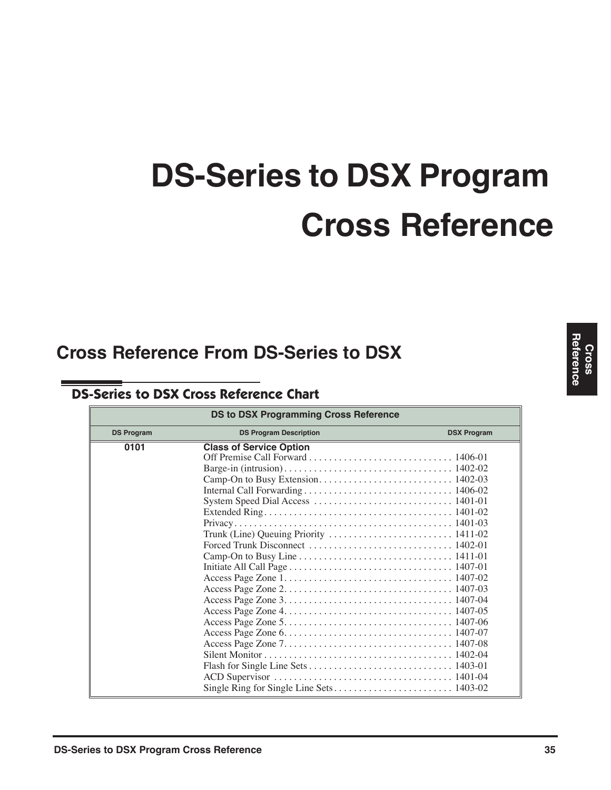# **DS-Series to DSX Program Cross Reference**

# **Cross Reference From DS-Series to DSX**

# **DS-Series to DSX Cross Reference Chart**

| <b>DS to DSX Programming Cross Reference</b> |                                |                    |
|----------------------------------------------|--------------------------------|--------------------|
| <b>DS Program</b>                            | <b>DS Program Description</b>  | <b>DSX Program</b> |
| 0101                                         | <b>Class of Service Option</b> |                    |
|                                              |                                |                    |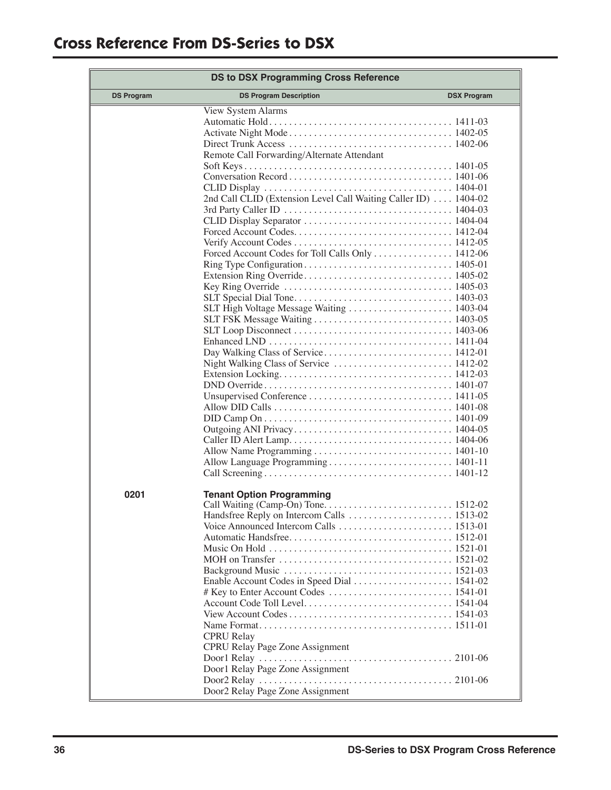| <b>DS to DSX Programming Cross Reference</b> |                                                                                                                                                                                                                                       |                    |
|----------------------------------------------|---------------------------------------------------------------------------------------------------------------------------------------------------------------------------------------------------------------------------------------|--------------------|
| <b>DS Program</b>                            | <b>DS Program Description</b>                                                                                                                                                                                                         | <b>DSX Program</b> |
|                                              | View System Alarms<br>Remote Call Forwarding/Alternate Attendant<br>2nd Call CLID (Extension Level Call Waiting Caller ID)  1404-02<br>Forced Account Codes for Toll Calls Only  1412-06<br>SLT High Voltage Message Waiting  1403-04 |                    |
|                                              |                                                                                                                                                                                                                                       |                    |
| 0201                                         | <b>Tenant Option Programming</b>                                                                                                                                                                                                      |                    |
|                                              | <b>CPRU</b> Relay<br><b>CPRU Relay Page Zone Assignment</b><br>Door1 Relay Page Zone Assignment<br>Door2 Relay Page Zone Assignment                                                                                                   |                    |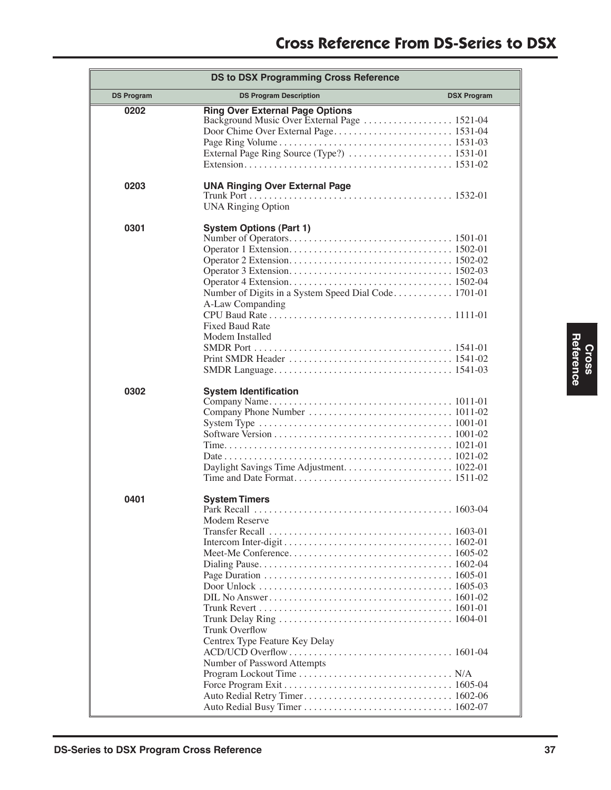| <b>DS to DSX Programming Cross Reference</b> |                                                                                                                          |                    |
|----------------------------------------------|--------------------------------------------------------------------------------------------------------------------------|--------------------|
| <b>DS Program</b>                            | <b>DS Program Description</b>                                                                                            | <b>DSX Program</b> |
| 0202                                         | <b>Ring Over External Page Options</b>                                                                                   |                    |
| 0203                                         | <b>UNA Ringing Over External Page</b><br><b>UNA Ringing Option</b>                                                       |                    |
| 0301                                         | <b>System Options (Part 1)</b><br>A-Law Companding<br>Fixed Baud Rate<br>Modem Installed                                 |                    |
| 0302                                         | <b>System Identification</b>                                                                                             |                    |
| 0401                                         | <b>System Timers</b><br>Modem Reserve<br>Trunk Overflow<br>Centrex Type Feature Key Delay<br>Number of Password Attempts |                    |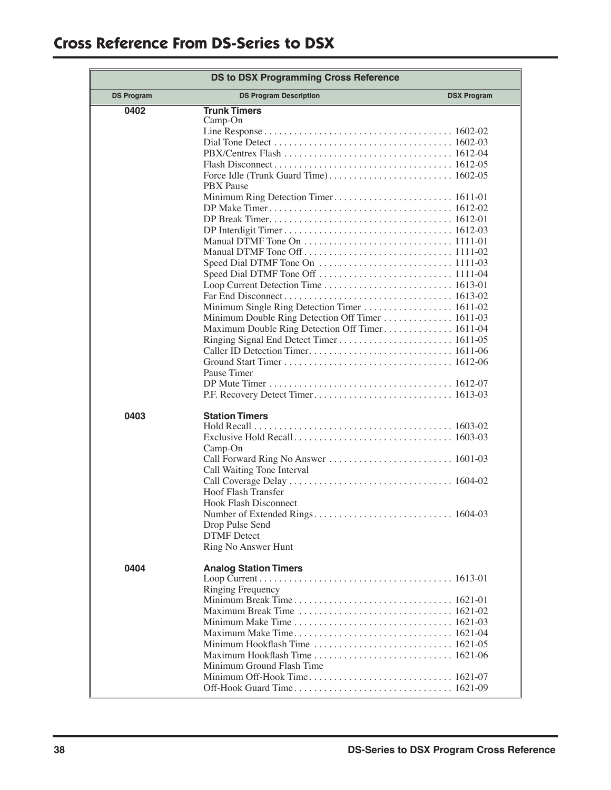| <b>DS to DSX Programming Cross Reference</b> |                                                                                                                                                                                                                             |  |
|----------------------------------------------|-----------------------------------------------------------------------------------------------------------------------------------------------------------------------------------------------------------------------------|--|
| <b>DS Program</b>                            | <b>DS Program Description</b><br><b>DSX Program</b>                                                                                                                                                                         |  |
| 0402                                         | <b>Trunk Timers</b><br>$Camp-On$                                                                                                                                                                                            |  |
|                                              | $\text{PBX/Centrex } \text{Flash } \ldots \ldots \ldots \ldots \ldots \ldots \ldots \ldots \ldots \ldots 1612-04$<br><b>PBX</b> Pause                                                                                       |  |
|                                              | Manual DTMF Tone On $\dots\dots\dots\dots\dots\dots\dots\dots\dots\dots$ 1111-01                                                                                                                                            |  |
|                                              |                                                                                                                                                                                                                             |  |
|                                              | Minimum Double Ring Detection Off Timer 1611-03<br>Maximum Double Ring Detection Off Timer 1611-04                                                                                                                          |  |
|                                              | Pause Timer                                                                                                                                                                                                                 |  |
| 0403                                         | <b>Station Timers</b><br>$Camp$ -On                                                                                                                                                                                         |  |
|                                              | Call Waiting Tone Interval                                                                                                                                                                                                  |  |
|                                              | Hoof Flash Transfer<br><b>Hook Flash Disconnect</b>                                                                                                                                                                         |  |
|                                              | Drop Pulse Send<br><b>DTMF</b> Detect<br><b>Ring No Answer Hunt</b>                                                                                                                                                         |  |
| 0404                                         | <b>Analog Station Timers</b><br>Ringing Frequency                                                                                                                                                                           |  |
|                                              | Maximum Break Time $\ldots \ldots \ldots \ldots \ldots \ldots \ldots \ldots \ldots \ldots 1621-02$<br>Minimum Hookflash Time $\ldots \ldots \ldots \ldots \ldots \ldots \ldots \ldots 1621-05$<br>Minimum Ground Flash Time |  |
|                                              |                                                                                                                                                                                                                             |  |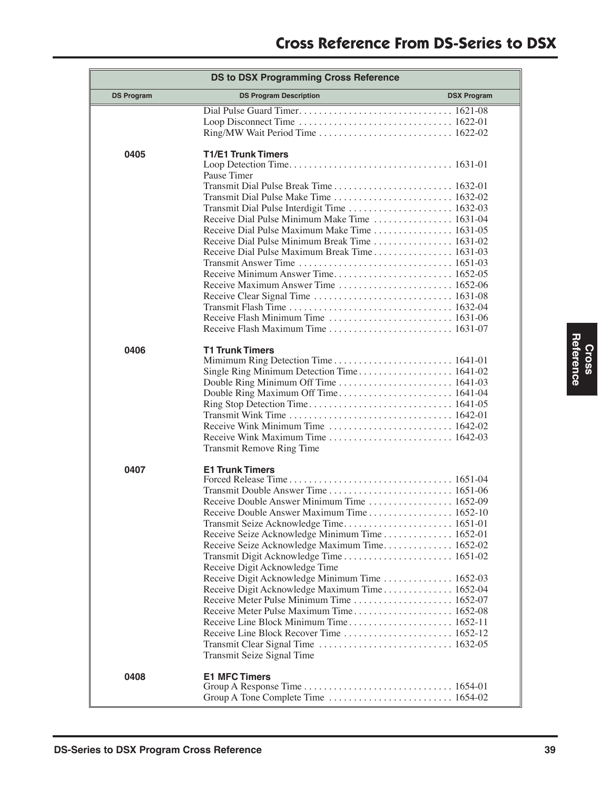| <b>DS to DSX Programming Cross Reference</b> |                                                                                                                                                                                                                                                                                                                                               |  |  |
|----------------------------------------------|-----------------------------------------------------------------------------------------------------------------------------------------------------------------------------------------------------------------------------------------------------------------------------------------------------------------------------------------------|--|--|
| <b>DS Program</b>                            | <b>DS Program Description</b><br><b>DSX Program</b>                                                                                                                                                                                                                                                                                           |  |  |
|                                              |                                                                                                                                                                                                                                                                                                                                               |  |  |
| 0405                                         | <b>T1/E1 Trunk Timers</b><br>Pause Timer<br>Transmit Dial Pulse Make Time  1632-02<br>Receive Dial Pulse Minimum Make Time  1631-04<br>Receive Dial Pulse Maximum Make Time 1631-05<br>Receive Minimum Answer Time 1652-05<br>Receive Maximum Answer Time  1652-06                                                                            |  |  |
|                                              | Receive Flash Maximum Time $\ldots \ldots \ldots \ldots \ldots \ldots \ldots \ldots 1631-07$                                                                                                                                                                                                                                                  |  |  |
| 0406                                         | <b>T1 Trunk Timers</b><br>Transmit Remove Ring Time                                                                                                                                                                                                                                                                                           |  |  |
| 0407                                         | <b>E1 Trunk Timers</b><br>Receive Double Answer Maximum Time 1652-10<br>Receive Seize Acknowledge Minimum Time 1652-01<br>Receive Seize Acknowledge Maximum Time 1652-02<br>Receive Digit Acknowledge Time<br>Receive Digit Acknowledge Minimum Time  1652-03<br>Receive Digit Acknowledge Maximum Time 1652-04<br>Transmit Seize Signal Time |  |  |
| 0408                                         | <b>E1 MFC Timers</b>                                                                                                                                                                                                                                                                                                                          |  |  |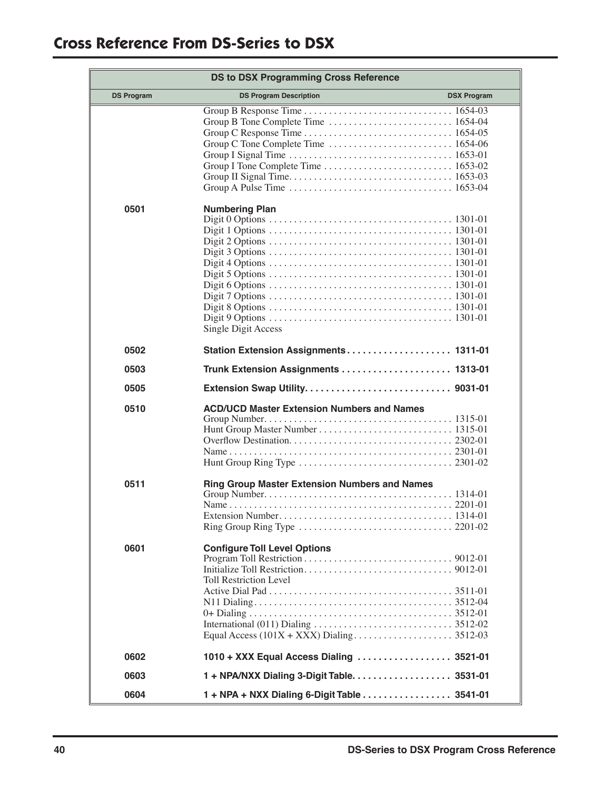| <b>DS to DSX Programming Cross Reference</b> |                                                                                                                                                                                             |                    |
|----------------------------------------------|---------------------------------------------------------------------------------------------------------------------------------------------------------------------------------------------|--------------------|
| <b>DS Program</b>                            | <b>DS Program Description</b>                                                                                                                                                               | <b>DSX Program</b> |
|                                              |                                                                                                                                                                                             |                    |
| 0501                                         | <b>Numbering Plan</b><br>Single Digit Access                                                                                                                                                |                    |
| 0502                                         | Station Extension Assignments 1311-01                                                                                                                                                       |                    |
| 0503                                         |                                                                                                                                                                                             |                    |
| 0505                                         |                                                                                                                                                                                             |                    |
| 0510                                         | <b>ACD/UCD Master Extension Numbers and Names</b>                                                                                                                                           |                    |
| 0511                                         | <b>Ring Group Master Extension Numbers and Names</b><br>Extension Number<br>. 1314-01<br>.<br>Ring Group Ring Type $\ldots \ldots \ldots \ldots \ldots \ldots \ldots \ldots \ldots 2201-02$ |                    |
| 0601                                         | <b>Configure Toll Level Options</b><br><b>Toll Restriction Level</b>                                                                                                                        |                    |
| 0602                                         | 1010 + XXX Equal Access Dialing  3521-01                                                                                                                                                    |                    |
| 0603                                         | 1 + NPA/NXX Dialing 3-Digit Table. 3531-01                                                                                                                                                  |                    |
| 0604                                         | 1 + NPA + NXX Dialing 6-Digit Table 3541-01                                                                                                                                                 |                    |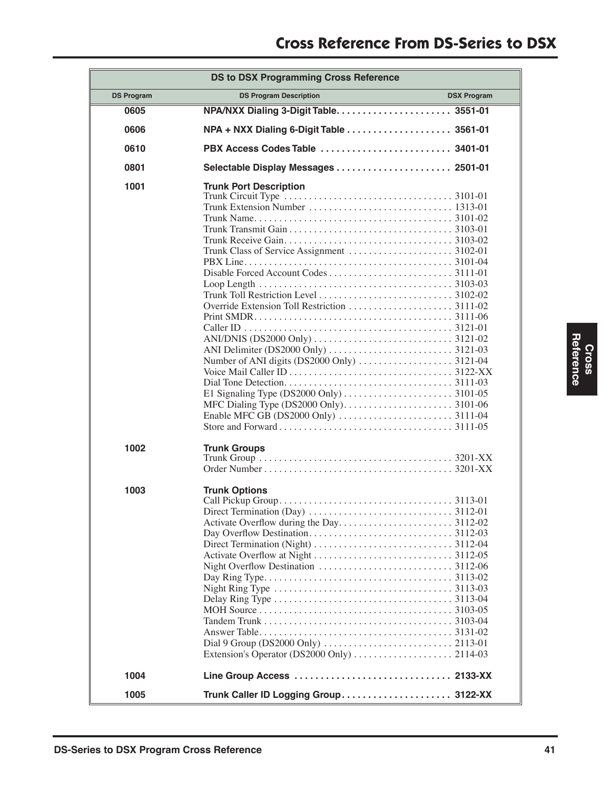| <b>DS to DSX Programming Cross Reference</b> |                                                                                                                                                                                                                          |                    |  |
|----------------------------------------------|--------------------------------------------------------------------------------------------------------------------------------------------------------------------------------------------------------------------------|--------------------|--|
| <b>DS Program</b>                            | <b>DS Program Description</b>                                                                                                                                                                                            | <b>DSX Program</b> |  |
| 0605                                         |                                                                                                                                                                                                                          |                    |  |
| 0606                                         | NPA + NXX Dialing 6-Digit Table  3561-01                                                                                                                                                                                 |                    |  |
| 0610                                         |                                                                                                                                                                                                                          |                    |  |
| 0801                                         | Selectable Display Messages  2501-01                                                                                                                                                                                     |                    |  |
| 1001                                         | <b>Trunk Port Description</b><br>ANI/DNIS (DS2000 Only) $\ldots \ldots \ldots \ldots \ldots \ldots \ldots \ldots \ldots$ 3121-02                                                                                         |                    |  |
| 1002                                         | <b>Trunk Groups</b>                                                                                                                                                                                                      |                    |  |
| 1003                                         | <b>Trunk Options</b><br>Night Ring Type $\ldots \ldots \ldots \ldots \ldots \ldots \ldots \ldots \ldots \ldots \ldots$ 3113-03<br>Extension's Operator (DS2000 Only) $\dots \dots \dots \dots \dots \dots \dots$ 2114-03 |                    |  |
| 1004                                         |                                                                                                                                                                                                                          |                    |  |
| 1005                                         |                                                                                                                                                                                                                          |                    |  |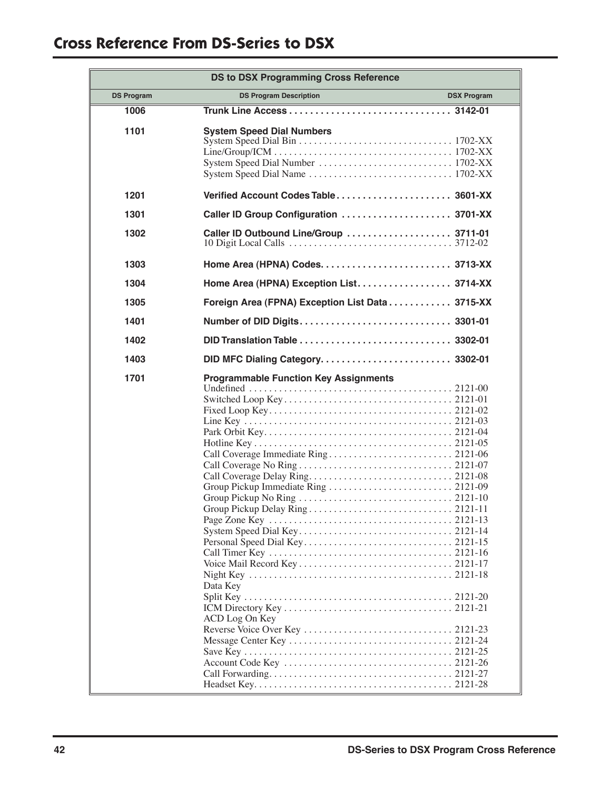| <b>DS to DSX Programming Cross Reference</b> |                                                                            |                    |
|----------------------------------------------|----------------------------------------------------------------------------|--------------------|
| <b>DS Program</b>                            | <b>DS Program Description</b>                                              | <b>DSX Program</b> |
| 1006                                         |                                                                            |                    |
| 1101                                         | <b>System Speed Dial Numbers</b>                                           |                    |
| 1201                                         |                                                                            |                    |
| 1301                                         |                                                                            |                    |
| 1302                                         | Caller ID Outbound Line/Group  3711-01                                     |                    |
| 1303                                         |                                                                            |                    |
| 1304                                         |                                                                            |                    |
| 1305                                         | Foreign Area (FPNA) Exception List Data 3715-XX                            |                    |
| 1401                                         |                                                                            |                    |
| 1402                                         |                                                                            |                    |
| 1403                                         | DID MFC Dialing Category 3302-01                                           |                    |
| 1701                                         | <b>Programmable Function Key Assignments</b><br>Data Key<br>ACD Log On Key |                    |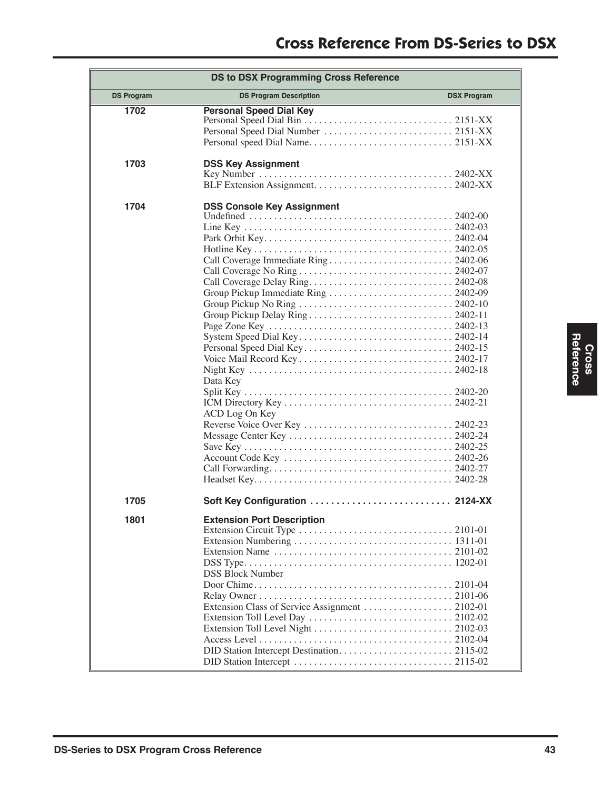| <b>DS to DSX Programming Cross Reference</b> |                                                                 |                    |  |
|----------------------------------------------|-----------------------------------------------------------------|--------------------|--|
| <b>DS Program</b>                            | <b>DS Program Description</b>                                   | <b>DSX Program</b> |  |
| 1702                                         | <b>Personal Speed Dial Key</b>                                  |                    |  |
| 1703                                         | <b>DSS Key Assignment</b>                                       |                    |  |
| 1704                                         | <b>DSS Console Key Assignment</b><br>Data Key<br>ACD Log On Key |                    |  |
| 1705                                         | Soft Key Configuration  2124-XX                                 |                    |  |
| 1801                                         | <b>Extension Port Description</b><br><b>DSS Block Number</b>    |                    |  |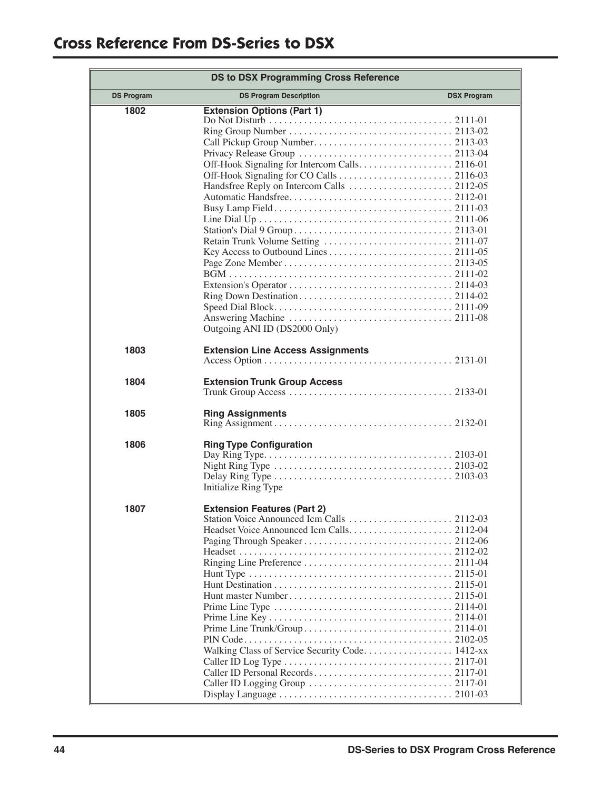# **Cross Reference From DS-Series to DSX**

| <b>DS to DSX Programming Cross Reference</b> |                                                                                       |                    |  |
|----------------------------------------------|---------------------------------------------------------------------------------------|--------------------|--|
| <b>DS Program</b>                            | <b>DS Program Description</b>                                                         | <b>DSX Program</b> |  |
| 1802                                         | <b>Extension Options (Part 1)</b><br>Outgoing ANI ID (DS2000 Only)                    |                    |  |
| 1803                                         | <b>Extension Line Access Assignments</b>                                              |                    |  |
| 1804                                         | <b>Extension Trunk Group Access</b>                                                   |                    |  |
| 1805                                         | <b>Ring Assignments</b>                                                               |                    |  |
| 1806                                         | <b>Ring Type Configuration</b><br>Initialize Ring Type                                |                    |  |
| 1807                                         | <b>Extension Features (Part 2)</b><br>Walking Class of Service Security Code. 1412-xx |                    |  |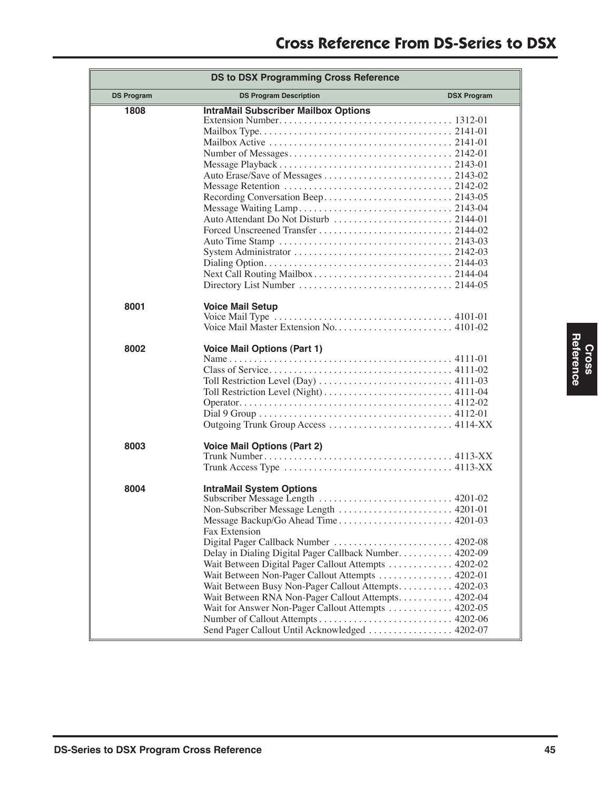| <b>DS to DSX Programming Cross Reference</b> |                                                                                                                                                                                                                                                                                                                                                                                                                                                                                                                                                                          |  |  |  |
|----------------------------------------------|--------------------------------------------------------------------------------------------------------------------------------------------------------------------------------------------------------------------------------------------------------------------------------------------------------------------------------------------------------------------------------------------------------------------------------------------------------------------------------------------------------------------------------------------------------------------------|--|--|--|
| <b>DS Program</b>                            | <b>DS Program Description</b><br><b>DSX Program</b>                                                                                                                                                                                                                                                                                                                                                                                                                                                                                                                      |  |  |  |
| 1808                                         | <b>IntraMail Subscriber Mailbox Options</b><br>Auto Attendant Do Not Disturb  2144-01                                                                                                                                                                                                                                                                                                                                                                                                                                                                                    |  |  |  |
| 8001                                         | <b>Voice Mail Setup</b><br>Voice Mail Type $\dots \dots \dots \dots \dots \dots \dots \dots \dots \dots \dots \dots$ 4101-01                                                                                                                                                                                                                                                                                                                                                                                                                                             |  |  |  |
| 8002                                         | <b>Voice Mail Options (Part 1)</b>                                                                                                                                                                                                                                                                                                                                                                                                                                                                                                                                       |  |  |  |
| 8003                                         | <b>Voice Mail Options (Part 2)</b>                                                                                                                                                                                                                                                                                                                                                                                                                                                                                                                                       |  |  |  |
| 8004                                         | <b>IntraMail System Options</b><br>Subscriber Message Length  4201-02<br>Non-Subscriber Message Length  4201-01<br>Fax Extension<br>Digital Pager Callback Number  4202-08<br>Delay in Dialing Digital Pager Callback Number 4202-09<br>Wait Between Digital Pager Callout Attempts  4202-02<br>Wait Between Non-Pager Callout Attempts  4202-01<br>Wait Between Busy Non-Pager Callout Attempts 4202-03<br>Wait Between RNA Non-Pager Callout Attempts. 4202-04<br>Wait for Answer Non-Pager Callout Attempts 4202-05<br>Send Pager Callout Until Acknowledged  4202-07 |  |  |  |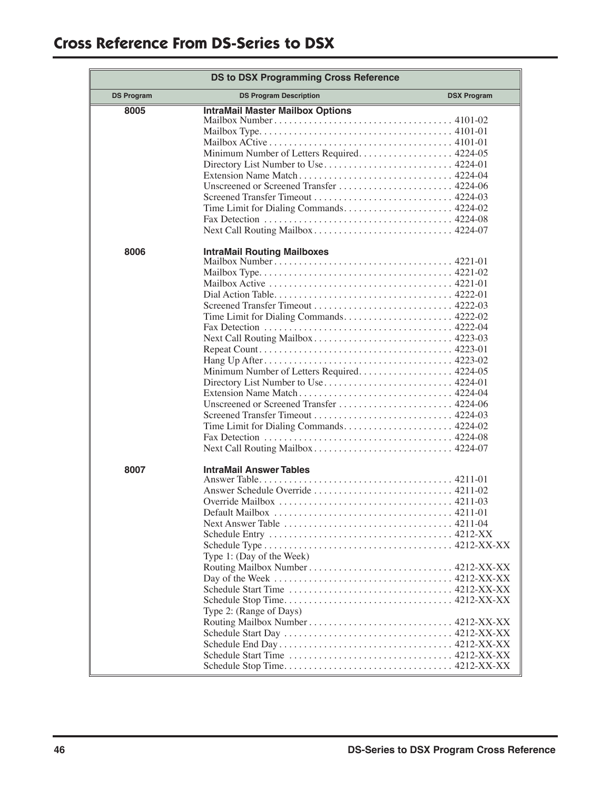| <b>DS to DSX Programming Cross Reference</b> |                                                                                    |                    |  |  |
|----------------------------------------------|------------------------------------------------------------------------------------|--------------------|--|--|
| <b>DS Program</b>                            | <b>DS Program Description</b>                                                      | <b>DSX Program</b> |  |  |
| 8005                                         | <b>IntraMail Master Mailbox Options</b>                                            |                    |  |  |
|                                              |                                                                                    |                    |  |  |
|                                              | Minimum Number of Letters Required 4224-05<br>Directory List Number to Use 4224-01 |                    |  |  |
|                                              |                                                                                    |                    |  |  |
|                                              |                                                                                    |                    |  |  |
|                                              |                                                                                    |                    |  |  |
|                                              | Time Limit for Dialing Commands 4224-02                                            |                    |  |  |
|                                              | Next Call Routing Mailbox 4224-07                                                  |                    |  |  |
| 8006                                         | <b>IntraMail Routing Mailboxes</b>                                                 |                    |  |  |
|                                              |                                                                                    |                    |  |  |
|                                              |                                                                                    |                    |  |  |
|                                              |                                                                                    |                    |  |  |
|                                              |                                                                                    |                    |  |  |
|                                              |                                                                                    |                    |  |  |
|                                              | Time Limit for Dialing Commands 4222-02                                            |                    |  |  |
|                                              | Next Call Routing Mailbox 4223-03                                                  |                    |  |  |
|                                              |                                                                                    |                    |  |  |
|                                              |                                                                                    |                    |  |  |
|                                              | Minimum Number of Letters Required 4224-05                                         |                    |  |  |
|                                              | Directory List Number to Use 4224-01                                               |                    |  |  |
|                                              |                                                                                    |                    |  |  |
|                                              |                                                                                    |                    |  |  |
|                                              | Time Limit for Dialing Commands 4224-02                                            |                    |  |  |
|                                              |                                                                                    |                    |  |  |
|                                              | Next Call Routing Mailbox 4224-07                                                  |                    |  |  |
| 8007                                         | <b>IntraMail Answer Tables</b>                                                     |                    |  |  |
|                                              |                                                                                    |                    |  |  |
|                                              | Answer Schedule Override  4211-02                                                  |                    |  |  |
|                                              |                                                                                    |                    |  |  |
|                                              |                                                                                    |                    |  |  |
|                                              |                                                                                    |                    |  |  |
|                                              |                                                                                    |                    |  |  |
|                                              | Type 1: (Day of the Week)                                                          |                    |  |  |
|                                              |                                                                                    |                    |  |  |
|                                              |                                                                                    |                    |  |  |
|                                              |                                                                                    |                    |  |  |
|                                              | Type 2: (Range of Days)                                                            |                    |  |  |
|                                              |                                                                                    |                    |  |  |
|                                              |                                                                                    |                    |  |  |
|                                              |                                                                                    |                    |  |  |
|                                              |                                                                                    |                    |  |  |
|                                              |                                                                                    |                    |  |  |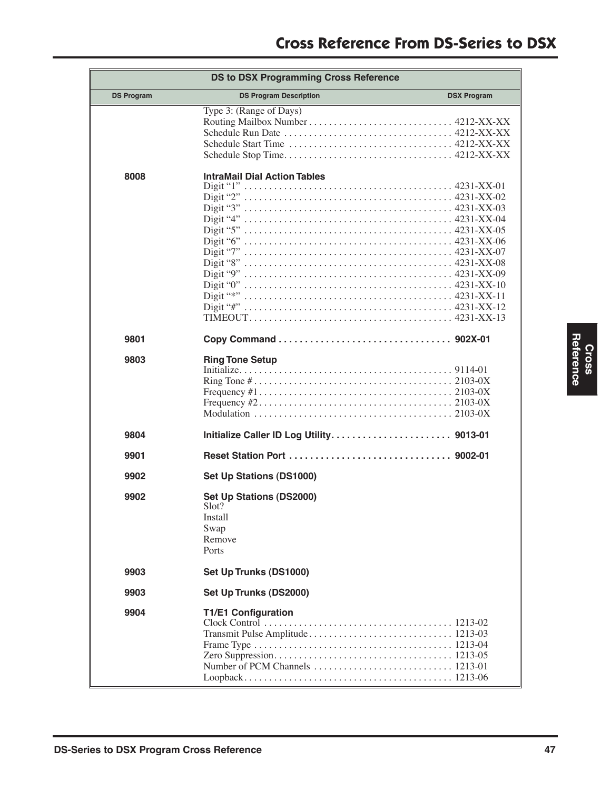| <b>DS to DSX Programming Cross Reference</b> |                                                                                |                    |  |  |
|----------------------------------------------|--------------------------------------------------------------------------------|--------------------|--|--|
| <b>DS Program</b>                            | <b>DS Program Description</b>                                                  | <b>DSX Program</b> |  |  |
|                                              | Type 3: (Range of Days)                                                        |                    |  |  |
| 8008                                         | <b>IntraMail Dial Action Tables</b><br>Digit "*"                               |                    |  |  |
| 9801                                         |                                                                                |                    |  |  |
| 9803                                         | <b>Ring Tone Setup</b>                                                         |                    |  |  |
| 9804                                         |                                                                                |                    |  |  |
| 9901                                         |                                                                                |                    |  |  |
| 9902                                         | <b>Set Up Stations (DS1000)</b>                                                |                    |  |  |
| 9902                                         | <b>Set Up Stations (DS2000)</b><br>Slot?<br>Install<br>Swap<br>Remove<br>Ports |                    |  |  |
| 9903                                         | Set Up Trunks (DS1000)                                                         |                    |  |  |
| 9903                                         | Set Up Trunks (DS2000)                                                         |                    |  |  |
| 9904                                         | <b>T1/E1 Configuration</b>                                                     |                    |  |  |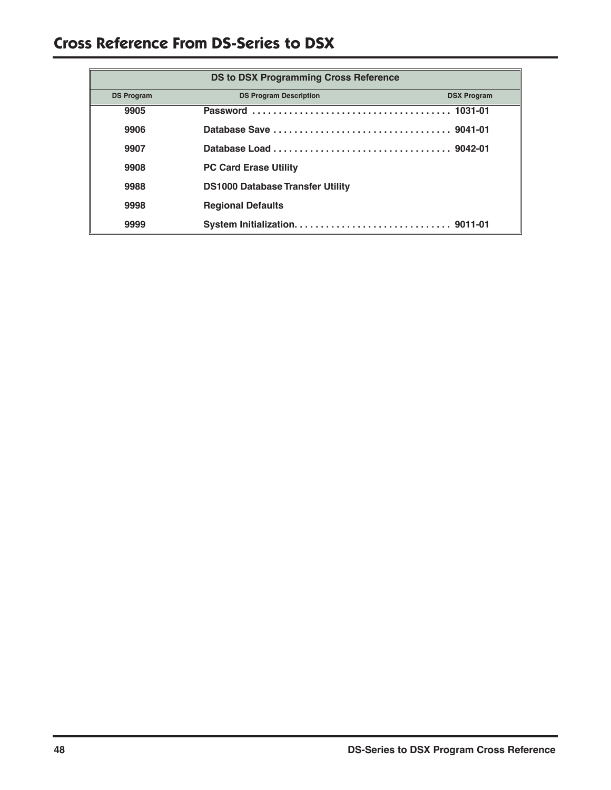# **Cross Reference From DS-Series to DSX**

| <b>DS to DSX Programming Cross Reference</b> |                                         |                    |  |  |
|----------------------------------------------|-----------------------------------------|--------------------|--|--|
| <b>DS Program</b>                            | <b>DS Program Description</b>           | <b>DSX Program</b> |  |  |
| 9905                                         |                                         |                    |  |  |
| 9906                                         |                                         |                    |  |  |
| 9907                                         |                                         |                    |  |  |
| 9908                                         | <b>PC Card Erase Utility</b>            |                    |  |  |
| 9988                                         | <b>DS1000 Database Transfer Utility</b> |                    |  |  |
| 9998                                         | <b>Regional Defaults</b>                |                    |  |  |
| 9999                                         |                                         |                    |  |  |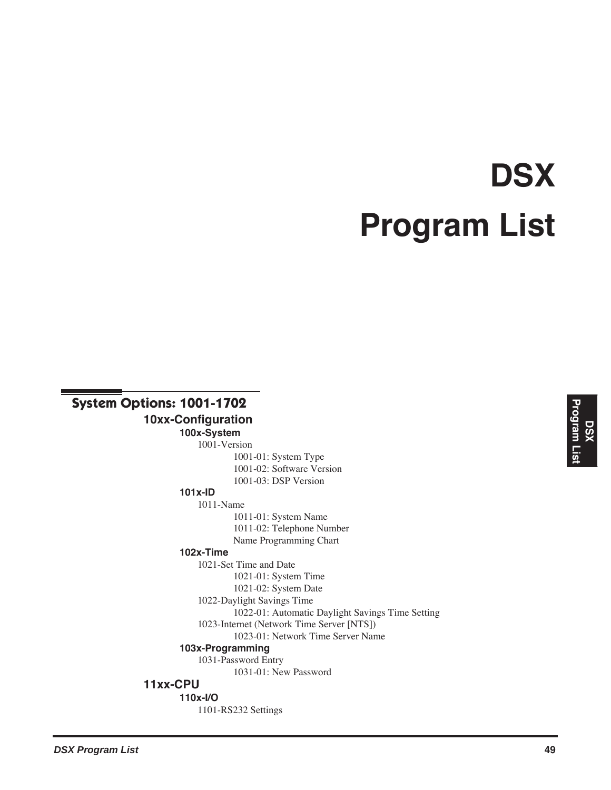# **DSX Program List**

# **System Options: 1001-1702**

**10xx-Configuration**

**100x-System** 1001-Version 1001-01: System Type 1001-02: Software Version 1001-03: DSP Version

#### **101x-ID** 1011-Name

1011-01: System Name 1011-02: Telephone Number Name Programming Chart

# **102x-Time**

1021-Set Time and Date 1021-01: System Time 1021-02: System Date 1022-Daylight Savings Time 1022-01: Automatic Daylight Savings Time Setting 1023-Internet (Network Time Server [NTS]) 1023-01: Network Time Server Name **103x-Programming** 1031-Password Entry 1031-01: New Password

# **11xx-CPU**

**110x-I/O**

1101-RS232 Settings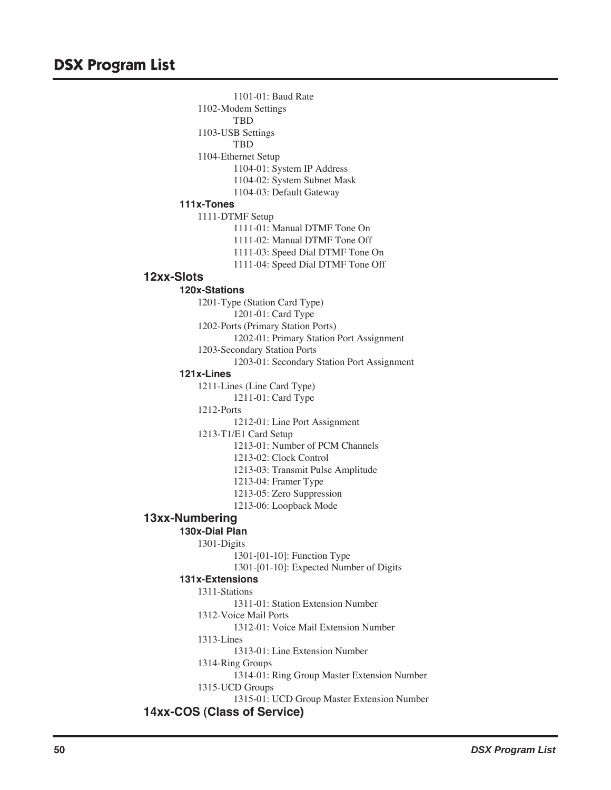1101-01: Baud Rate 1102-Modem Settings TBD 1103-USB Settings TBD 1104-Ethernet Setup 1104-01: System IP Address 1104-02: System Subnet Mask 1104-03: Default Gateway **111x-Tones** 1111-DTMF Setup 1111-01: Manual DTMF Tone On 1111-02: Manual DTMF Tone Off 1111-03: Speed Dial DTMF Tone On 1111-04: Speed Dial DTMF Tone Off **12xx-Slots 120x-Stations** 1201-Type (Station Card Type) 1201-01: Card Type 1202-Ports (Primary Station Ports) 1202-01: Primary Station Port Assignment 1203-Secondary Station Ports 1203-01: Secondary Station Port Assignment **121x-Lines** 1211-Lines (Line Card Type) 1211-01: Card Type 1212-Ports 1212-01: Line Port Assignment 1213-T1/E1 Card Setup 1213-01: Number of PCM Channels 1213-02: Clock Control 1213-03: Transmit Pulse Amplitude 1213-04: Framer Type 1213-05: Zero Suppression 1213-06: Loopback Mode **13xx-Numbering 130x-Dial Plan** 1301-Digits 1301-[01-10]: Function Type 1301-[01-10]: Expected Number of Digits **131x-Extensions** 1311-Stations 1311-01: Station Extension Number 1312-Voice Mail Ports 1312-01: Voice Mail Extension Number 1313-Lines 1313-01: Line Extension Number 1314-Ring Groups 1314-01: Ring Group Master Extension Number 1315-UCD Groups 1315-01: UCD Group Master Extension Number **14xx-COS (Class of Service)**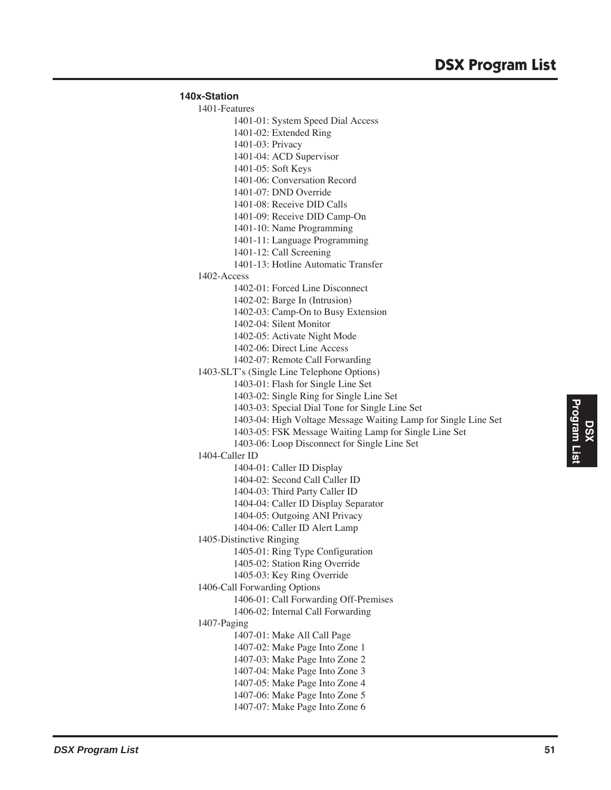```
140x-Station
1401-Features
        1401-01: System Speed Dial Access
        1401-02: Extended Ring
        1401-03: Privacy
        1401-04: ACD Supervisor
        1401-05: Soft Keys
        1401-06: Conversation Record
        1401-07: DND Override
        1401-08: Receive DID Calls
        1401-09: Receive DID Camp-On
        1401-10: Name Programming
        1401-11: Language Programming
        1401-12: Call Screening
        1401-13: Hotline Automatic Transfer
1402-Access
        1402-01: Forced Line Disconnect
        1402-02: Barge In (Intrusion)
        1402-03: Camp-On to Busy Extension
        1402-04: Silent Monitor
        1402-05: Activate Night Mode
        1402-06: Direct Line Access
        1402-07: Remote Call Forwarding
1403-SLT's (Single Line Telephone Options)
        1403-01: Flash for Single Line Set
        1403-02: Single Ring for Single Line Set
        1403-03: Special Dial Tone for Single Line Set
        1403-04: High Voltage Message Waiting Lamp for Single Line Set
        1403-05: FSK Message Waiting Lamp for Single Line Set
        1403-06: Loop Disconnect for Single Line Set
1404-Caller ID
        1404-01: Caller ID Display
        1404-02: Second Call Caller ID
        1404-03: Third Party Caller ID
        1404-04: Caller ID Display Separator
        1404-05: Outgoing ANI Privacy
        1404-06: Caller ID Alert Lamp
1405-Distinctive Ringing
        1405-01: Ring Type Configuration
        1405-02: Station Ring Override
        1405-03: Key Ring Override
1406-Call Forwarding Options
        1406-01: Call Forwarding Off-Premises
        1406-02: Internal Call Forwarding
1407-Paging
        1407-01: Make All Call Page
        1407-02: Make Page Into Zone 1
        1407-03: Make Page Into Zone 2
        1407-04: Make Page Into Zone 3
        1407-05: Make Page Into Zone 4
        1407-06: Make Page Into Zone 5
```
1407-07: Make Page Into Zone 6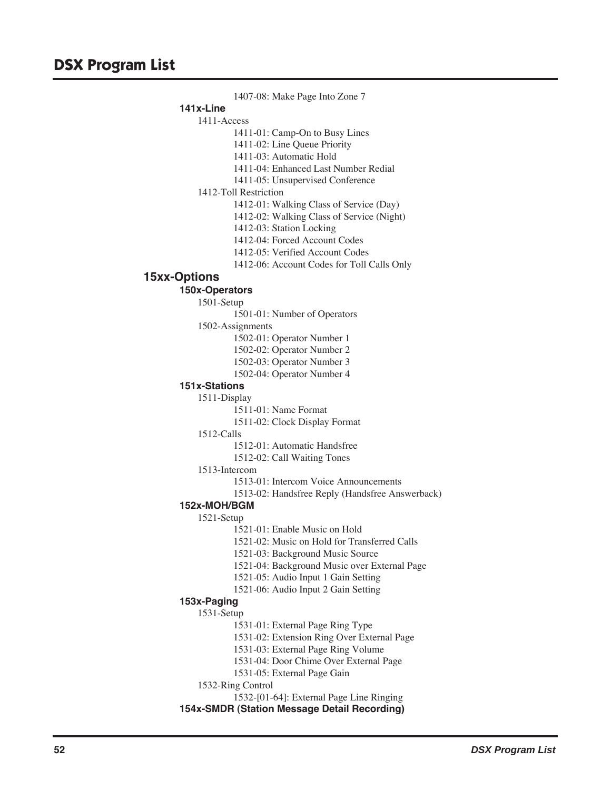1407-08: Make Page Into Zone 7 **141x-Line** 1411-Access 1411-01: Camp-On to Busy Lines 1411-02: Line Queue Priority 1411-03: Automatic Hold 1411-04: Enhanced Last Number Redial 1411-05: Unsupervised Conference 1412-Toll Restriction 1412-01: Walking Class of Service (Day) 1412-02: Walking Class of Service (Night) 1412-03: Station Locking 1412-04: Forced Account Codes 1412-05: Verified Account Codes 1412-06: Account Codes for Toll Calls Only **15xx-Options 150x-Operators** 1501-Setup 1501-01: Number of Operators 1502-Assignments 1502-01: Operator Number 1 1502-02: Operator Number 2 1502-03: Operator Number 3 1502-04: Operator Number 4 **151x-Stations** 1511-Display 1511-01: Name Format 1511-02: Clock Display Format 1512-Calls 1512-01: Automatic Handsfree 1512-02: Call Waiting Tones 1513-Intercom 1513-01: Intercom Voice Announcements 1513-02: Handsfree Reply (Handsfree Answerback) **152x-MOH/BGM** 1521-Setup 1521-01: Enable Music on Hold 1521-02: Music on Hold for Transferred Calls 1521-03: Background Music Source 1521-04: Background Music over External Page 1521-05: Audio Input 1 Gain Setting 1521-06: Audio Input 2 Gain Setting **153x-Paging** 1531-Setup 1531-01: External Page Ring Type 1531-02: Extension Ring Over External Page 1531-03: External Page Ring Volume 1531-04: Door Chime Over External Page 1531-05: External Page Gain 1532-Ring Control 1532-[01-64]: External Page Line Ringing **154x-SMDR (Station Message Detail Recording)**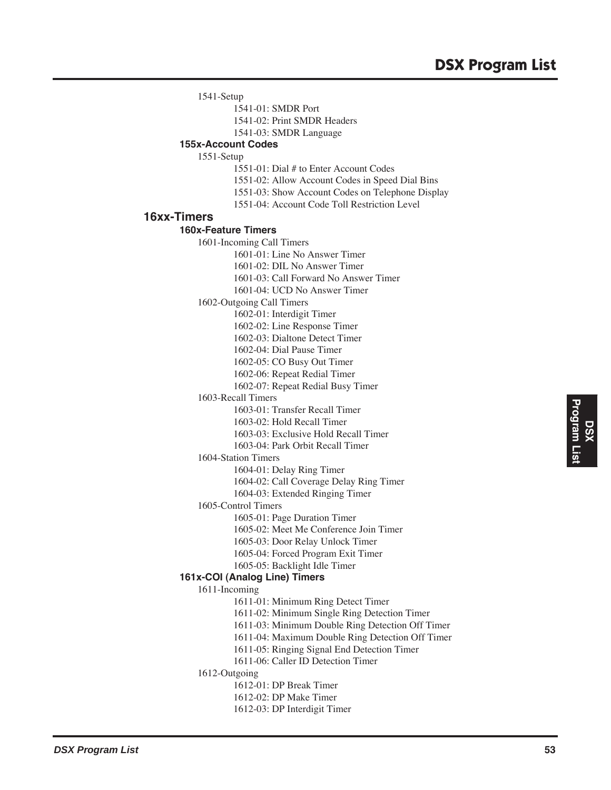1541-Setup

1541-01: SMDR Port

1541-02: Print SMDR Headers

1541-03: SMDR Language

# **155x-Account Codes**

1551-Setup

- 1551-01: Dial # to Enter Account Codes
- 1551-02: Allow Account Codes in Speed Dial Bins
- 1551-03: Show Account Codes on Telephone Display
- 1551-04: Account Code Toll Restriction Level

## **16xx-Timers**

#### **160x-Feature Timers**

1601-Incoming Call Timers 1601-01: Line No Answer Timer 1601-02: DIL No Answer Timer 1601-03: Call Forward No Answer Timer 1601-04: UCD No Answer Timer 1602-Outgoing Call Timers 1602-01: Interdigit Timer 1602-02: Line Response Timer 1602-03: Dialtone Detect Timer 1602-04: Dial Pause Timer 1602-05: CO Busy Out Timer 1602-06: Repeat Redial Timer 1602-07: Repeat Redial Busy Timer 1603-Recall Timers 1603-01: Transfer Recall Timer 1603-02: Hold Recall Timer 1603-03: Exclusive Hold Recall Timer 1603-04: Park Orbit Recall Timer 1604-Station Timers 1604-01: Delay Ring Timer 1604-02: Call Coverage Delay Ring Timer 1604-03: Extended Ringing Timer 1605-Control Timers 1605-01: Page Duration Timer 1605-02: Meet Me Conference Join Timer 1605-03: Door Relay Unlock Timer 1605-04: Forced Program Exit Timer 1605-05: Backlight Idle Timer **161x-COI (Analog Line) Timers** 1611-Incoming 1611-01: Minimum Ring Detect Timer 1611-02: Minimum Single Ring Detection Timer 1611-03: Minimum Double Ring Detection Off Timer 1611-04: Maximum Double Ring Detection Off Timer 1611-05: Ringing Signal End Detection Timer 1611-06: Caller ID Detection Timer 1612-Outgoing 1612-01: DP Break Timer 1612-02: DP Make Timer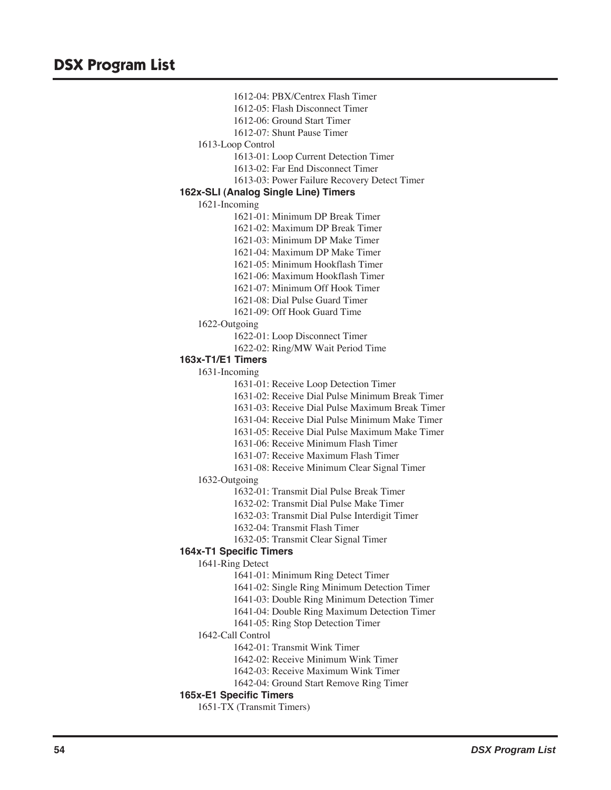1612-04: PBX/Centrex Flash Timer 1612-05: Flash Disconnect Timer 1612-06: Ground Start Timer 1612-07: Shunt Pause Timer 1613-Loop Control 1613-01: Loop Current Detection Timer 1613-02: Far End Disconnect Timer 1613-03: Power Failure Recovery Detect Timer **162x-SLI (Analog Single Line) Timers** 1621-Incoming 1621-01: Minimum DP Break Timer 1621-02: Maximum DP Break Timer 1621-03: Minimum DP Make Timer 1621-04: Maximum DP Make Timer 1621-05: Minimum Hookflash Timer 1621-06: Maximum Hookflash Timer 1621-07: Minimum Off Hook Timer 1621-08: Dial Pulse Guard Timer 1621-09: Off Hook Guard Time 1622-Outgoing 1622-01: Loop Disconnect Timer 1622-02: Ring/MW Wait Period Time **163x-T1/E1 Timers** 1631-Incoming 1631-01: Receive Loop Detection Timer 1631-02: Receive Dial Pulse Minimum Break Timer 1631-03: Receive Dial Pulse Maximum Break Timer 1631-04: Receive Dial Pulse Minimum Make Timer 1631-05: Receive Dial Pulse Maximum Make Timer 1631-06: Receive Minimum Flash Timer 1631-07: Receive Maximum Flash Timer 1631-08: Receive Minimum Clear Signal Timer 1632-Outgoing 1632-01: Transmit Dial Pulse Break Timer 1632-02: Transmit Dial Pulse Make Timer 1632-03: Transmit Dial Pulse Interdigit Timer 1632-04: Transmit Flash Timer 1632-05: Transmit Clear Signal Timer **164x-T1 Specific Timers** 1641-Ring Detect 1641-01: Minimum Ring Detect Timer 1641-02: Single Ring Minimum Detection Timer 1641-03: Double Ring Minimum Detection Timer 1641-04: Double Ring Maximum Detection Timer 1641-05: Ring Stop Detection Timer 1642-Call Control 1642-01: Transmit Wink Timer 1642-02: Receive Minimum Wink Timer 1642-03: Receive Maximum Wink Timer 1642-04: Ground Start Remove Ring Timer **165x-E1 Specific Timers** 1651-TX (Transmit Timers)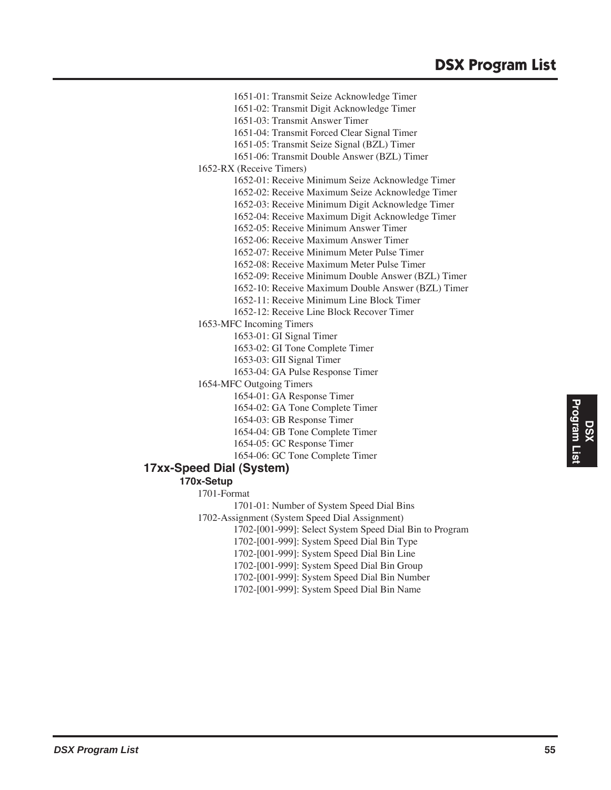# **DSX Program List**

1651-01: Transmit Seize Acknowledge Timer 1651-02: Transmit Digit Acknowledge Timer 1651-03: Transmit Answer Timer 1651-04: Transmit Forced Clear Signal Timer 1651-05: Transmit Seize Signal (BZL) Timer 1651-06: Transmit Double Answer (BZL) Timer 1652-RX (Receive Timers) 1652-01: Receive Minimum Seize Acknowledge Timer 1652-02: Receive Maximum Seize Acknowledge Timer 1652-03: Receive Minimum Digit Acknowledge Timer 1652-04: Receive Maximum Digit Acknowledge Timer 1652-05: Receive Minimum Answer Timer 1652-06: Receive Maximum Answer Timer 1652-07: Receive Minimum Meter Pulse Timer 1652-08: Receive Maximum Meter Pulse Timer 1652-09: Receive Minimum Double Answer (BZL) Timer 1652-10: Receive Maximum Double Answer (BZL) Timer 1652-11: Receive Minimum Line Block Timer 1652-12: Receive Line Block Recover Timer 1653-MFC Incoming Timers 1653-01: GI Signal Timer 1653-02: GI Tone Complete Timer 1653-03: GII Signal Timer 1653-04: GA Pulse Response Timer 1654-MFC Outgoing Timers 1654-01: GA Response Timer 1654-02: GA Tone Complete Timer 1654-03: GB Response Timer 1654-04: GB Tone Complete Timer 1654-05: GC Response Timer 1654-06: GC Tone Complete Timer **17xx-Speed Dial (System) 170x-Setup** 1701-Format 1701-01: Number of System Speed Dial Bins 1702-Assignment (System Speed Dial Assignment)

1702-[001-999]: Select System Speed Dial Bin to Program

1702-[001-999]: System Speed Dial Bin Type

1702-[001-999]: System Speed Dial Bin Line

1702-[001-999]: System Speed Dial Bin Group

1702-[001-999]: System Speed Dial Bin Number 1702-[001-999]: System Speed Dial Bin Name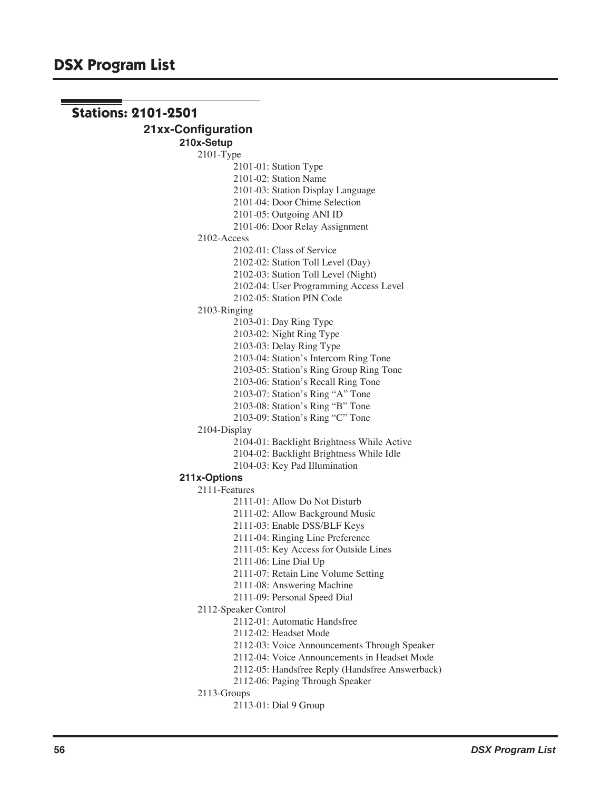```
Stations: 2101-2501
            21xx-Configuration
                    210x-Setup
                        2101-Type
                                2101-01: Station Type
                                2101-02: Station Name
                                2101-03: Station Display Language
                                2101-04: Door Chime Selection
                                2101-05: Outgoing ANI ID
                                2101-06: Door Relay Assignment
                        2102-Access
                                2102-01: Class of Service
                                2102-02: Station Toll Level (Day)
                                2102-03: Station Toll Level (Night)
                                2102-04: User Programming Access Level
                                2102-05: Station PIN Code
                        2103-Ringing
                                2103-01: Day Ring Type
                                2103-02: Night Ring Type
                                2103-03: Delay Ring Type
                                2103-04: Station's Intercom Ring Tone
                                2103-05: Station's Ring Group Ring Tone
                                2103-06: Station's Recall Ring Tone
                                2103-07: Station's Ring "A" Tone
                                2103-08: Station's Ring "B" Tone
                                2103-09: Station's Ring "C" Tone
                        2104-Display
                                2104-01: Backlight Brightness While Active
                                2104-02: Backlight Brightness While Idle
                                2104-03: Key Pad Illumination
                    211x-Options
                        2111-Features
                                2111-01: Allow Do Not Disturb
                                2111-02: Allow Background Music
                                2111-03: Enable DSS/BLF Keys
                                2111-04: Ringing Line Preference
                                2111-05: Key Access for Outside Lines
                                2111-06: Line Dial Up
                                2111-07: Retain Line Volume Setting
                                2111-08: Answering Machine
                                2111-09: Personal Speed Dial
                        2112-Speaker Control
                                2112-01: Automatic Handsfree
                                2112-02: Headset Mode
                                2112-03: Voice Announcements Through Speaker
                                2112-04: Voice Announcements in Headset Mode
                                2112-05: Handsfree Reply (Handsfree Answerback)
                                2112-06: Paging Through Speaker
                        2113-Groups
                                2113-01: Dial 9 Group
```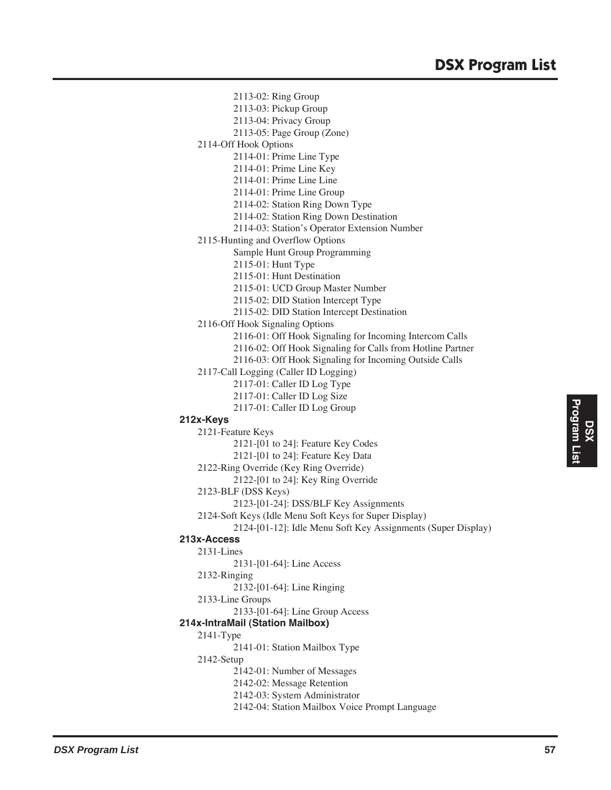- 2113-02: Ring Group 2113-03: Pickup Group 2113-04: Privacy Group 2113-05: Page Group (Zone) 2114-Off Hook Options 2114-01: Prime Line Type 2114-01: Prime Line Key 2114-01: Prime Line Line 2114-01: Prime Line Group 2114-02: Station Ring Down Type 2114-02: Station Ring Down Destination 2114-03: Station's Operator Extension Number 2115-Hunting and Overflow Options Sample Hunt Group Programming 2115-01: Hunt Type 2115-01: Hunt Destination 2115-01: UCD Group Master Number 2115-02: DID Station Intercept Type 2115-02: DID Station Intercept Destination 2116-Off Hook Signaling Options 2116-01: Off Hook Signaling for Incoming Intercom Calls 2116-02: Off Hook Signaling for Calls from Hotline Partner 2116-03: Off Hook Signaling for Incoming Outside Calls 2117-Call Logging (Caller ID Logging) 2117-01: Caller ID Log Type 2117-01: Caller ID Log Size 2117-01: Caller ID Log Group **212x-Keys** 2121-Feature Keys 2121-[01 to 24]: Feature Key Codes 2121-[01 to 24]: Feature Key Data 2122-Ring Override (Key Ring Override) 2122-[01 to 24]: Key Ring Override 2123-BLF (DSS Keys) 2123-[01-24]: DSS/BLF Key Assignments 2124-Soft Keys (Idle Menu Soft Keys for Super Display) 2124-[01-12]: Idle Menu Soft Key Assignments (Super Display) **213x-Access** 2131-Lines 2131-[01-64]: Line Access 2132-Ringing 2132-[01-64]: Line Ringing 2133-Line Groups 2133-[01-64]: Line Group Access **214x-IntraMail (Station Mailbox)** 2141-Type 2141-01: Station Mailbox Type 2142-Setup 2142-01: Number of Messages 2142-02: Message Retention 2142-03: System Administrator
	- 2142-04: Station Mailbox Voice Prompt Language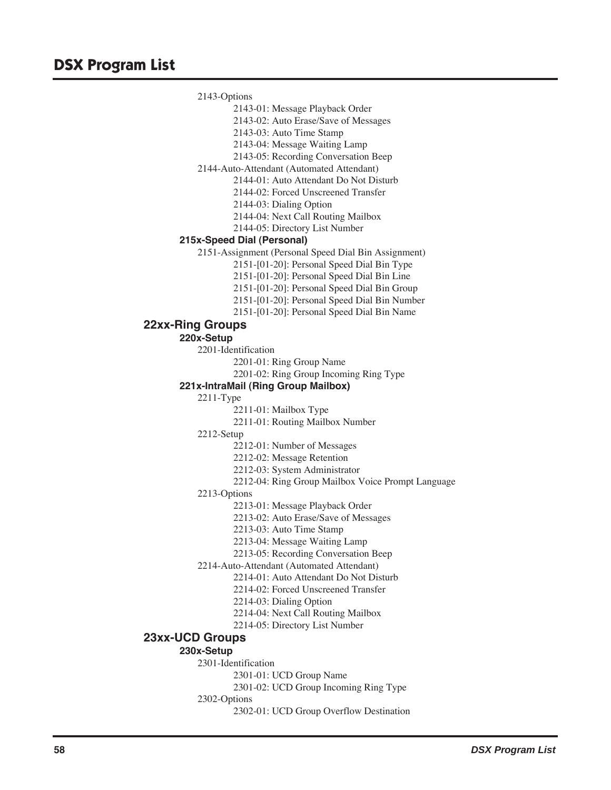2143-Options

2143-01: Message Playback Order

2143-02: Auto Erase/Save of Messages

2143-03: Auto Time Stamp

2143-04: Message Waiting Lamp

2143-05: Recording Conversation Beep

2144-Auto-Attendant (Automated Attendant)

2144-01: Auto Attendant Do Not Disturb

2144-02: Forced Unscreened Transfer

2144-03: Dialing Option

2144-04: Next Call Routing Mailbox

2144-05: Directory List Number

## **215x-Speed Dial (Personal)**

2151-Assignment (Personal Speed Dial Bin Assignment)

2151-[01-20]: Personal Speed Dial Bin Type

2151-[01-20]: Personal Speed Dial Bin Line

2151-[01-20]: Personal Speed Dial Bin Group

2151-[01-20]: Personal Speed Dial Bin Number

2151-[01-20]: Personal Speed Dial Bin Name

# **22xx-Ring Groups**

**220x-Setup**

2201-Identification

2201-01: Ring Group Name

2201-02: Ring Group Incoming Ring Type

#### **221x-IntraMail (Ring Group Mailbox)**

2211-Type

2211-01: Mailbox Type

2211-01: Routing Mailbox Number

2212-Setup

2212-01: Number of Messages

2212-02: Message Retention

2212-03: System Administrator

2212-04: Ring Group Mailbox Voice Prompt Language

2213-Options

2213-01: Message Playback Order

2213-02: Auto Erase/Save of Messages

2213-03: Auto Time Stamp

2213-04: Message Waiting Lamp

2213-05: Recording Conversation Beep

2214-Auto-Attendant (Automated Attendant)

2214-01: Auto Attendant Do Not Disturb

2214-02: Forced Unscreened Transfer

2214-03: Dialing Option

2214-04: Next Call Routing Mailbox

2214-05: Directory List Number

# **23xx-UCD Groups**

# **230x-Setup**

2301-Identification

2301-01: UCD Group Name

2301-02: UCD Group Incoming Ring Type

2302-01: UCD Group Overflow Destination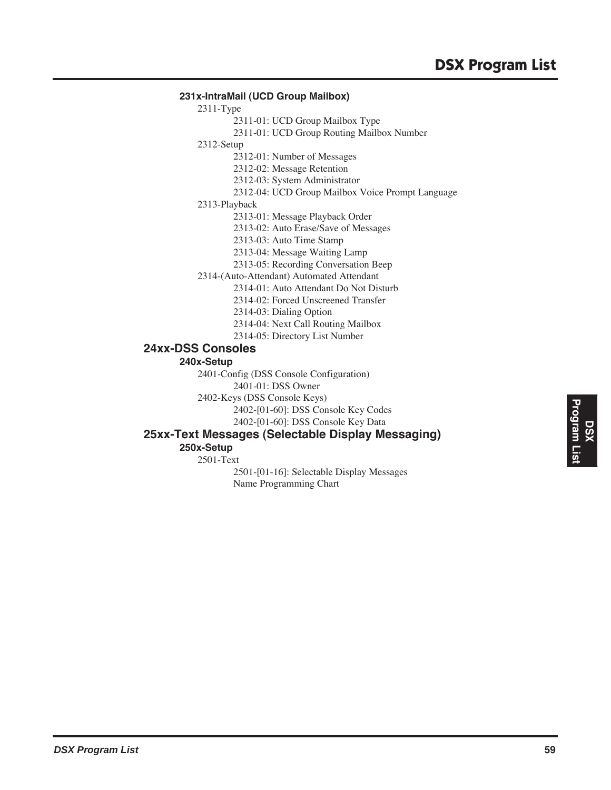## **231x-IntraMail (UCD Group Mailbox)**

2311-Type

- 2311-01: UCD Group Mailbox Type
- 2311-01: UCD Group Routing Mailbox Number

2312-Setup

2312-01: Number of Messages

2312-02: Message Retention

2312-03: System Administrator

2312-04: UCD Group Mailbox Voice Prompt Language

2313-Playback

2313-01: Message Playback Order

2313-02: Auto Erase/Save of Messages

2313-03: Auto Time Stamp

2313-04: Message Waiting Lamp

- 2313-05: Recording Conversation Beep
- 2314-(Auto-Attendant) Automated Attendant

2314-01: Auto Attendant Do Not Disturb

2314-02: Forced Unscreened Transfer

- 2314-03: Dialing Option
- 2314-04: Next Call Routing Mailbox
- 2314-05: Directory List Number

# **24xx-DSS Consoles**

**240x-Setup**

2401-Config (DSS Console Configuration)

2401-01: DSS Owner

2402-Keys (DSS Console Keys)

2402-[01-60]: DSS Console Key Codes

2402-[01-60]: DSS Console Key Data

# **25xx-Text Messages (Selectable Display Messaging)**

# **250x-Setup**

2501-Text

2501-[01-16]: Selectable Display Messages Name Programming Chart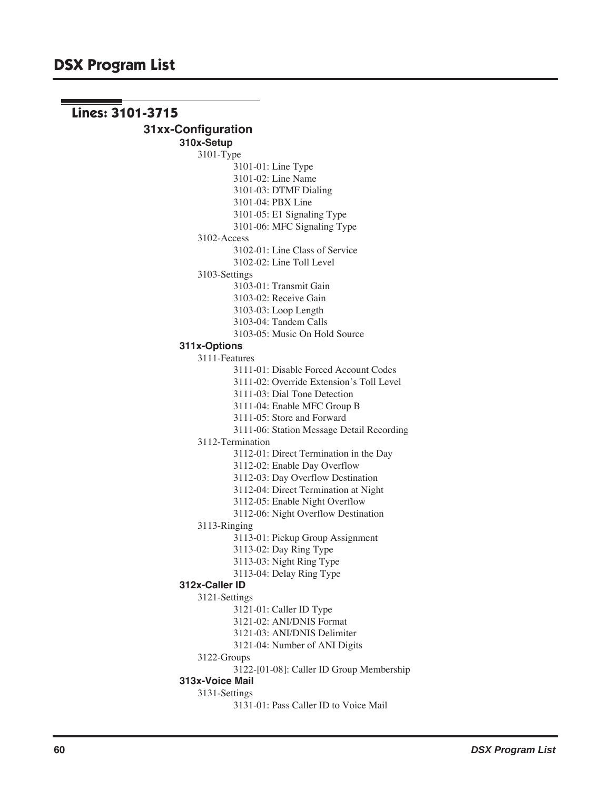**Lines: 3101-3715 31xx-Configuration 310x-Setup** 3101-Type 3101-01: Line Type 3101-02: Line Name 3101-03: DTMF Dialing 3101-04: PBX Line 3101-05: E1 Signaling Type 3101-06: MFC Signaling Type 3102-Access 3102-01: Line Class of Service 3102-02: Line Toll Level 3103-Settings 3103-01: Transmit Gain 3103-02: Receive Gain 3103-03: Loop Length 3103-04: Tandem Calls 3103-05: Music On Hold Source **311x-Options** 3111-Features 3111-01: Disable Forced Account Codes 3111-02: Override Extension's Toll Level 3111-03: Dial Tone Detection 3111-04: Enable MFC Group B 3111-05: Store and Forward 3111-06: Station Message Detail Recording 3112-Termination 3112-01: Direct Termination in the Day 3112-02: Enable Day Overflow 3112-03: Day Overflow Destination 3112-04: Direct Termination at Night 3112-05: Enable Night Overflow 3112-06: Night Overflow Destination 3113-Ringing 3113-01: Pickup Group Assignment 3113-02: Day Ring Type 3113-03: Night Ring Type 3113-04: Delay Ring Type **312x-Caller ID** 3121-Settings 3121-01: Caller ID Type 3121-02: ANI/DNIS Format 3121-03: ANI/DNIS Delimiter 3121-04: Number of ANI Digits 3122-Groups 3122-[01-08]: Caller ID Group Membership **313x-Voice Mail** 3131-Settings 3131-01: Pass Caller ID to Voice Mail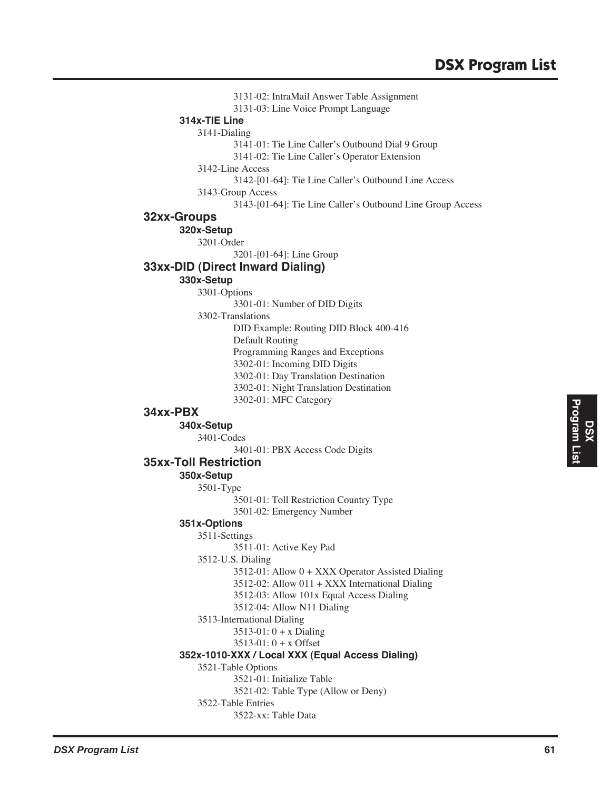3131-02: IntraMail Answer Table Assignment 3131-03: Line Voice Prompt Language **314x-TIE Line** 3141-Dialing 3141-01: Tie Line Caller's Outbound Dial 9 Group 3141-02: Tie Line Caller's Operator Extension 3142-Line Access 3142-[01-64]: Tie Line Caller's Outbound Line Access 3143-Group Access 3143-[01-64]: Tie Line Caller's Outbound Line Group Access **32xx-Groups 320x-Setup** 3201-Order 3201-[01-64]: Line Group **33xx-DID (Direct Inward Dialing) 330x-Setup** 3301-Options 3301-01: Number of DID Digits 3302-Translations DID Example: Routing DID Block 400-416 Default Routing Programming Ranges and Exceptions 3302-01: Incoming DID Digits 3302-01: Day Translation Destination 3302-01: Night Translation Destination 3302-01: MFC Category **34xx-PBX 340x-Setup** 3401-Codes 3401-01: PBX Access Code Digits **35xx-Toll Restriction 350x-Setup** 3501-Type 3501-01: Toll Restriction Country Type 3501-02: Emergency Number **351x-Options** 3511-Settings 3511-01: Active Key Pad 3512-U.S. Dialing 3512-01: Allow 0 + XXX Operator Assisted Dialing 3512-02: Allow 011 + XXX International Dialing 3512-03: Allow 101x Equal Access Dialing 3512-04: Allow N11 Dialing 3513-International Dialing 3513-01: 0 + x Dialing 3513-01: 0 + x Offset **352x-1010-XXX / Local XXX (Equal Access Dialing)** 3521-Table Options 3521-01: Initialize Table 3521-02: Table Type (Allow or Deny) 3522-Table Entries 3522-xx: Table Data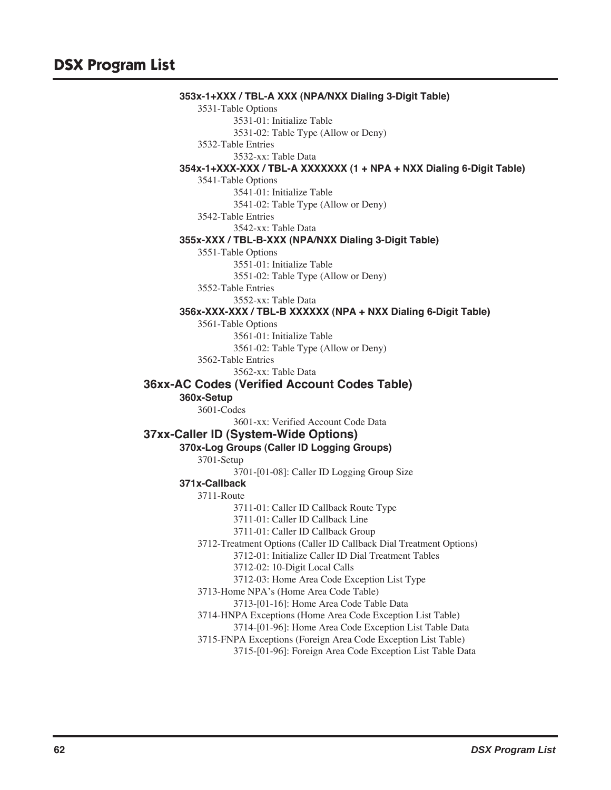**353x-1+XXX / TBL-A XXX (NPA/NXX Dialing 3-Digit Table)** 3531-Table Options 3531-01: Initialize Table 3531-02: Table Type (Allow or Deny) 3532-Table Entries 3532-xx: Table Data **354x-1+XXX-XXX / TBL-A XXXXXXX (1 + NPA + NXX Dialing 6-Digit Table)** 3541-Table Options 3541-01: Initialize Table 3541-02: Table Type (Allow or Deny) 3542-Table Entries 3542-xx: Table Data **355x-XXX / TBL-B-XXX (NPA/NXX Dialing 3-Digit Table)** 3551-Table Options 3551-01: Initialize Table 3551-02: Table Type (Allow or Deny) 3552-Table Entries 3552-xx: Table Data **356x-XXX-XXX / TBL-B XXXXXX (NPA + NXX Dialing 6-Digit Table)** 3561-Table Options 3561-01: Initialize Table 3561-02: Table Type (Allow or Deny) 3562-Table Entries 3562-xx: Table Data **36xx-AC Codes (Verified Account Codes Table) 360x-Setup** 3601-Codes 3601-xx: Verified Account Code Data **37xx-Caller ID (System-Wide Options) 370x-Log Groups (Caller ID Logging Groups)** 3701-Setup 3701-[01-08]: Caller ID Logging Group Size **371x-Callback** 3711-Route 3711-01: Caller ID Callback Route Type 3711-01: Caller ID Callback Line 3711-01: Caller ID Callback Group 3712-Treatment Options (Caller ID Callback Dial Treatment Options) 3712-01: Initialize Caller ID Dial Treatment Tables 3712-02: 10-Digit Local Calls 3712-03: Home Area Code Exception List Type 3713-Home NPA's (Home Area Code Table) 3713-[01-16]: Home Area Code Table Data 3714-HNPA Exceptions (Home Area Code Exception List Table) 3714-[01-96]: Home Area Code Exception List Table Data 3715-FNPA Exceptions (Foreign Area Code Exception List Table) 3715-[01-96]: Foreign Area Code Exception List Table Data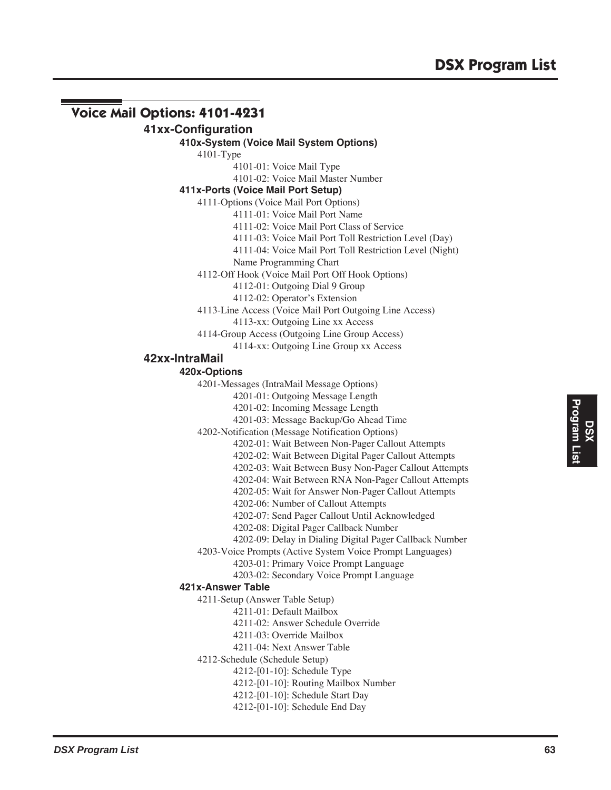# **Voice Mail Options: 4101-4231**

# **41xx-Configuration**

#### **410x-System (Voice Mail System Options)**

4101-Type

4101-01: Voice Mail Type

4101-02: Voice Mail Master Number

## **411x-Ports (Voice Mail Port Setup)**

4111-Options (Voice Mail Port Options)

4111-01: Voice Mail Port Name

4111-02: Voice Mail Port Class of Service

4111-03: Voice Mail Port Toll Restriction Level (Day)

4111-04: Voice Mail Port Toll Restriction Level (Night)

Name Programming Chart

4112-Off Hook (Voice Mail Port Off Hook Options)

4112-01: Outgoing Dial 9 Group

4112-02: Operator's Extension

4113-Line Access (Voice Mail Port Outgoing Line Access)

4113-xx: Outgoing Line xx Access

4114-Group Access (Outgoing Line Group Access)

4114-xx: Outgoing Line Group xx Access

## **42xx-IntraMail**

## **420x-Options**

4201-Messages (IntraMail Message Options)

4201-01: Outgoing Message Length

4201-02: Incoming Message Length

4201-03: Message Backup/Go Ahead Time

4202-Notification (Message Notification Options)

4202-01: Wait Between Non-Pager Callout Attempts

4202-02: Wait Between Digital Pager Callout Attempts

4202-03: Wait Between Busy Non-Pager Callout Attempts

4202-04: Wait Between RNA Non-Pager Callout Attempts

4202-05: Wait for Answer Non-Pager Callout Attempts

4202-06: Number of Callout Attempts

4202-07: Send Pager Callout Until Acknowledged

4202-08: Digital Pager Callback Number

4202-09: Delay in Dialing Digital Pager Callback Number

4203-Voice Prompts (Active System Voice Prompt Languages)

4203-01: Primary Voice Prompt Language

4203-02: Secondary Voice Prompt Language

## **421x-Answer Table**

4211-Setup (Answer Table Setup)

4211-01: Default Mailbox

4211-02: Answer Schedule Override

4211-03: Override Mailbox

4211-04: Next Answer Table

4212-Schedule (Schedule Setup)

4212-[01-10]: Schedule Type

4212-[01-10]: Routing Mailbox Number

4212-[01-10]: Schedule Start Day

4212-[01-10]: Schedule End Day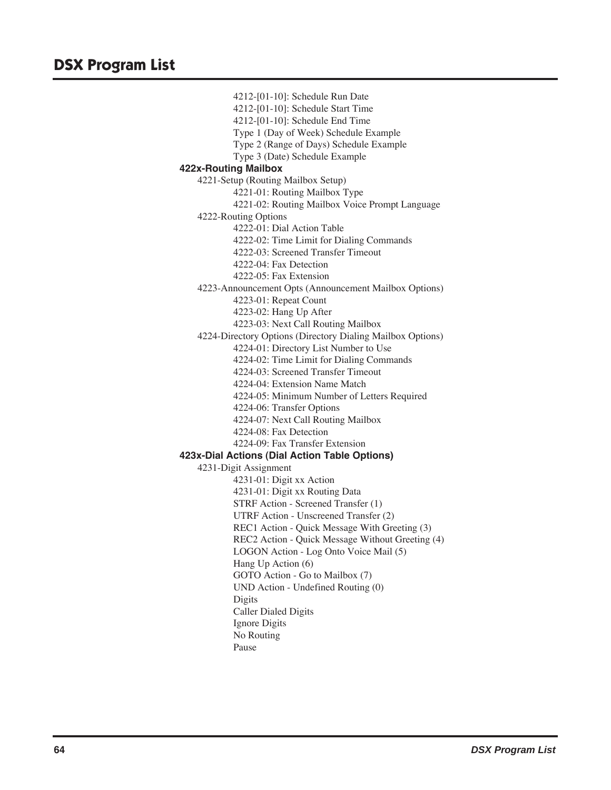4212-[01-10]: Schedule Run Date 4212-[01-10]: Schedule Start Time 4212-[01-10]: Schedule End Time Type 1 (Day of Week) Schedule Example Type 2 (Range of Days) Schedule Example Type 3 (Date) Schedule Example **422x-Routing Mailbox** 4221-Setup (Routing Mailbox Setup) 4221-01: Routing Mailbox Type 4221-02: Routing Mailbox Voice Prompt Language 4222-Routing Options 4222-01: Dial Action Table 4222-02: Time Limit for Dialing Commands 4222-03: Screened Transfer Timeout 4222-04: Fax Detection 4222-05: Fax Extension 4223-Announcement Opts (Announcement Mailbox Options) 4223-01: Repeat Count 4223-02: Hang Up After 4223-03: Next Call Routing Mailbox 4224-Directory Options (Directory Dialing Mailbox Options) 4224-01: Directory List Number to Use 4224-02: Time Limit for Dialing Commands 4224-03: Screened Transfer Timeout 4224-04: Extension Name Match 4224-05: Minimum Number of Letters Required 4224-06: Transfer Options 4224-07: Next Call Routing Mailbox 4224-08: Fax Detection 4224-09: Fax Transfer Extension **423x-Dial Actions (Dial Action Table Options)** 4231-Digit Assignment 4231-01: Digit xx Action 4231-01: Digit xx Routing Data STRF Action - Screened Transfer (1) UTRF Action - Unscreened Transfer (2) REC1 Action - Quick Message With Greeting (3) REC2 Action - Quick Message Without Greeting (4) LOGON Action - Log Onto Voice Mail (5) Hang Up Action (6) GOTO Action - Go to Mailbox (7) UND Action - Undefined Routing (0) Digits Caller Dialed Digits Ignore Digits No Routing

Pause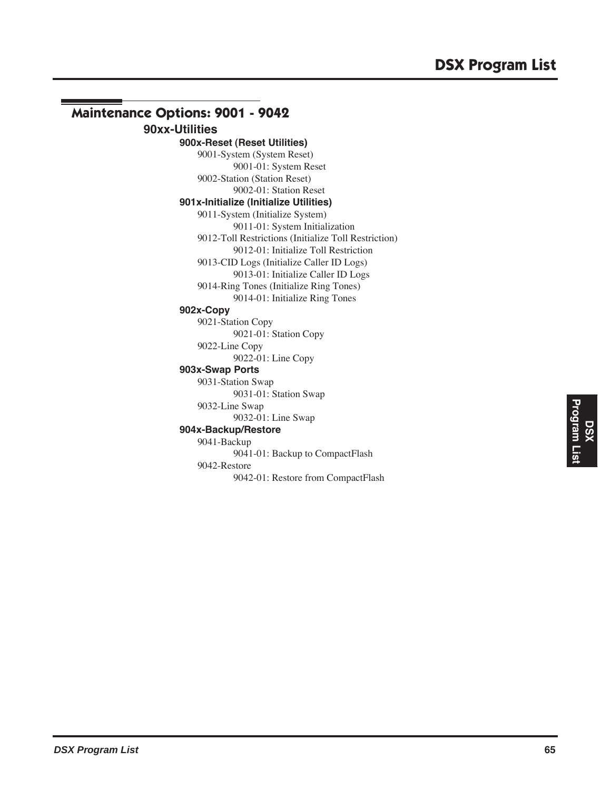## **Maintenance Options: 9001 - 9042 90xx-Utilities 900x-Reset (Reset Utilities)** 9001-System (System Reset) 9001-01: System Reset 9002-Station (Station Reset) 9002-01: Station Reset **901x-Initialize (Initialize Utilities)** 9011-System (Initialize System) 9011-01: System Initialization 9012-Toll Restrictions (Initialize Toll Restriction) 9012-01: Initialize Toll Restriction 9013-CID Logs (Initialize Caller ID Logs) 9013-01: Initialize Caller ID Logs 9014-Ring Tones (Initialize Ring Tones) 9014-01: Initialize Ring Tones **902x-Copy** 9021-Station Copy 9021-01: Station Copy 9022-Line Copy 9022-01: Line Copy **903x-Swap Ports** 9031-Station Swap 9031-01: Station Swap 9032-Line Swap 9032-01: Line Swap **904x-Backup/Restore** 9041-Backup 9041-01: Backup to CompactFlash 9042-Restore 9042-01: Restore from CompactFlash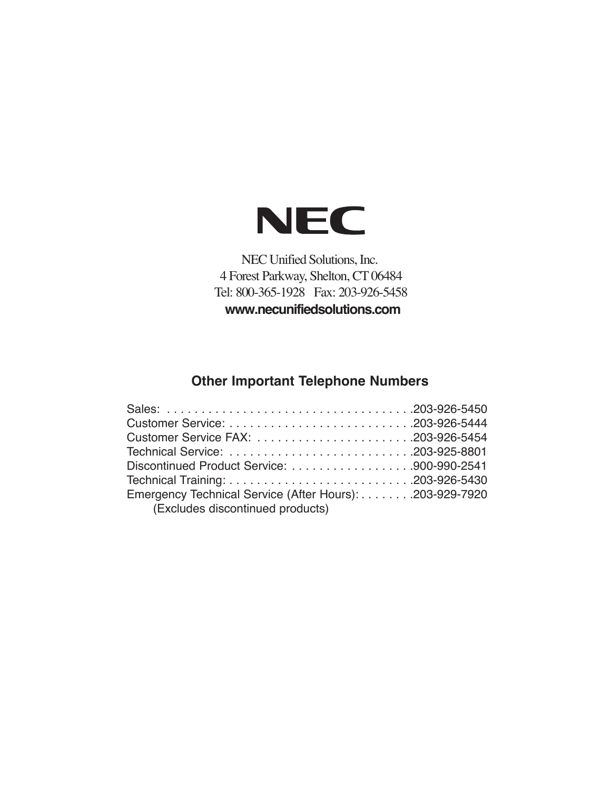

NEC Unified Solutions, Inc. 4 Forest Parkway, Shelton, CT 06484 Tel: 800-365-1928 Fax: 203-926-5458 **www.necunifiedsolutions.com**

# **Other Important Telephone Numbers**

| Emergency Technical Service (After Hours): 203-929-7920 |  |
|---------------------------------------------------------|--|
| (Excludes discontinued products)                        |  |